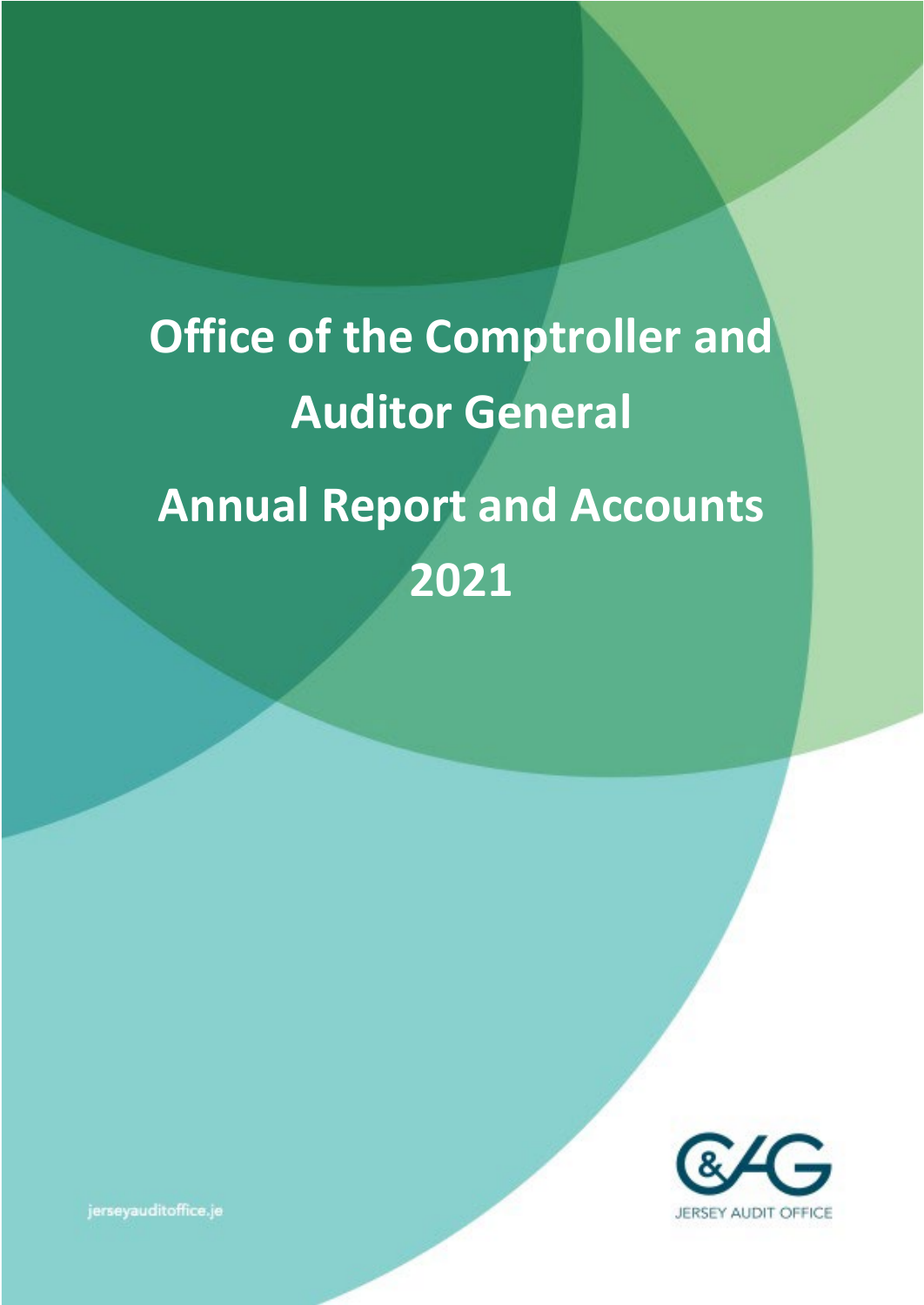# **Office of the Comptroller and Auditor General Annual Report and Accounts 2021**



jerseyauditoffice.je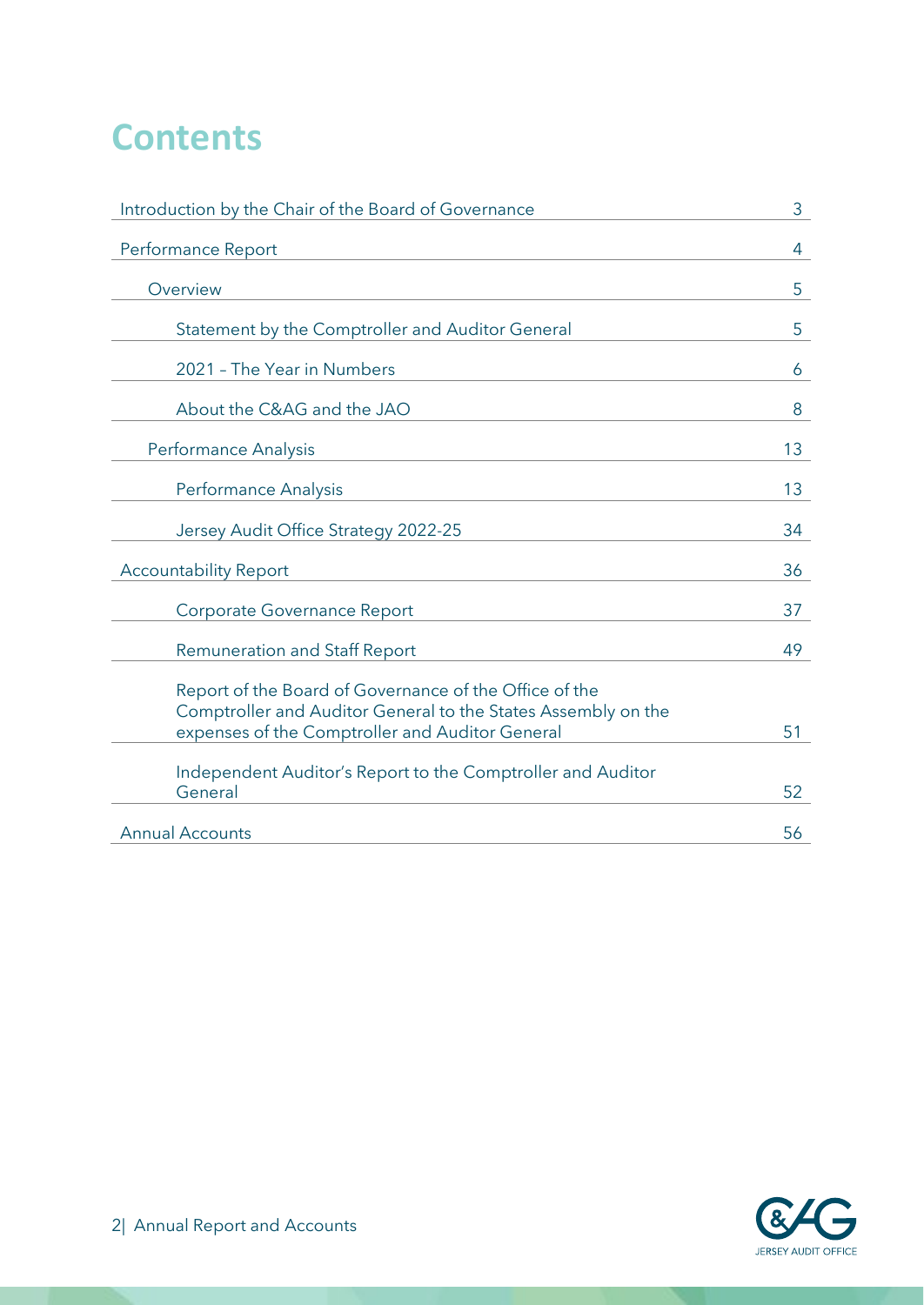# **Contents**

| Introduction by the Chair of the Board of Governance                                                                                                                       | 3  |
|----------------------------------------------------------------------------------------------------------------------------------------------------------------------------|----|
| Performance Report                                                                                                                                                         | 4  |
| Overview                                                                                                                                                                   | 5  |
| Statement by the Comptroller and Auditor General                                                                                                                           | 5  |
| 2021 - The Year in Numbers                                                                                                                                                 | 6  |
| About the C&AG and the JAO                                                                                                                                                 | 8  |
| Performance Analysis                                                                                                                                                       | 13 |
| <b>Performance Analysis</b>                                                                                                                                                | 13 |
| Jersey Audit Office Strategy 2022-25                                                                                                                                       | 34 |
| <b>Accountability Report</b>                                                                                                                                               | 36 |
| Corporate Governance Report                                                                                                                                                | 37 |
| <b>Remuneration and Staff Report</b>                                                                                                                                       | 49 |
| Report of the Board of Governance of the Office of the<br>Comptroller and Auditor General to the States Assembly on the<br>expenses of the Comptroller and Auditor General | 51 |
| Independent Auditor's Report to the Comptroller and Auditor<br>General                                                                                                     | 52 |
| <b>Annual Accounts</b>                                                                                                                                                     | 56 |

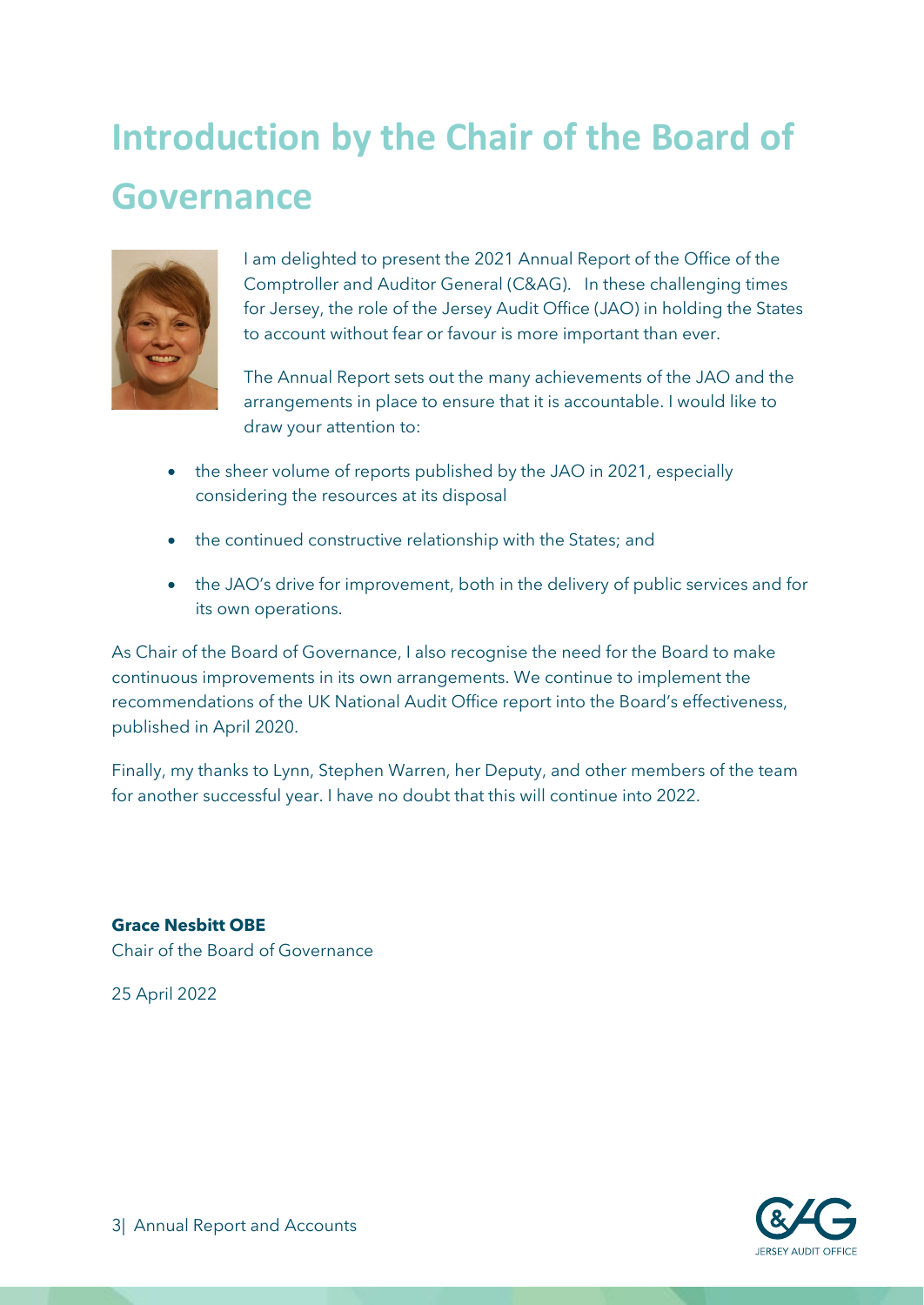# **Introduction by the Chair of the Board of Governance**



I am delighted to present the 2021 Annual Report of the Office of the Comptroller and Auditor General (C&AG). In these challenging times for Jersey, the role of the Jersey Audit Office (JAO) in holding the States to account without fear or favour is more important than ever.

The Annual Report sets out the many achievements of the JAO and the arrangements in place to ensure that it is accountable. I would like to draw your attention to:

- the sheer volume of reports published by the JAO in 2021, especially considering the resources at its disposal
- the continued constructive relationship with the States; and
- the JAO's drive for improvement, both in the delivery of public services and for its own operations.

As Chair of the Board of Governance, I also recognise the need for the Board to make continuous improvements in its own arrangements. We continue to implement the recommendations of the UK National Audit Office report into the Board's effectiveness, published in April 2020.

Finally, my thanks to Lynn, Stephen Warren, her Deputy, and other members of the team for another successful year. I have no doubt that this will continue into 2022.

**Grace Nesbitt OBE** Chair of the Board of Governance

25 April 2022

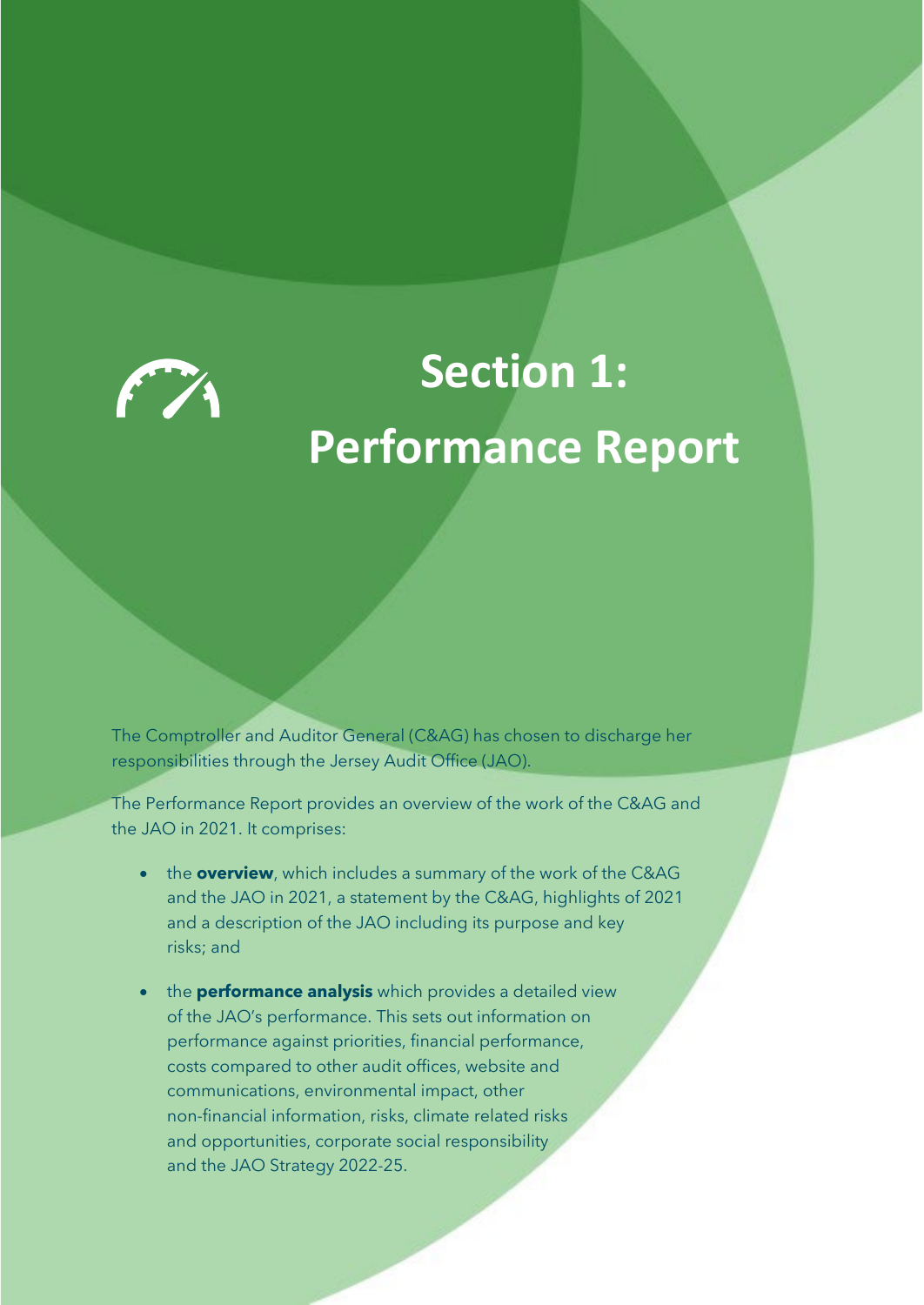

# **Section 1: Performance Report**

The Comptroller and Auditor General (C&AG) has chosen to discharge her responsibilities through the Jersey Audit Office (JAO).

The Performance Report provides an overview of the work of the C&AG and the JAO in 2021. It comprises:

- the **overview**, which includes a summary of the work of the C&AG and the JAO in 2021, a statement by the C&AG, highlights of 2021 and a description of the JAO including its purpose and key risks; and
- the **performance analysis** which provides a detailed view of the JAO's performance. This sets out information on performance against priorities, financial performance, costs compared to other audit offices, website and communications, environmental impact, other non-financial information, risks, climate related risks and opportunities, corporate social responsibility and the JAO Strategy 2022-25.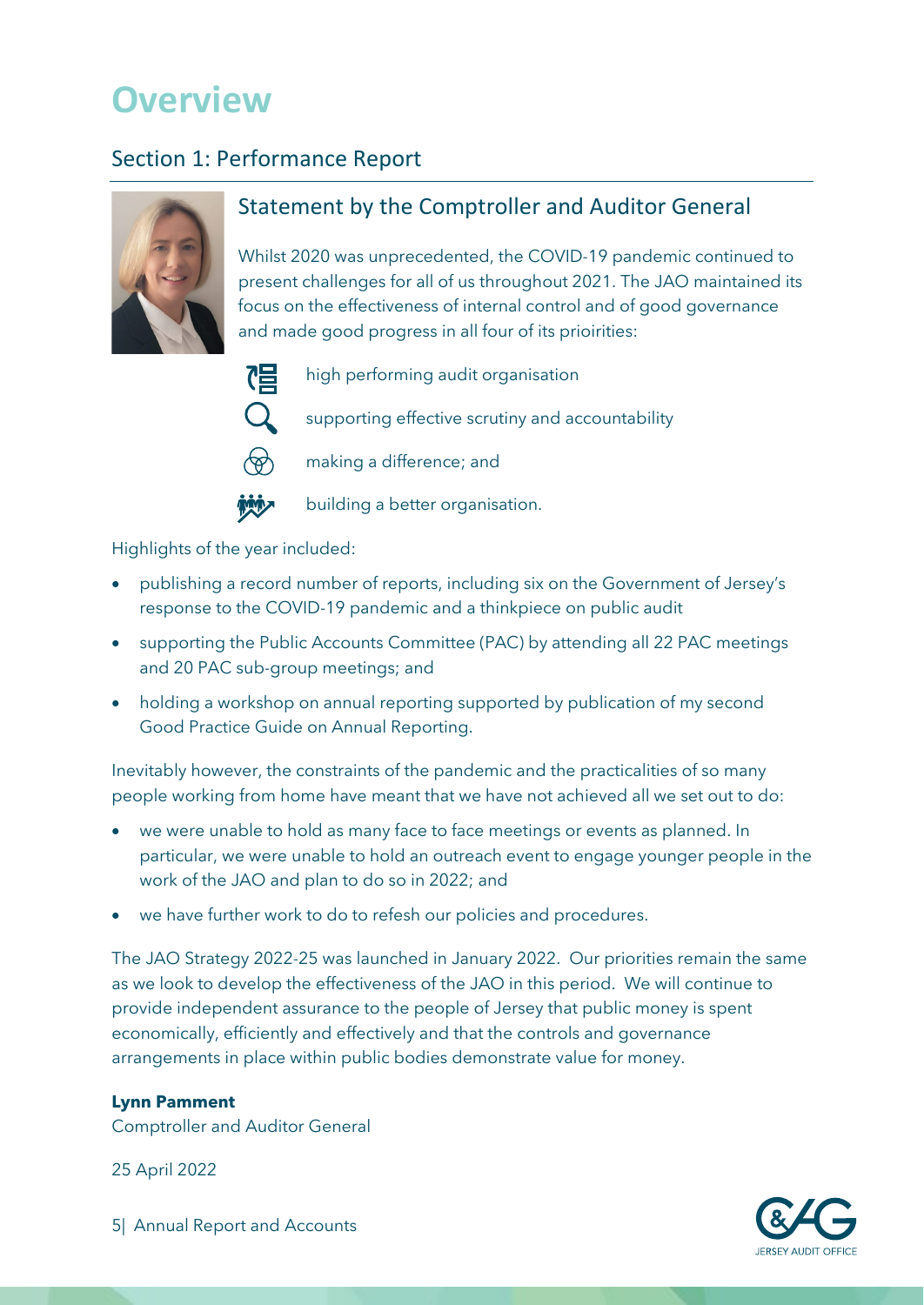### Section 1: Performance Report



### Statement by the Comptroller and Auditor General

Whilst 2020 was unprecedented, the COVID-19 pandemic continued to present challenges for all of us throughout 2021. The JAO maintained its focus on the effectiveness of internal control and of good governance and made good progress in all four of its prioirities:



high performing audit organisation







making a difference; and



building a better organisation.

Highlights of the year included:

- publishing a record number of reports, including six on the Government of Jersey's response to the COVID-19 pandemic and a thinkpiece on public audit
- supporting the Public Accounts Committee (PAC) by attending all 22 PAC meetings and 20 PAC sub-group meetings; and
- holding a workshop on annual reporting supported by publication of my second Good Practice Guide on Annual Reporting.

Inevitably however, the constraints of the pandemic and the practicalities of so many people working from home have meant that we have not achieved all we set out to do:

- we were unable to hold as many face to face meetings or events as planned. In particular, we were unable to hold an outreach event to engage younger people in the work of the JAO and plan to do so in 2022; and
- we have further work to do to refesh our policies and procedures.

The JAO Strategy 2022-25 was launched in January 2022. Our priorities remain the same as we look to develop the effectiveness of the JAO in this period. We will continue to provide independent assurance to the people of Jersey that public money is spent economically, efficiently and effectively and that the controls and governance arrangements in place within public bodies demonstrate value for money.

#### **Lynn Pamment**

Comptroller and Auditor General

25 April 2022



5| Annual Report and Accounts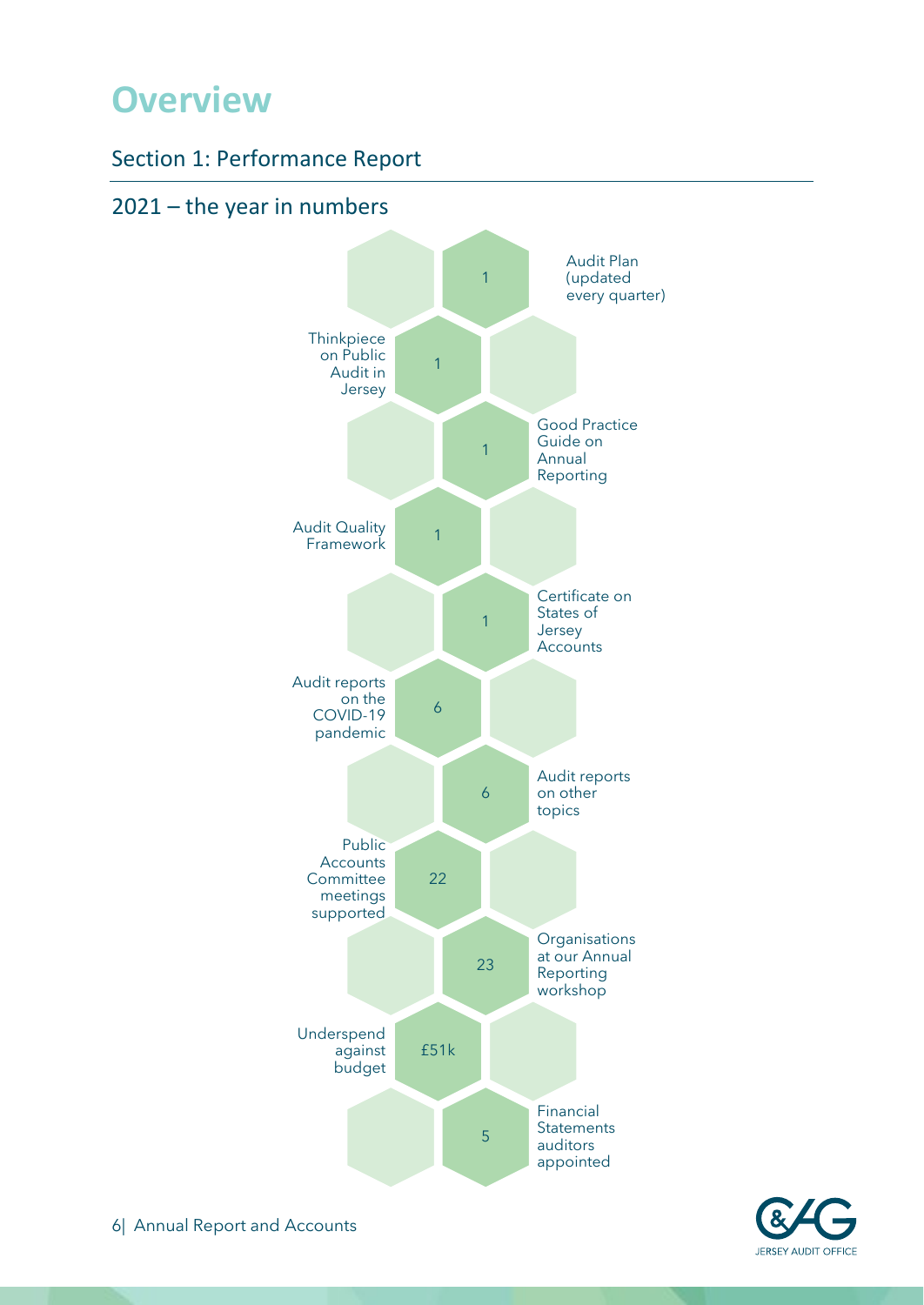### Section 1: Performance Report

### 2021 – the year in numbers



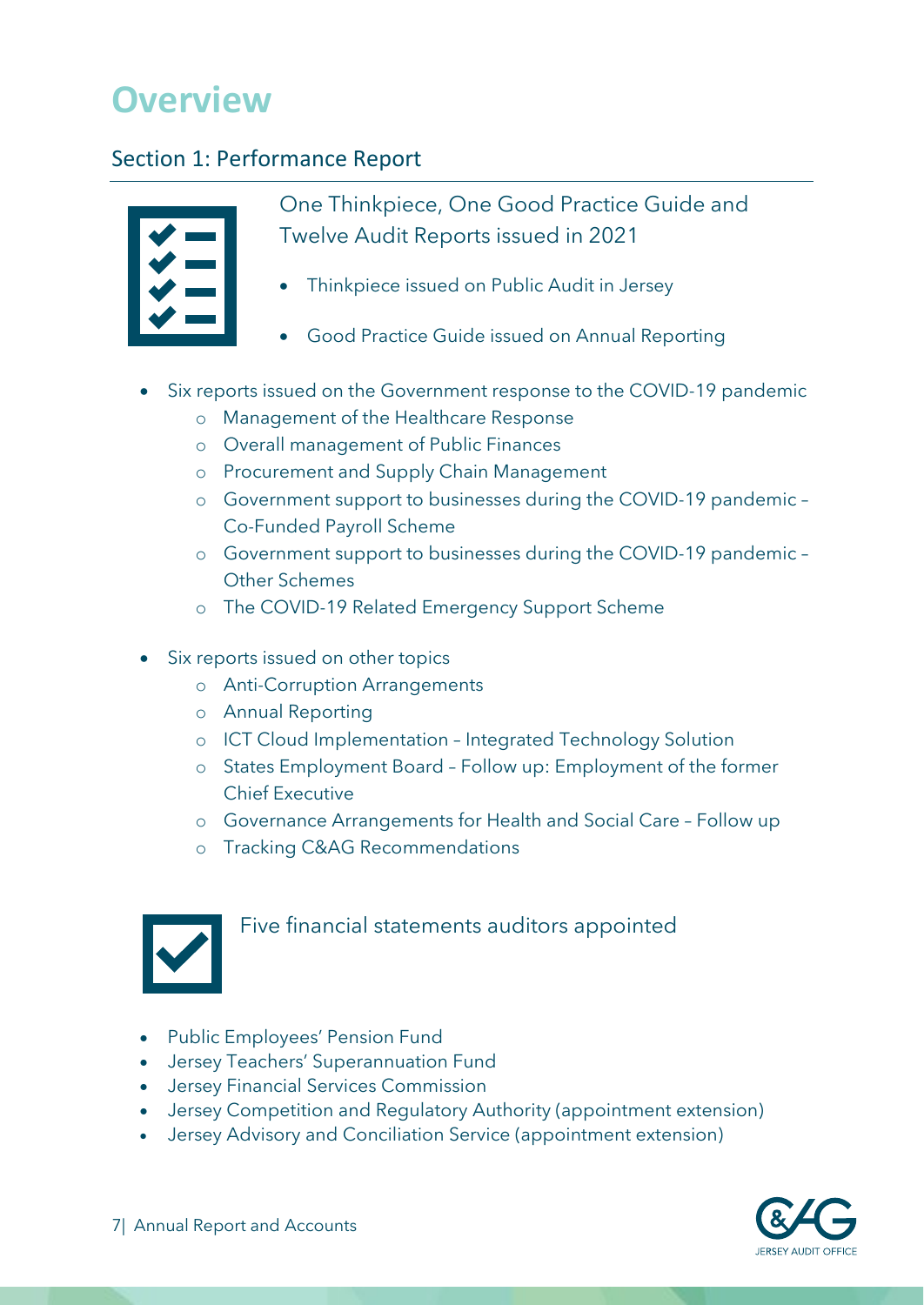#### Section 1: Performance Report

| ٠ |
|---|
|   |
|   |
|   |
|   |

One Thinkpiece, One Good Practice Guide and Twelve Audit Reports issued in 2021

- Thinkpiece issued on Public Audit in Jersey
- Good Practice Guide issued on Annual Reporting
- Six reports issued on the Government response to the COVID-19 pandemic
	- o Management of the Healthcare Response
	- o Overall management of Public Finances
	- o Procurement and Supply Chain Management
	- o Government support to businesses during the COVID-19 pandemic Co-Funded Payroll Scheme
	- o Government support to businesses during the COVID-19 pandemic Other Schemes
	- o The COVID-19 Related Emergency Support Scheme
- Six reports issued on other topics
	- o Anti-Corruption Arrangements
	- o Annual Reporting
	- o ICT Cloud Implementation Integrated Technology Solution
	- o States Employment Board Follow up: Employment of the former Chief Executive
	- o Governance Arrangements for Health and Social Care Follow up
	- o Tracking C&AG Recommendations



#### Five financial statements auditors appointed

- Public Employees' Pension Fund
- Jersey Teachers' Superannuation Fund
- Jersey Financial Services Commission
- Jersey Competition and Regulatory Authority (appointment extension)
- Jersey Advisory and Conciliation Service (appointment extension)

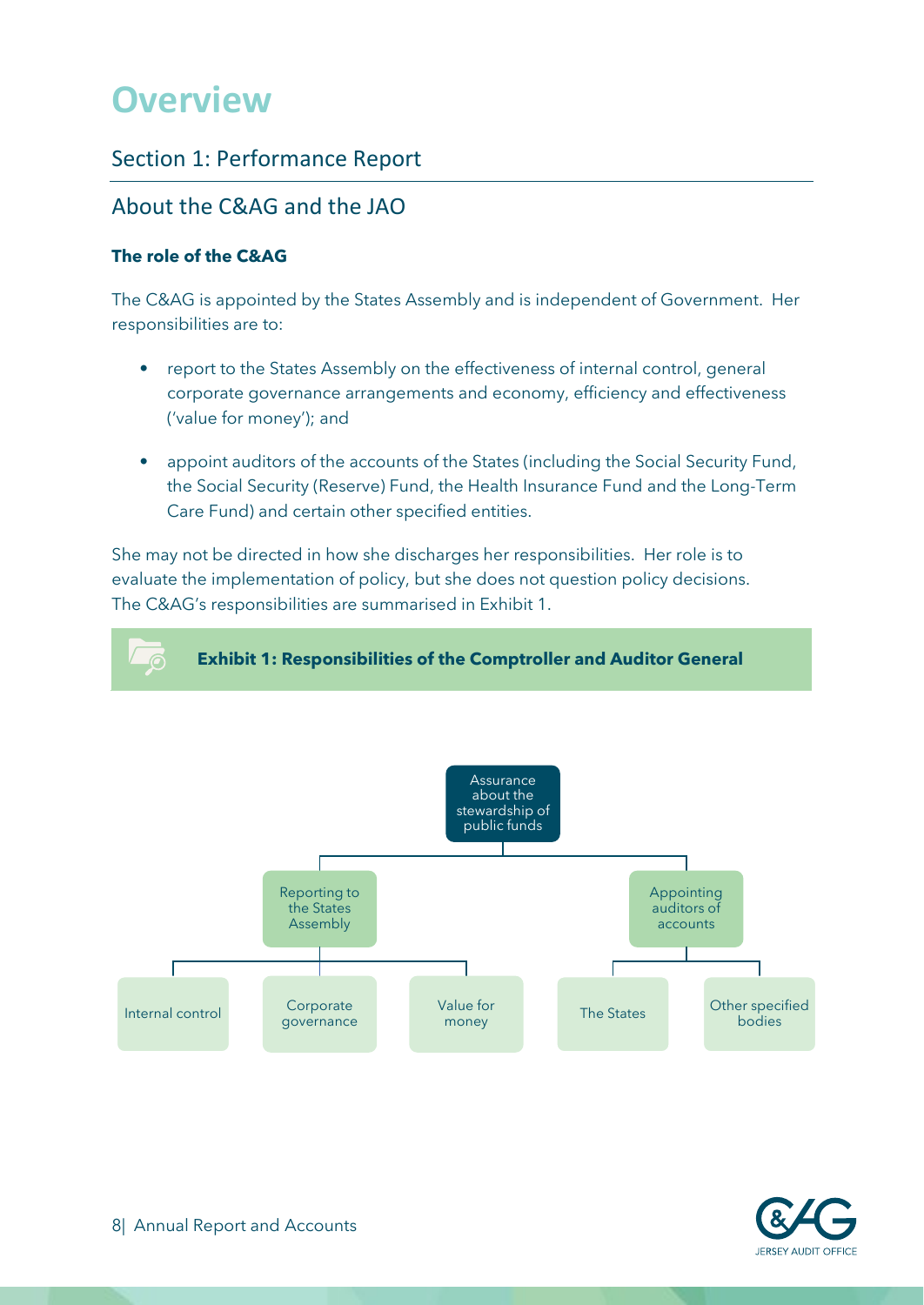### Section 1: Performance Report

### About the C&AG and the JAO

#### **The role of the C&AG**

 $\overline{\bullet}$ 

The C&AG is appointed by the States Assembly and is independent of Government. Her responsibilities are to:

- report to the States Assembly on the effectiveness of internal control, general corporate governance arrangements and economy, efficiency and effectiveness ('value for money'); and
- appoint auditors of the accounts of the States (including the Social Security Fund, the Social Security (Reserve) Fund, the Health Insurance Fund and the Long-Term Care Fund) and certain other specified entities.

She may not be directed in how she discharges her responsibilities. Her role is to evaluate the implementation of policy, but she does not question policy decisions. The C&AG's responsibilities are summarised in Exhibit 1.

#### **Exhibit 1: Responsibilities of the Comptroller and Auditor General**



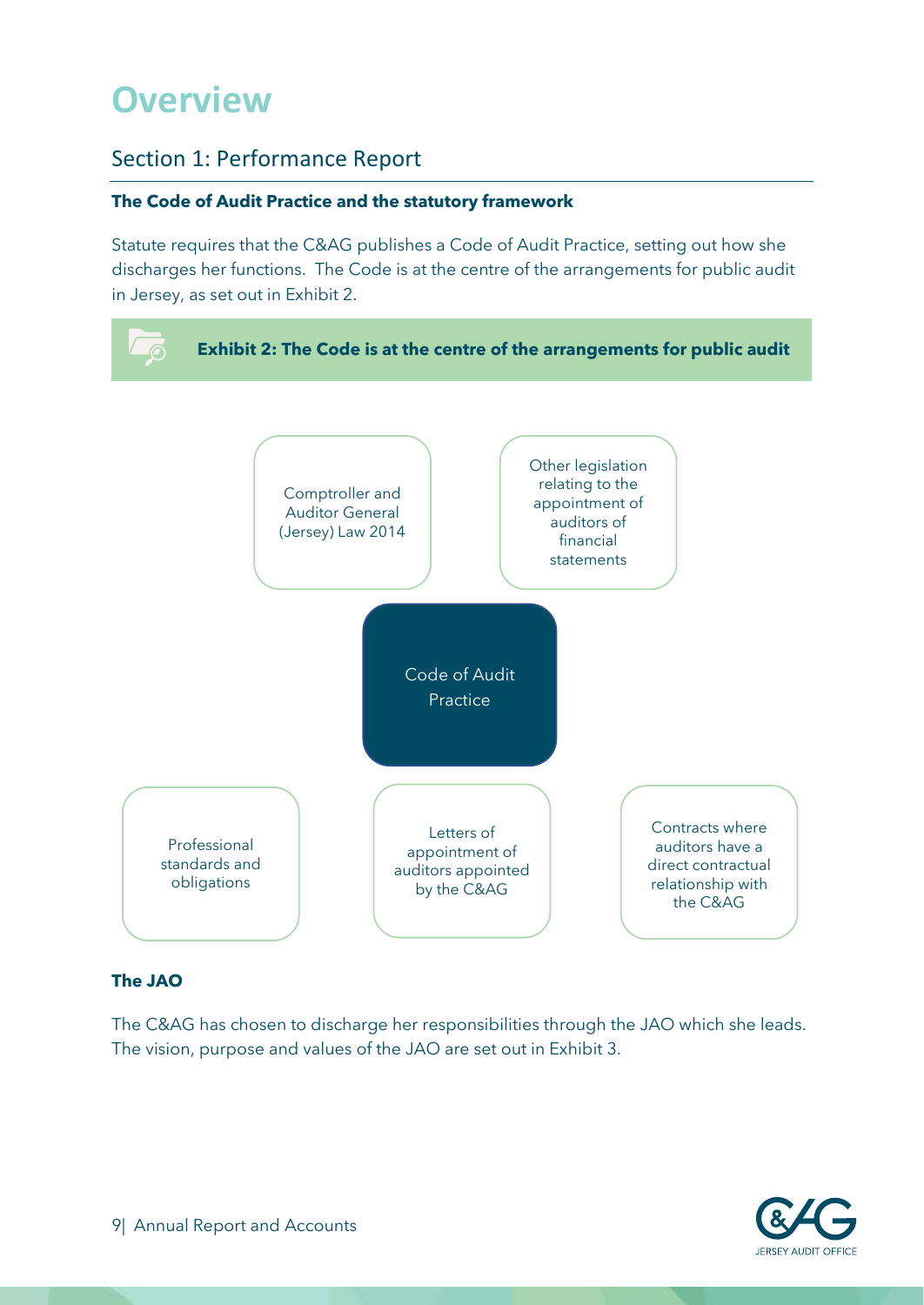### Section 1: Performance Report

#### **The Code of Audit Practice and the statutory framework**

Statute requires that the C&AG publishes a Code of Audit Practice, setting out how she discharges her functions. The Code is at the centre of the arrangements for public audit in Jersey, as set out in Exhibit 2.



#### **The JAO**

The C&AG has chosen to discharge her responsibilities through the JAO which she leads. The vision, purpose and values of the JAO are set out in Exhibit 3.

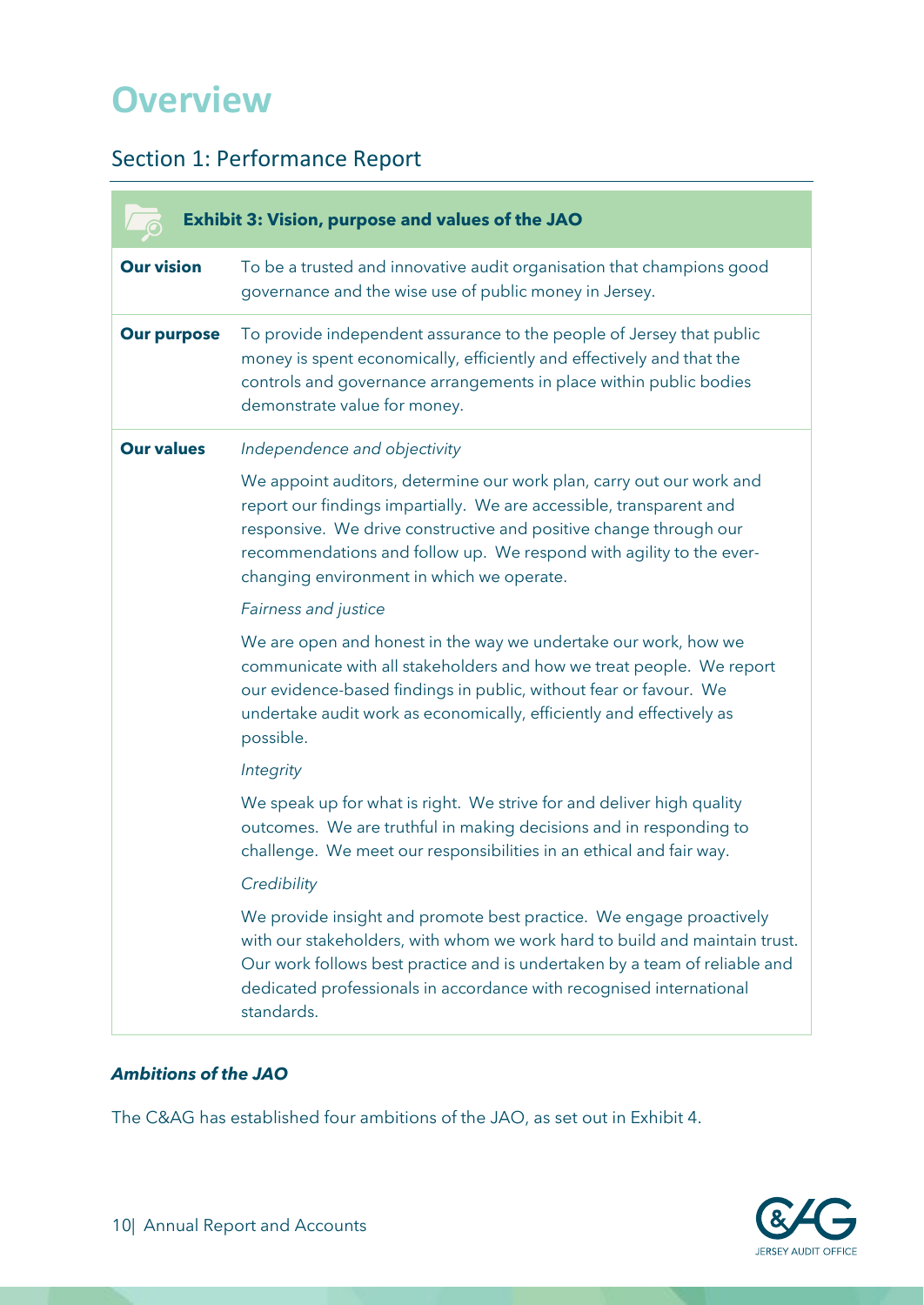### Section 1: Performance Report

|                    | <b>Exhibit 3: Vision, purpose and values of the JAO</b>                                                                                                                                                                                                                                                                              |
|--------------------|--------------------------------------------------------------------------------------------------------------------------------------------------------------------------------------------------------------------------------------------------------------------------------------------------------------------------------------|
| <b>Our vision</b>  | To be a trusted and innovative audit organisation that champions good<br>governance and the wise use of public money in Jersey.                                                                                                                                                                                                      |
| <b>Our purpose</b> | To provide independent assurance to the people of Jersey that public<br>money is spent economically, efficiently and effectively and that the<br>controls and governance arrangements in place within public bodies<br>demonstrate value for money.                                                                                  |
| <b>Our values</b>  | Independence and objectivity                                                                                                                                                                                                                                                                                                         |
|                    | We appoint auditors, determine our work plan, carry out our work and<br>report our findings impartially. We are accessible, transparent and<br>responsive. We drive constructive and positive change through our<br>recommendations and follow up. We respond with agility to the ever-<br>changing environment in which we operate. |
|                    | Fairness and justice                                                                                                                                                                                                                                                                                                                 |
|                    | We are open and honest in the way we undertake our work, how we<br>communicate with all stakeholders and how we treat people. We report<br>our evidence-based findings in public, without fear or favour. We<br>undertake audit work as economically, efficiently and effectively as<br>possible.                                    |
|                    | Integrity                                                                                                                                                                                                                                                                                                                            |
|                    | We speak up for what is right. We strive for and deliver high quality<br>outcomes. We are truthful in making decisions and in responding to<br>challenge. We meet our responsibilities in an ethical and fair way.                                                                                                                   |
|                    | Credibility                                                                                                                                                                                                                                                                                                                          |
|                    | We provide insight and promote best practice. We engage proactively<br>with our stakeholders, with whom we work hard to build and maintain trust.<br>Our work follows best practice and is undertaken by a team of reliable and<br>dedicated professionals in accordance with recognised international<br>standards.                 |

#### *Ambitions of the JAO*

The C&AG has established four ambitions of the JAO, as set out in Exhibit 4.

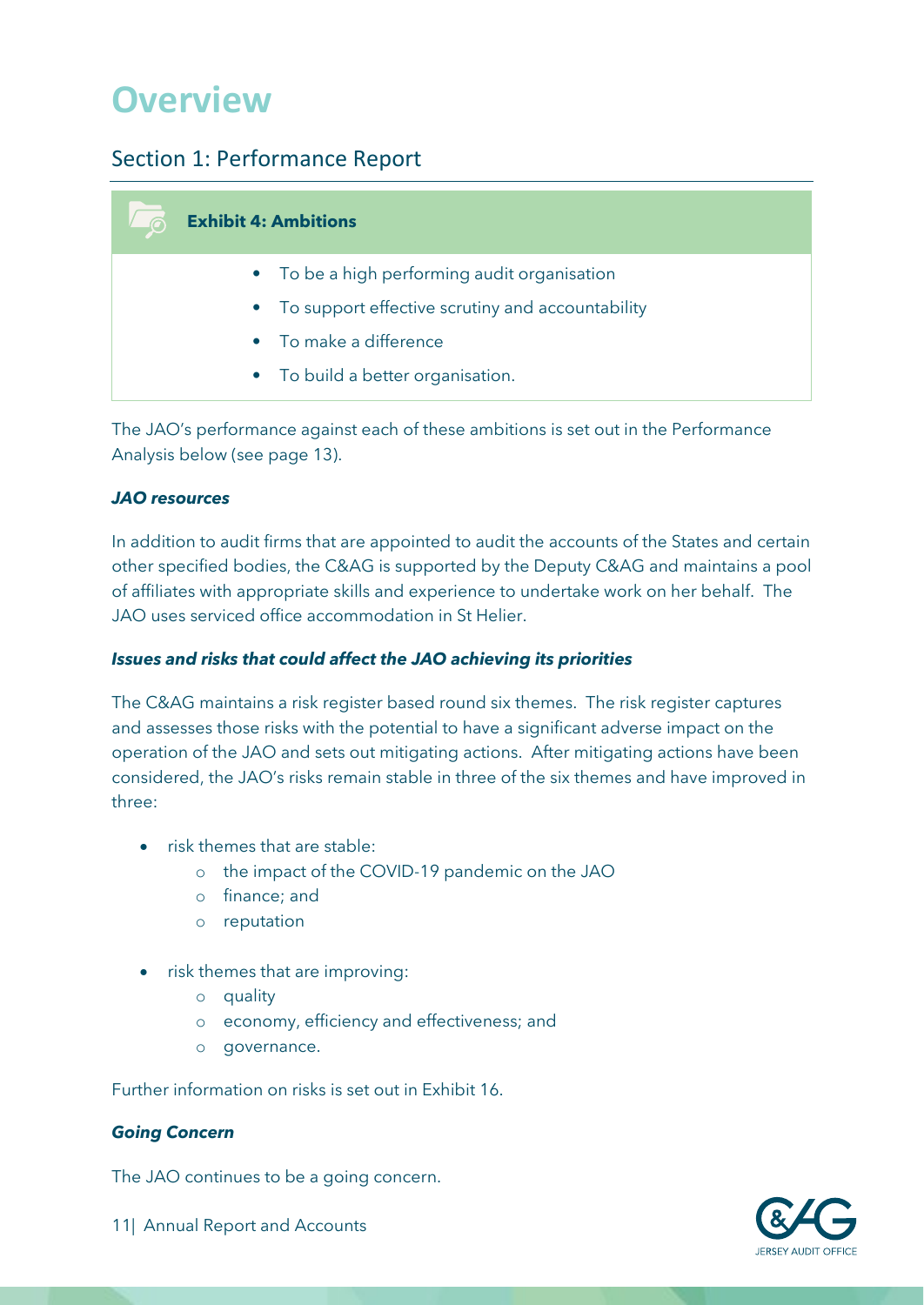### Section 1: Performance Report

| <b>Exhibit 4: Ambitions</b>                        |
|----------------------------------------------------|
| • To be a high performing audit organisation       |
| • To support effective scrutiny and accountability |
| • To make a difference                             |
| • To build a better organisation.                  |

The JAO's performance against each of these ambitions is set out in the Performance Analysis below (see page 13).

#### *JAO resources*

In addition to audit firms that are appointed to audit the accounts of the States and certain other specified bodies, the C&AG is supported by the Deputy C&AG and maintains a pool of affiliates with appropriate skills and experience to undertake work on her behalf. The JAO uses serviced office accommodation in St Helier.

#### *Issues and risks that could affect the JAO achieving its priorities*

The C&AG maintains a risk register based round six themes. The risk register captures and assesses those risks with the potential to have a significant adverse impact on the operation of the JAO and sets out mitigating actions. After mitigating actions have been considered, the JAO's risks remain stable in three of the six themes and have improved in three:

- risk themes that are stable:
	- o the impact of the COVID-19 pandemic on the JAO
	- o finance; and
	- o reputation
- risk themes that are improving:
	- o quality
	- o economy, efficiency and effectiveness; and
	- o governance.

Further information on risks is set out in Exhibit 16.

#### *Going Concern*

The JAO continues to be a going concern.



11| Annual Report and Accounts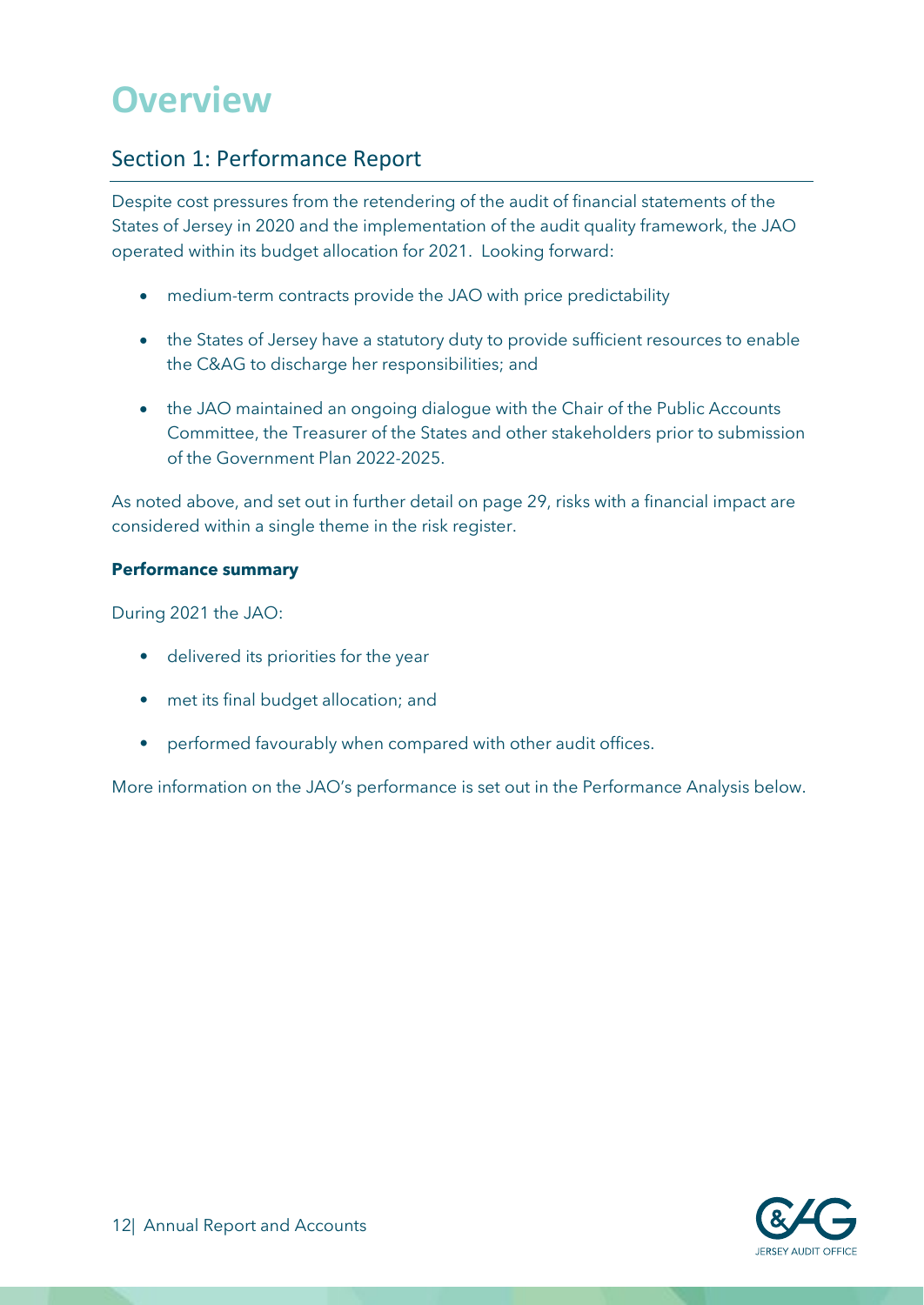### Section 1: Performance Report

Despite cost pressures from the retendering of the audit of financial statements of the States of Jersey in 2020 and the implementation of the audit quality framework, the JAO operated within its budget allocation for 2021. Looking forward:

- medium-term contracts provide the JAO with price predictability
- the States of Jersey have a statutory duty to provide sufficient resources to enable the C&AG to discharge her responsibilities; and
- the JAO maintained an ongoing dialogue with the Chair of the Public Accounts Committee, the Treasurer of the States and other stakeholders prior to submission of the Government Plan 2022-2025.

As noted above, and set out in further detail on page 29, risks with a financial impact are considered within a single theme in the risk register.

#### **Performance summary**

During 2021 the JAO:

- delivered its priorities for the year
- met its final budget allocation; and
- performed favourably when compared with other audit offices.

More information on the JAO's performance is set out in the Performance Analysis below.

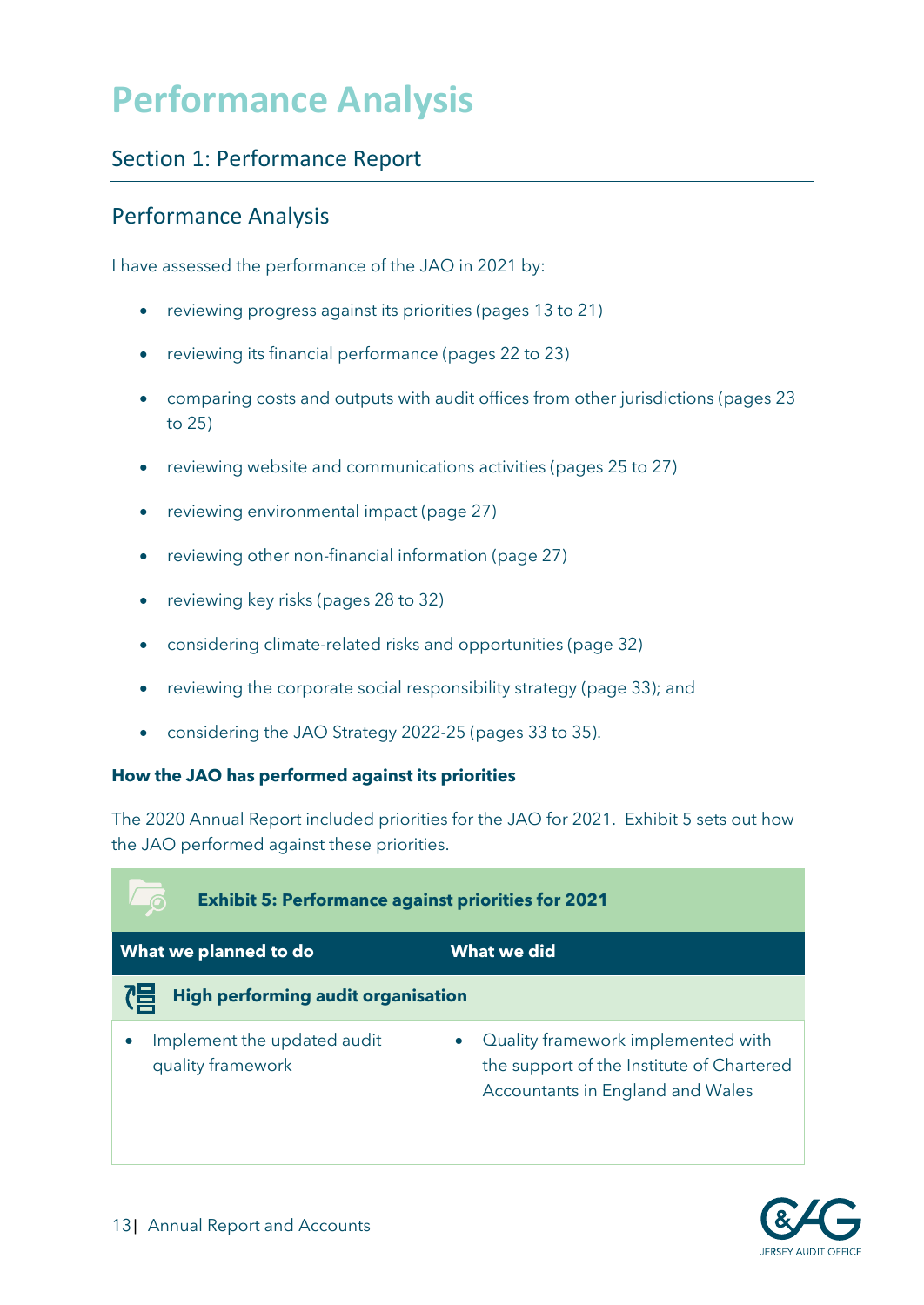### Section 1: Performance Report

### Performance Analysis

I have assessed the performance of the JAO in 2021 by:

- reviewing progress against its priorities (pages 13 to 21)
- reviewing its financial performance (pages 22 to 23)
- comparing costs and outputs with audit offices from other jurisdictions (pages 23 to 25)
- reviewing website and communications activities (pages 25 to 27)
- reviewing environmental impact (page 27)
- reviewing other non-financial information (page 27)
- reviewing key risks (pages 28 to 32)
- considering climate-related risks and opportunities (page 32)
- reviewing the corporate social responsibility strategy (page 33); and
- considering the JAO Strategy 2022-25 (pages 33 to 35).

#### **How the JAO has performed against its priorities**

The 2020 Annual Report included priorities for the JAO for 2021. Exhibit 5 sets out how the JAO performed against these priorities.

| <b>Exhibit 5: Performance against priorities for 2021</b> |                                                                                                                     |
|-----------------------------------------------------------|---------------------------------------------------------------------------------------------------------------------|
| What we planned to do                                     | What we did                                                                                                         |
| <b>High performing audit organisation</b>                 |                                                                                                                     |
| Implement the updated audit<br>quality framework          | Quality framework implemented with<br>the support of the Institute of Chartered<br>Accountants in England and Wales |

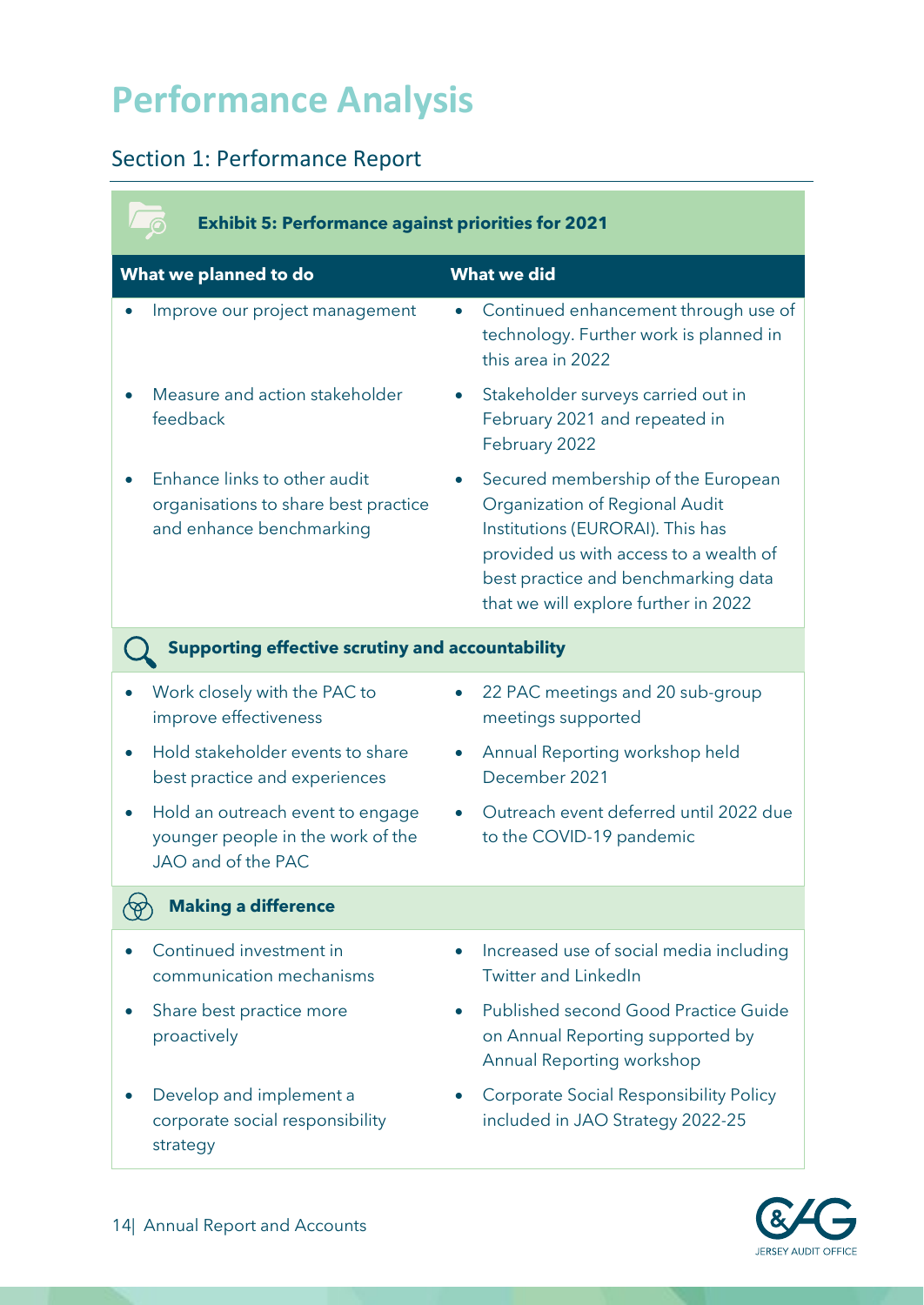### Section 1: Performance Report

| <b>Exhibit 5: Performance against priorities for 2021</b>                                        |                                                                                                                                                                                                                                   |  |
|--------------------------------------------------------------------------------------------------|-----------------------------------------------------------------------------------------------------------------------------------------------------------------------------------------------------------------------------------|--|
| What we planned to do                                                                            | <b>What we did</b>                                                                                                                                                                                                                |  |
| Improve our project management                                                                   | Continued enhancement through use of<br>technology. Further work is planned in<br>this area in 2022                                                                                                                               |  |
| Measure and action stakeholder<br>feedback                                                       | Stakeholder surveys carried out in<br>$\bullet$<br>February 2021 and repeated in<br>February 2022                                                                                                                                 |  |
| Enhance links to other audit<br>organisations to share best practice<br>and enhance benchmarking | Secured membership of the European<br>Organization of Regional Audit<br>Institutions (EURORAI). This has<br>provided us with access to a wealth of<br>best practice and benchmarking data<br>that we will explore further in 2022 |  |
| <b>Supporting effective scrutiny and accountability</b>                                          |                                                                                                                                                                                                                                   |  |
| Work closely with the PAC to<br>improve effectiveness                                            | 22 PAC meetings and 20 sub-group<br>meetings supported                                                                                                                                                                            |  |
| Hold stakeholder events to share<br>best practice and experiences                                | Annual Reporting workshop held<br>December 2021                                                                                                                                                                                   |  |
| Hold an outreach event to engage<br>younger people in the work of the<br>JAO and of the PAC      | Outreach event deferred until 2022 due<br>to the COVID-19 pandemic                                                                                                                                                                |  |
| <b>Making a difference</b>                                                                       |                                                                                                                                                                                                                                   |  |
| Continued investment in<br>communication mechanisms                                              | Increased use of social media including<br><b>Twitter and LinkedIn</b>                                                                                                                                                            |  |
| Share best practice more<br>proactively                                                          | Published second Good Practice Guide<br>on Annual Reporting supported by<br>Annual Reporting workshop                                                                                                                             |  |
| Develop and implement a<br>corporate social responsibility<br>strategy                           | <b>Corporate Social Responsibility Policy</b><br>included in JAO Strategy 2022-25                                                                                                                                                 |  |

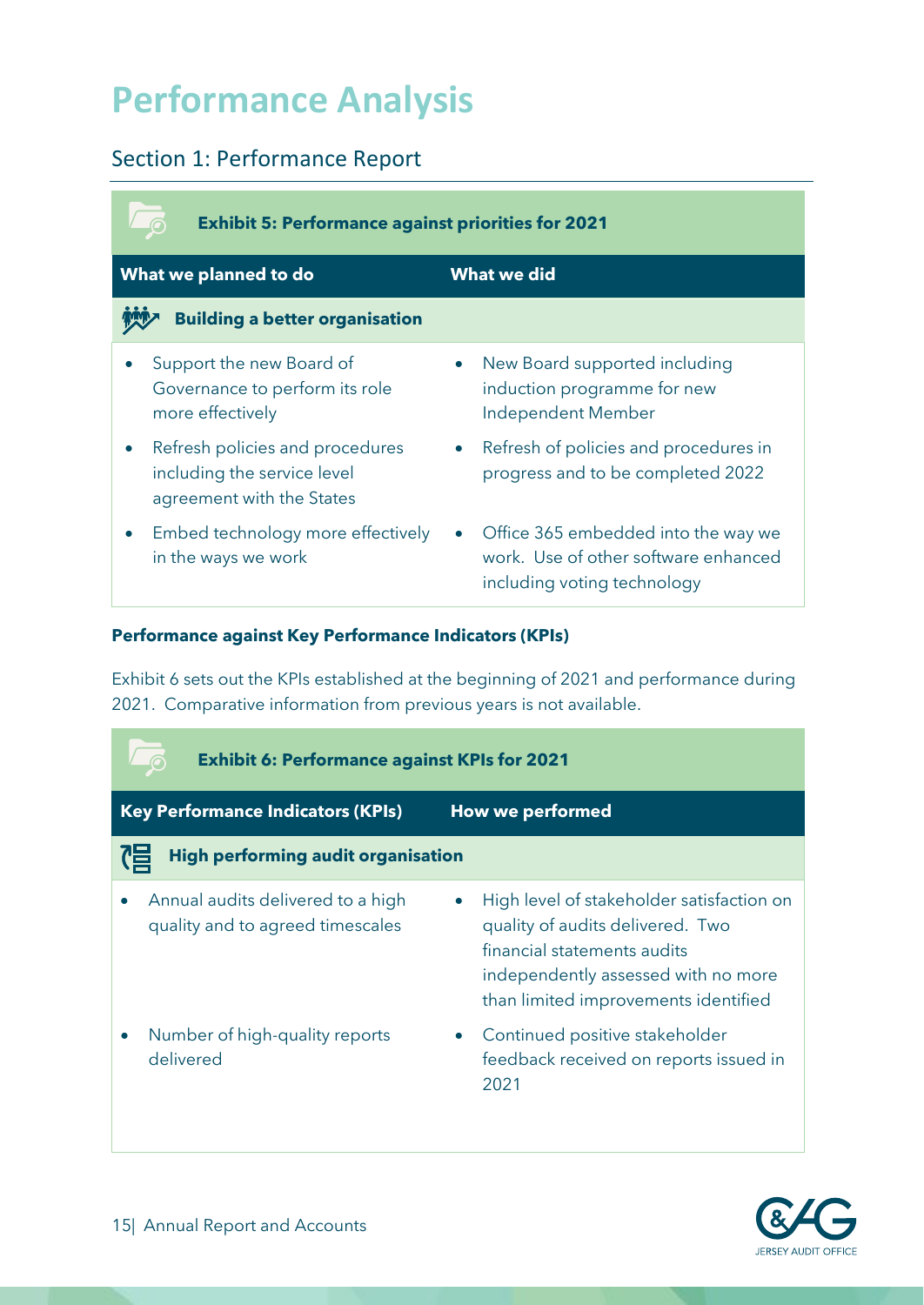### Section 1: Performance Report

| <b>Exhibit 5: Performance against priorities for 2021</b>                                   |                                                                                                            |  |
|---------------------------------------------------------------------------------------------|------------------------------------------------------------------------------------------------------------|--|
| What we planned to do                                                                       | <b>What we did</b>                                                                                         |  |
| <b>Building a better organisation</b>                                                       |                                                                                                            |  |
| Support the new Board of<br>Governance to perform its role<br>more effectively              | New Board supported including<br>induction programme for new<br>Independent Member                         |  |
| Refresh policies and procedures<br>including the service level<br>agreement with the States | Refresh of policies and procedures in<br>progress and to be completed 2022                                 |  |
| Embed technology more effectively<br>in the ways we work                                    | Office 365 embedded into the way we<br>work. Use of other software enhanced<br>including voting technology |  |

#### **Performance against Key Performance Indicators (KPIs)**

Exhibit 6 sets out the KPIs established at the beginning of 2021 and performance during 2021. Comparative information from previous years is not available.

| <b>Exhibit 6: Performance against KPIs for 2021</b> |                                                                       |                                                                                                                                                                                                          |
|-----------------------------------------------------|-----------------------------------------------------------------------|----------------------------------------------------------------------------------------------------------------------------------------------------------------------------------------------------------|
|                                                     | <b>Key Performance Indicators (KPIs)</b>                              | <b>How we performed</b>                                                                                                                                                                                  |
| <b>High performing audit organisation</b>           |                                                                       |                                                                                                                                                                                                          |
|                                                     | Annual audits delivered to a high<br>quality and to agreed timescales | High level of stakeholder satisfaction on<br>$\bullet$<br>quality of audits delivered. Two<br>financial statements audits<br>independently assessed with no more<br>than limited improvements identified |
|                                                     | Number of high-quality reports<br>delivered                           | Continued positive stakeholder<br>$\bullet$<br>feedback received on reports issued in<br>2021                                                                                                            |

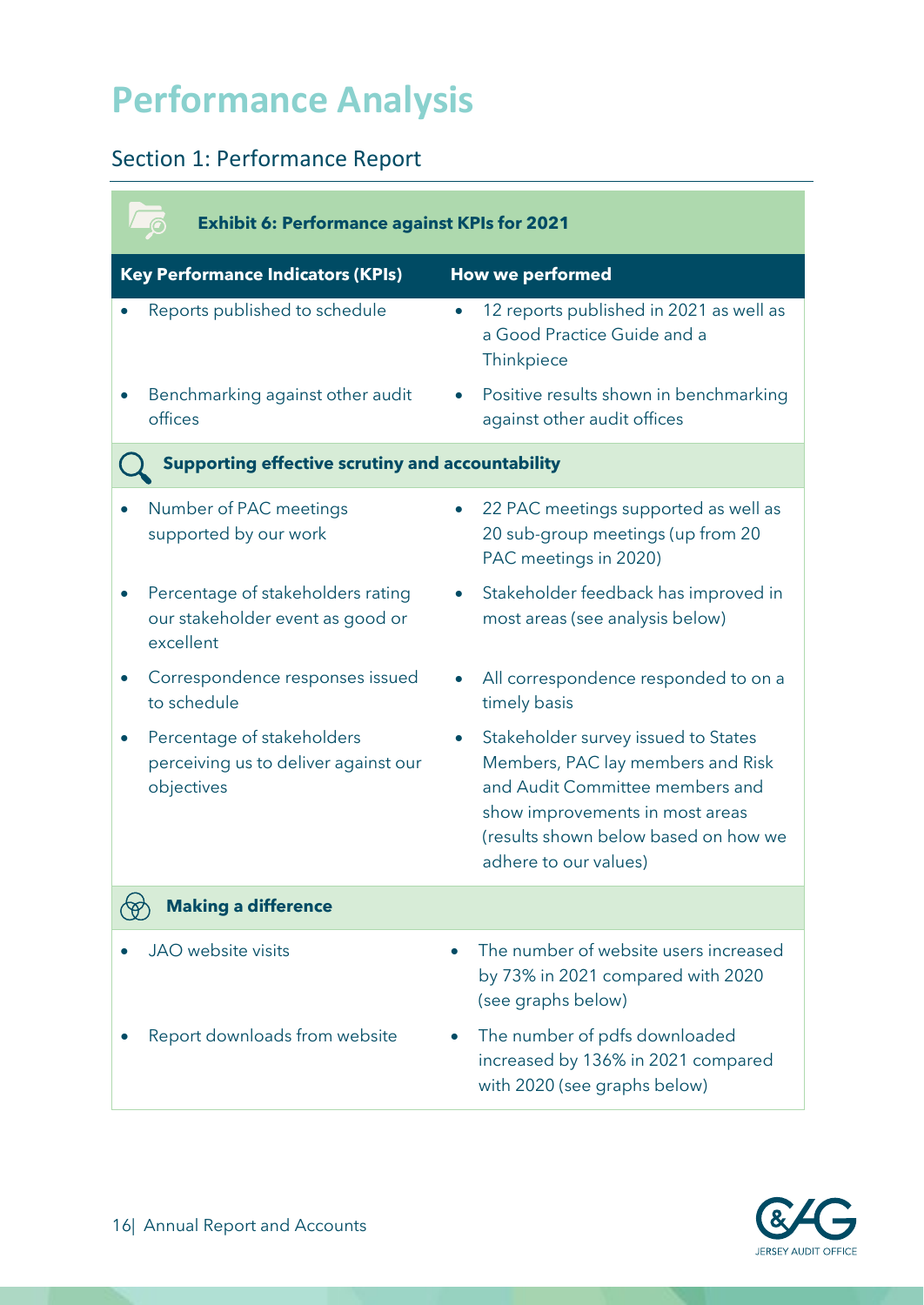### Section 1: Performance Report

|                            | <b>Exhibit 6: Performance against KPIs for 2021</b>                                |                                                                                                                                                                                                                 |
|----------------------------|------------------------------------------------------------------------------------|-----------------------------------------------------------------------------------------------------------------------------------------------------------------------------------------------------------------|
|                            | <b>Key Performance Indicators (KPIs)</b>                                           | <b>How we performed</b>                                                                                                                                                                                         |
|                            | Reports published to schedule                                                      | 12 reports published in 2021 as well as<br>a Good Practice Guide and a<br>Thinkpiece                                                                                                                            |
|                            | Benchmarking against other audit<br>offices                                        | Positive results shown in benchmarking<br>against other audit offices                                                                                                                                           |
|                            | <b>Supporting effective scrutiny and accountability</b>                            |                                                                                                                                                                                                                 |
|                            | Number of PAC meetings<br>supported by our work                                    | 22 PAC meetings supported as well as<br>20 sub-group meetings (up from 20<br>PAC meetings in 2020)                                                                                                              |
|                            | Percentage of stakeholders rating<br>our stakeholder event as good or<br>excellent | Stakeholder feedback has improved in<br>most areas (see analysis below)                                                                                                                                         |
|                            | Correspondence responses issued<br>to schedule                                     | All correspondence responded to on a<br>timely basis                                                                                                                                                            |
|                            | Percentage of stakeholders<br>perceiving us to deliver against our<br>objectives   | Stakeholder survey issued to States<br>Members, PAC lay members and Risk<br>and Audit Committee members and<br>show improvements in most areas<br>(results shown below based on how we<br>adhere to our values) |
| <b>Making a difference</b> |                                                                                    |                                                                                                                                                                                                                 |
|                            | <b>JAO</b> website visits                                                          | The number of website users increased<br>by 73% in 2021 compared with 2020<br>(see graphs below)                                                                                                                |
|                            | Report downloads from website                                                      | The number of pdfs downloaded<br>increased by 136% in 2021 compared<br>with 2020 (see graphs below)                                                                                                             |

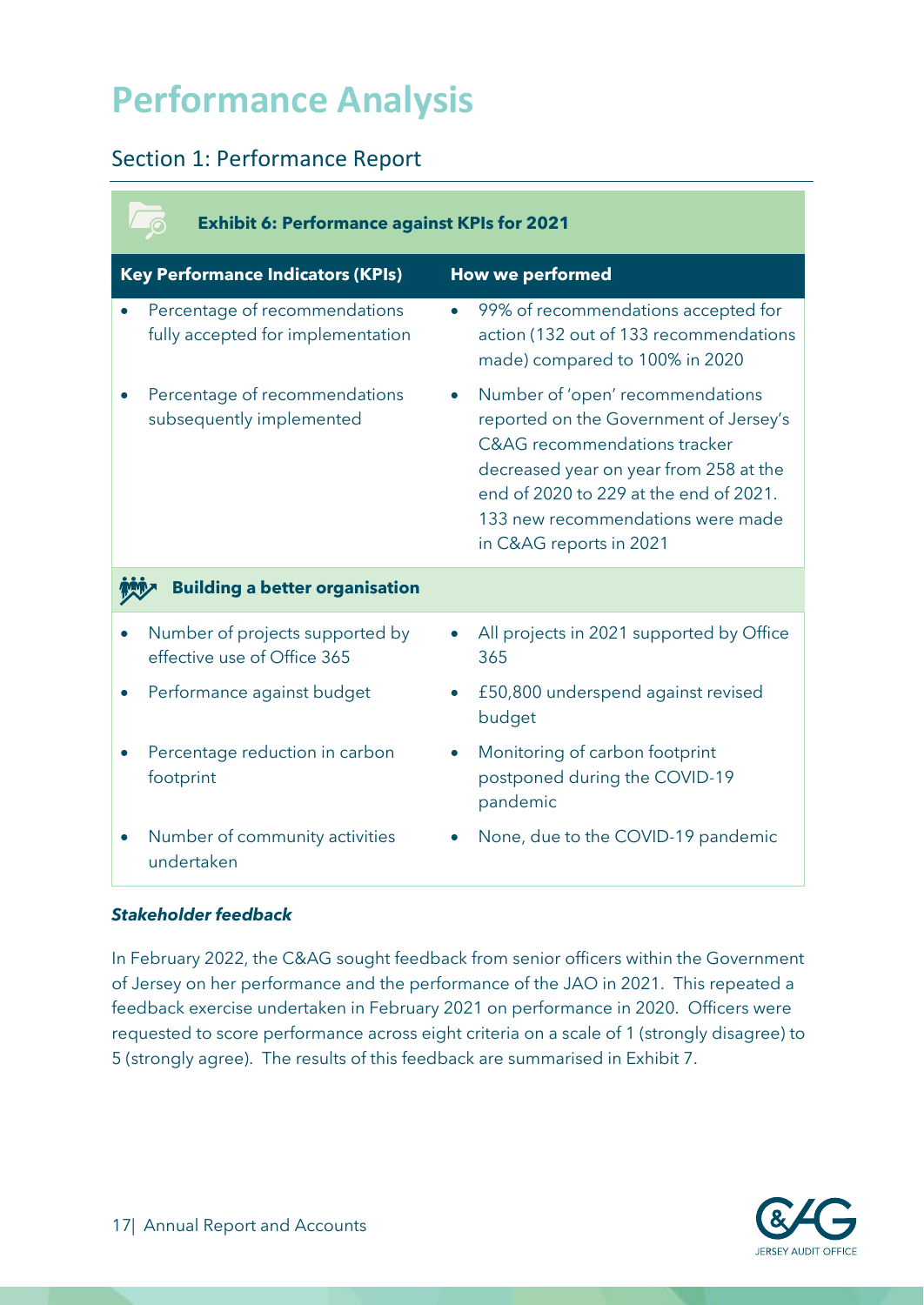### Section 1: Performance Report

| <b>Exhibit 6: Performance against KPIs for 2021</b>                |           |                                                                                                                                                                                                                                                                |
|--------------------------------------------------------------------|-----------|----------------------------------------------------------------------------------------------------------------------------------------------------------------------------------------------------------------------------------------------------------------|
| <b>Key Performance Indicators (KPIs)</b>                           |           | <b>How we performed</b>                                                                                                                                                                                                                                        |
| Percentage of recommendations<br>fully accepted for implementation | $\bullet$ | 99% of recommendations accepted for<br>action (132 out of 133 recommendations<br>made) compared to 100% in 2020                                                                                                                                                |
| Percentage of recommendations<br>subsequently implemented          |           | Number of 'open' recommendations<br>reported on the Government of Jersey's<br>C&AG recommendations tracker<br>decreased year on year from 258 at the<br>end of 2020 to 229 at the end of 2021.<br>133 new recommendations were made<br>in C&AG reports in 2021 |
| <b>Building a better organisation</b>                              |           |                                                                                                                                                                                                                                                                |
| Number of projects supported by<br>effective use of Office 365     |           | All projects in 2021 supported by Office<br>365                                                                                                                                                                                                                |
| Performance against budget                                         |           | £50,800 underspend against revised<br>budget                                                                                                                                                                                                                   |
| Percentage reduction in carbon<br>footprint                        |           | Monitoring of carbon footprint<br>postponed during the COVID-19<br>pandemic                                                                                                                                                                                    |
| Number of community activities<br>undertaken                       |           | None, due to the COVID-19 pandemic                                                                                                                                                                                                                             |

#### *Stakeholder feedback*

In February 2022, the C&AG sought feedback from senior officers within the Government of Jersey on her performance and the performance of the JAO in 2021. This repeated a feedback exercise undertaken in February 2021 on performance in 2020. Officers were requested to score performance across eight criteria on a scale of 1 (strongly disagree) to 5 (strongly agree). The results of this feedback are summarised in Exhibit 7.

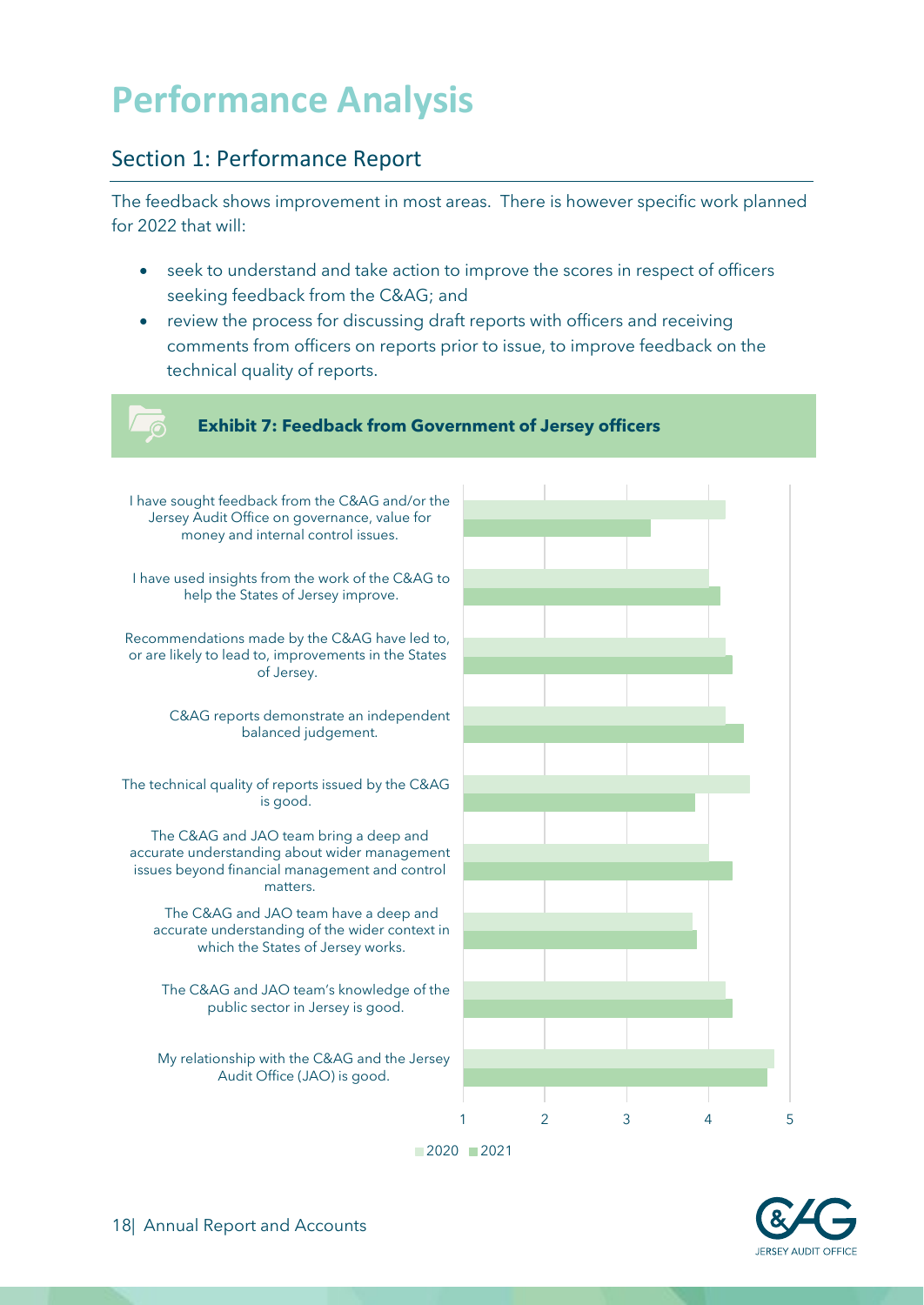### Section 1: Performance Report

The feedback shows improvement in most areas. There is however specific work planned for 2022 that will:

- seek to understand and take action to improve the scores in respect of officers seeking feedback from the C&AG; and
- review the process for discussing draft reports with officers and receiving comments from officers on reports prior to issue, to improve feedback on the technical quality of reports.



2020 2021

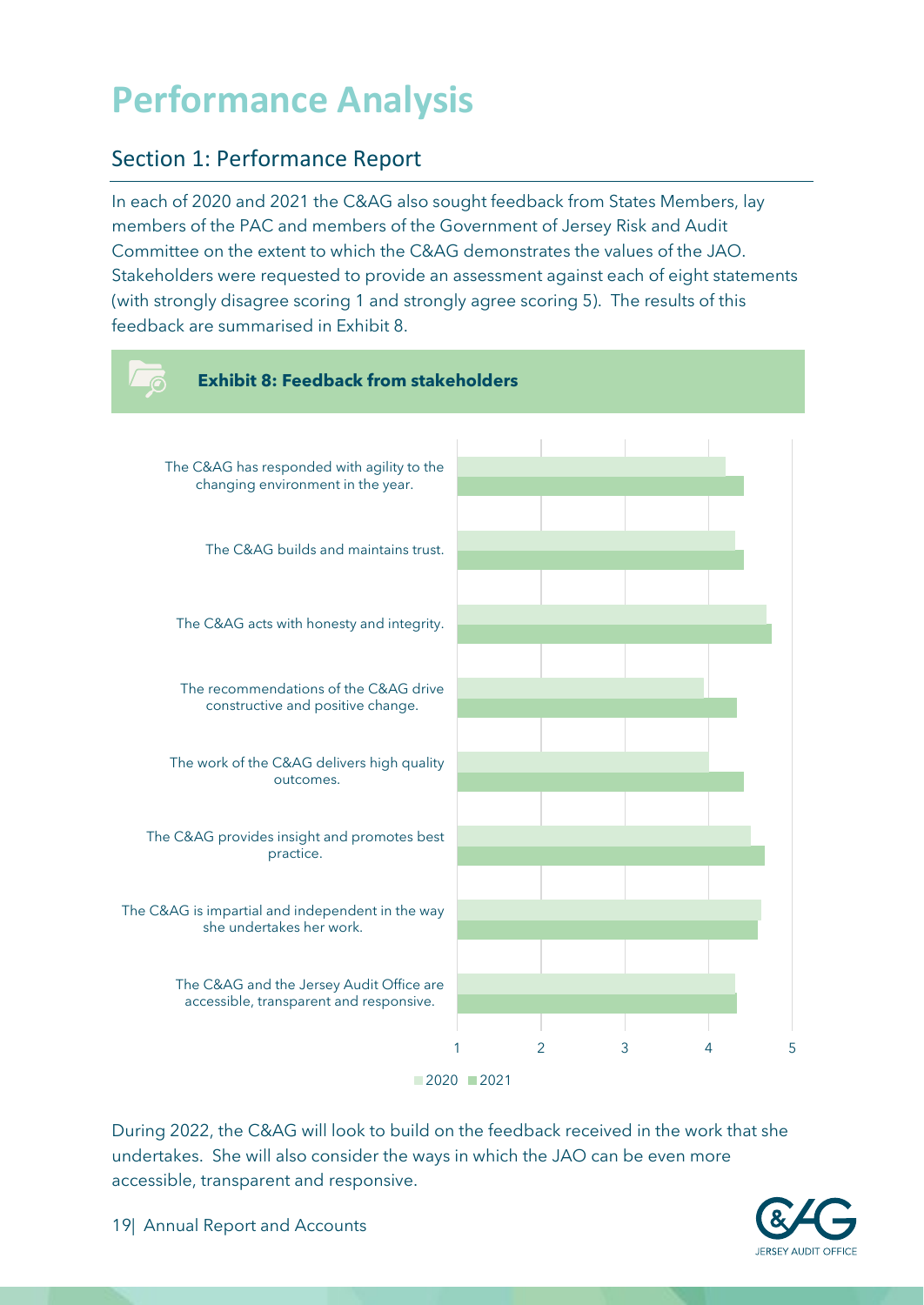### Section 1: Performance Report

In each of 2020 and 2021 the C&AG also sought feedback from States Members, lay members of the PAC and members of the Government of Jersey Risk and Audit Committee on the extent to which the C&AG demonstrates the values of the JAO. Stakeholders were requested to provide an assessment against each of eight statements (with strongly disagree scoring 1 and strongly agree scoring 5). The results of this feedback are summarised in Exhibit 8.



During 2022, the C&AG will look to build on the feedback received in the work that she undertakes. She will also consider the ways in which the JAO can be even more accessible, transparent and responsive.



19| Annual Report and Accounts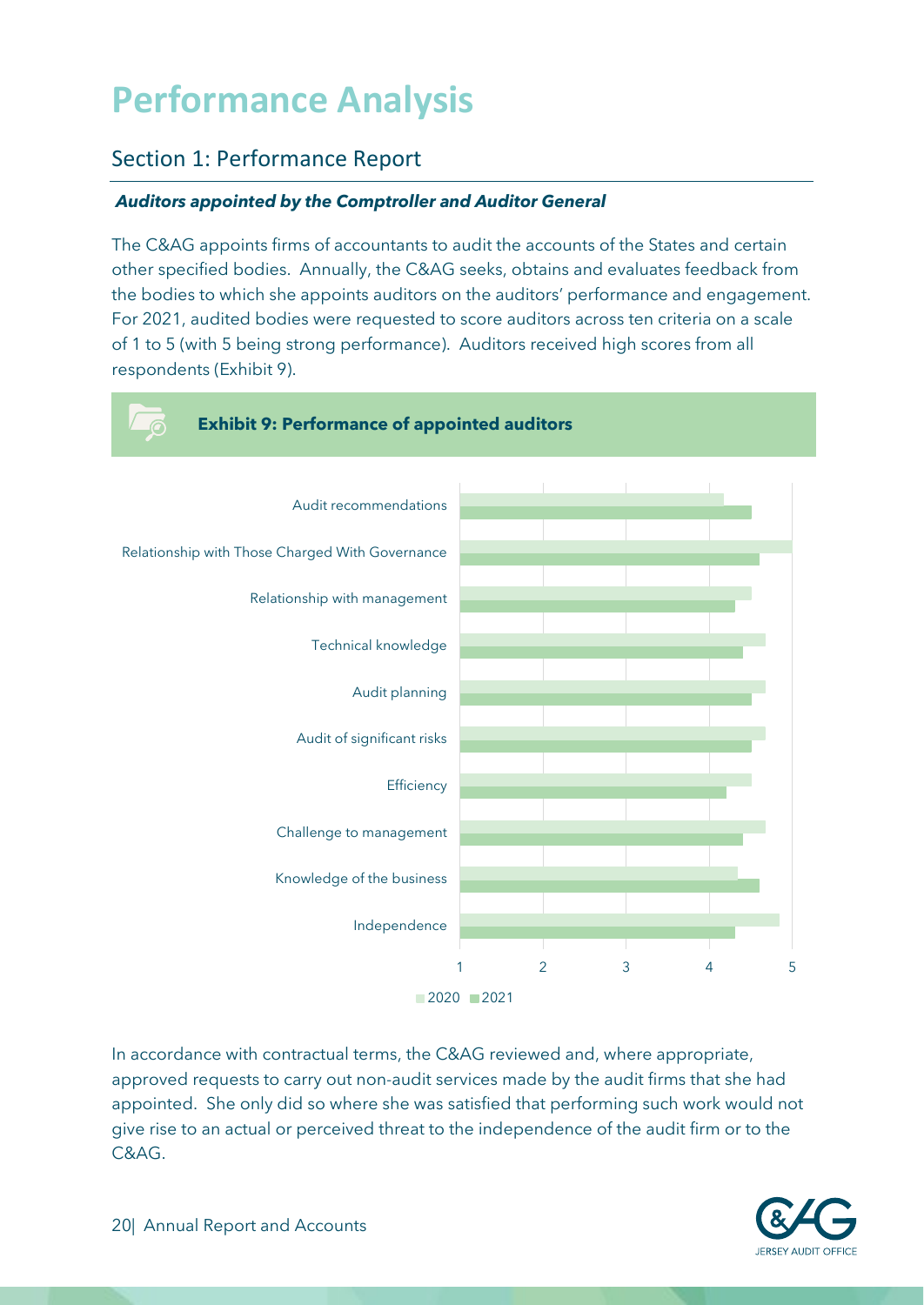### Section 1: Performance Report

#### *Auditors appointed by the Comptroller and Auditor General*

The C&AG appoints firms of accountants to audit the accounts of the States and certain other specified bodies. Annually, the C&AG seeks, obtains and evaluates feedback from the bodies to which she appoints auditors on the auditors' performance and engagement. For 2021, audited bodies were requested to score auditors across ten criteria on a scale of 1 to 5 (with 5 being strong performance). Auditors received high scores from all respondents (Exhibit 9).



In accordance with contractual terms, the C&AG reviewed and, where appropriate, approved requests to carry out non-audit services made by the audit firms that she had appointed. She only did so where she was satisfied that performing such work would not give rise to an actual or perceived threat to the independence of the audit firm or to the C&AG.

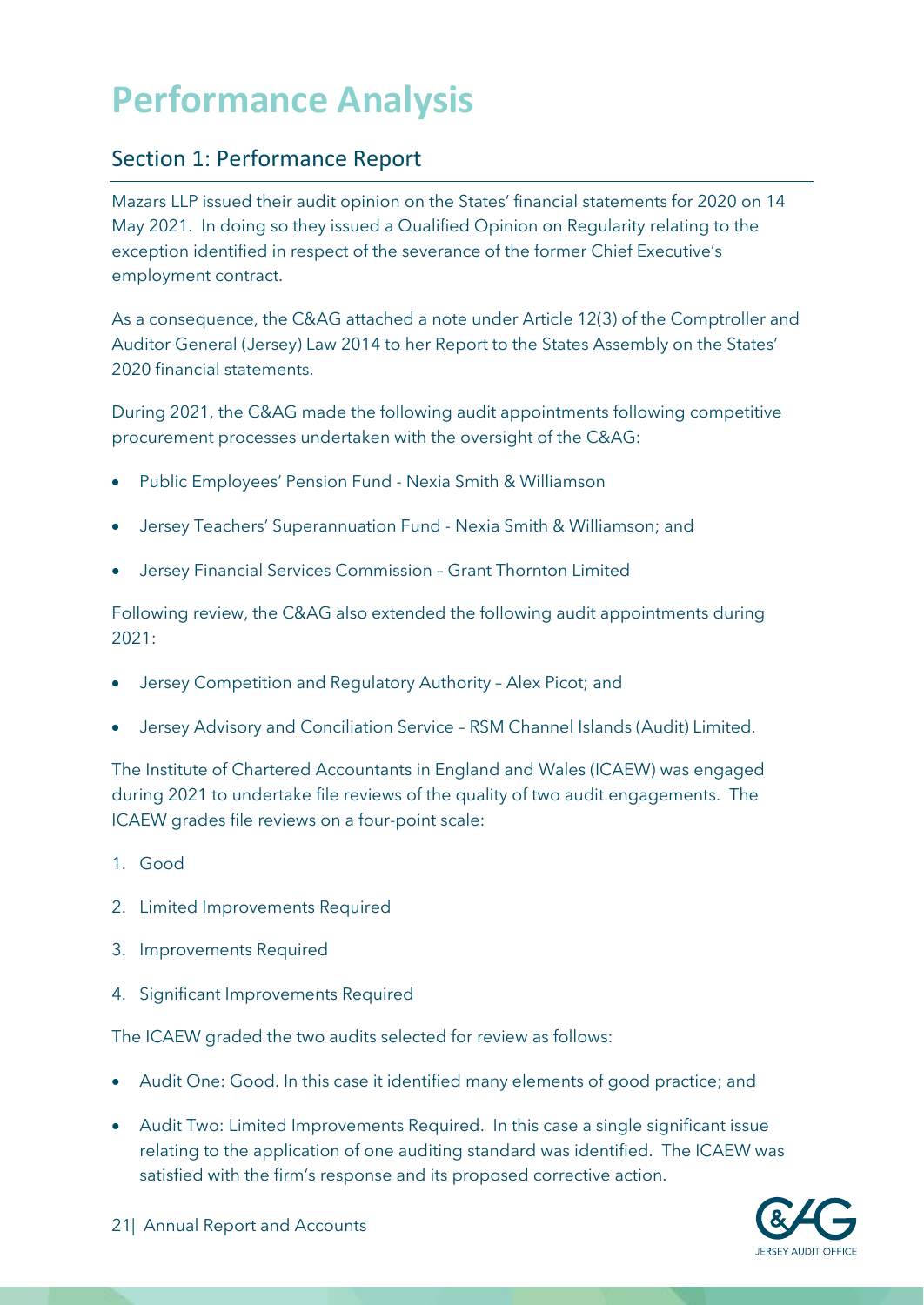### Section 1: Performance Report

Mazars LLP issued their audit opinion on the States' financial statements for 2020 on 14 May 2021. In doing so they issued a Qualified Opinion on Regularity relating to the exception identified in respect of the severance of the former Chief Executive's employment contract.

As a consequence, the C&AG attached a note under Article 12(3) of the Comptroller and Auditor General (Jersey) Law 2014 to her Report to the States Assembly on the States' 2020 financial statements.

During 2021, the C&AG made the following audit appointments following competitive procurement processes undertaken with the oversight of the C&AG:

- Public Employees' Pension Fund Nexia Smith & Williamson
- Jersey Teachers' Superannuation Fund Nexia Smith & Williamson; and
- Jersey Financial Services Commission Grant Thornton Limited

Following review, the C&AG also extended the following audit appointments during 2021:

- Jersey Competition and Regulatory Authority Alex Picot; and
- Jersey Advisory and Conciliation Service RSM Channel Islands (Audit) Limited.

The Institute of Chartered Accountants in England and Wales (ICAEW) was engaged during 2021 to undertake file reviews of the quality of two audit engagements. The ICAEW grades file reviews on a four-point scale:

- 1. Good
- 2. Limited Improvements Required
- 3. Improvements Required
- 4. Significant Improvements Required

The ICAEW graded the two audits selected for review as follows:

- Audit One: Good. In this case it identified many elements of good practice; and
- Audit Two: Limited Improvements Required. In this case a single significant issue relating to the application of one auditing standard was identified. The ICAEW was satisfied with the firm's response and its proposed corrective action.



21| Annual Report and Accounts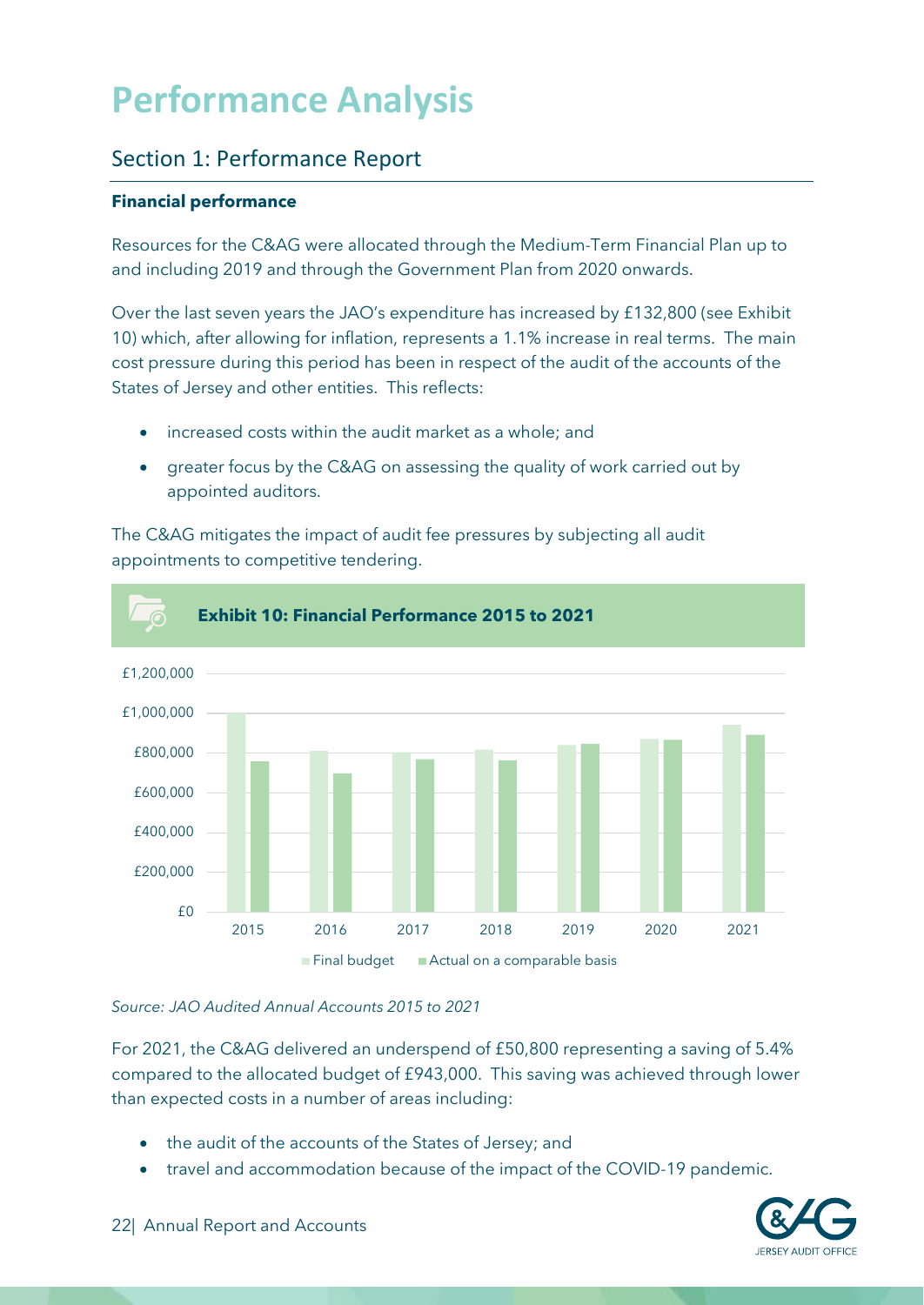### Section 1: Performance Report

#### **Financial performance**

Resources for the C&AG were allocated through the Medium-Term Financial Plan up to and including 2019 and through the Government Plan from 2020 onwards.

Over the last seven years the JAO's expenditure has increased by £132,800 (see Exhibit 10) which, after allowing for inflation, represents a 1.1% increase in real terms. The main cost pressure during this period has been in respect of the audit of the accounts of the States of Jersey and other entities. This reflects:

- increased costs within the audit market as a whole; and
- greater focus by the C&AG on assessing the quality of work carried out by appointed auditors.

The C&AG mitigates the impact of audit fee pressures by subjecting all audit appointments to competitive tendering.



#### *Source: JAO Audited Annual Accounts 2015 to 2021*

For 2021, the C&AG delivered an underspend of £50,800 representing a saving of 5.4% compared to the allocated budget of £943,000. This saving was achieved through lower than expected costs in a number of areas including:

- the audit of the accounts of the States of Jersey; and
- travel and accommodation because of the impact of the COVID-19 pandemic.

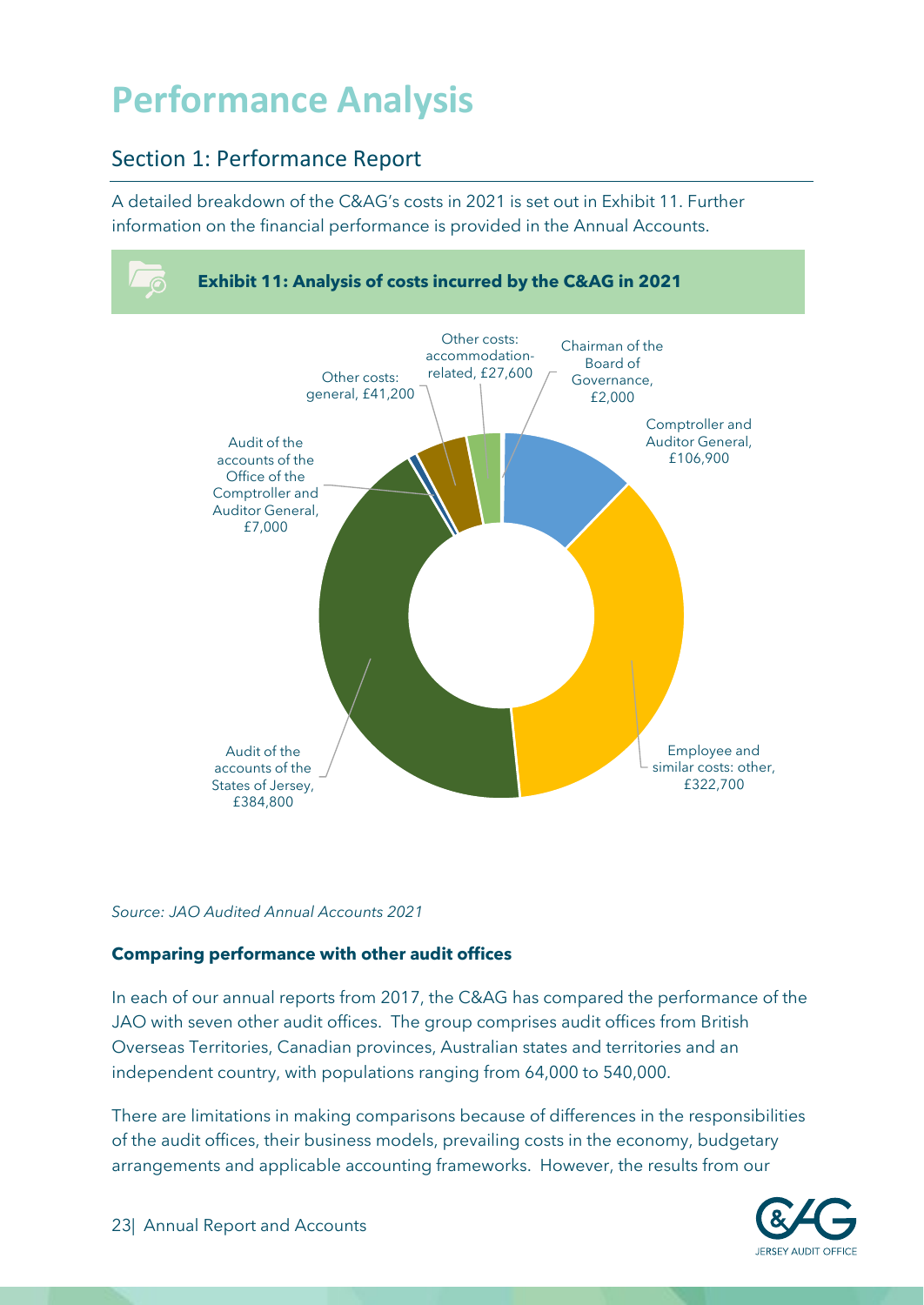### Section 1: Performance Report

A detailed breakdown of the C&AG's costs in 2021 is set out in Exhibit 11. Further information on the financial performance is provided in the Annual Accounts.



#### *Source: JAO Audited Annual Accounts 2021*

#### **Comparing performance with other audit offices**

In each of our annual reports from 2017, the C&AG has compared the performance of the JAO with seven other audit offices. The group comprises audit offices from British Overseas Territories, Canadian provinces, Australian states and territories and an independent country, with populations ranging from 64,000 to 540,000.

There are limitations in making comparisons because of differences in the responsibilities of the audit offices, their business models, prevailing costs in the economy, budgetary arrangements and applicable accounting frameworks. However, the results from our

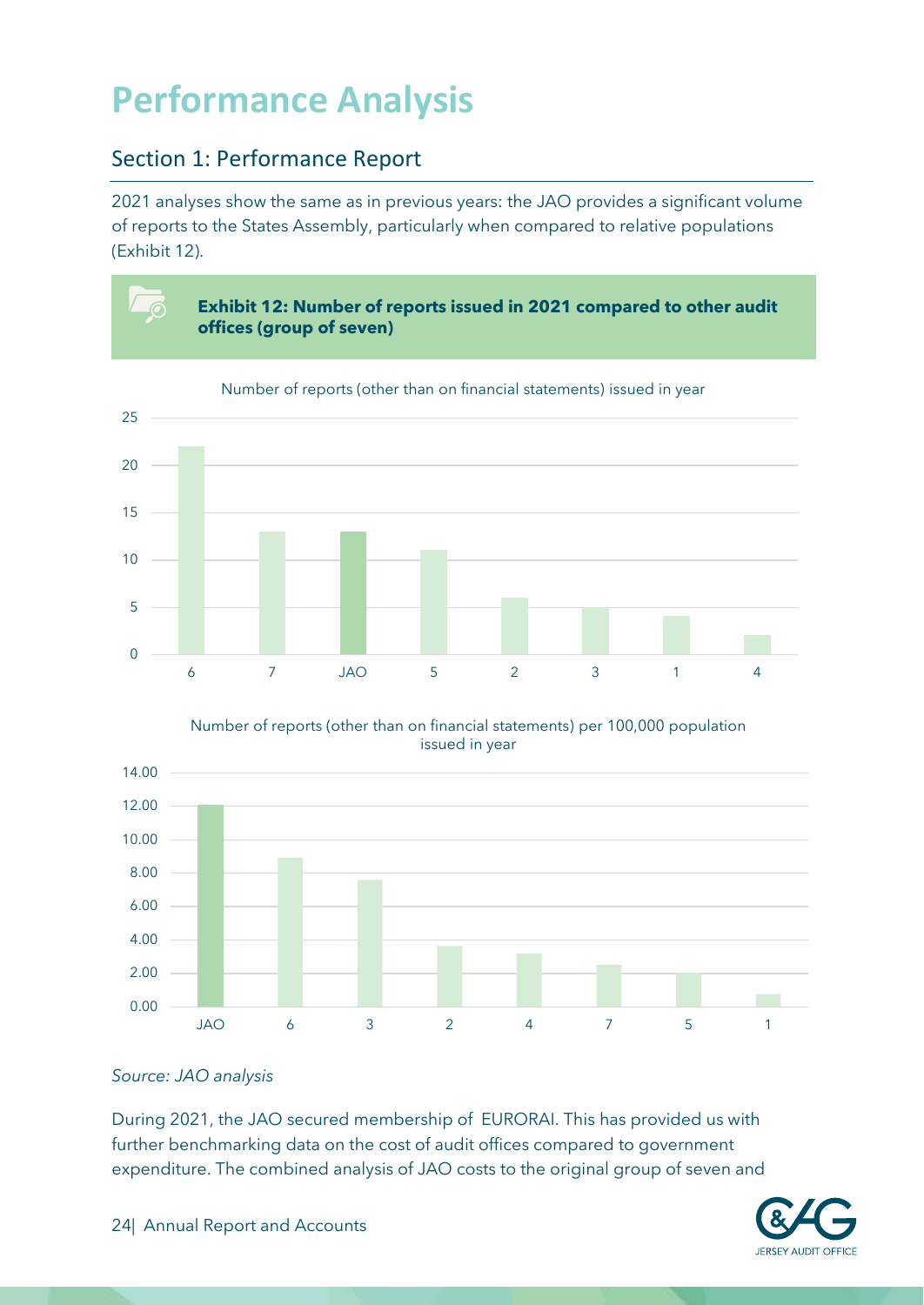### Section 1: Performance Report

2021 analyses show the same as in previous years: the JAO provides a significant volume of reports to the States Assembly, particularly when compared to relative populations (Exhibit 12).

#### **Exhibit 12: Number of reports issued in 2021 compared to other audit offices (group of seven)**



Number of reports (other than on financial statements) per 100,000 population issued in year



#### *Source: JAO analysis*

During 2021, the JAO secured membership of EURORAI. This has provided us with further benchmarking data on the cost of audit offices compared to government expenditure. The combined analysis of JAO costs to the original group of seven and

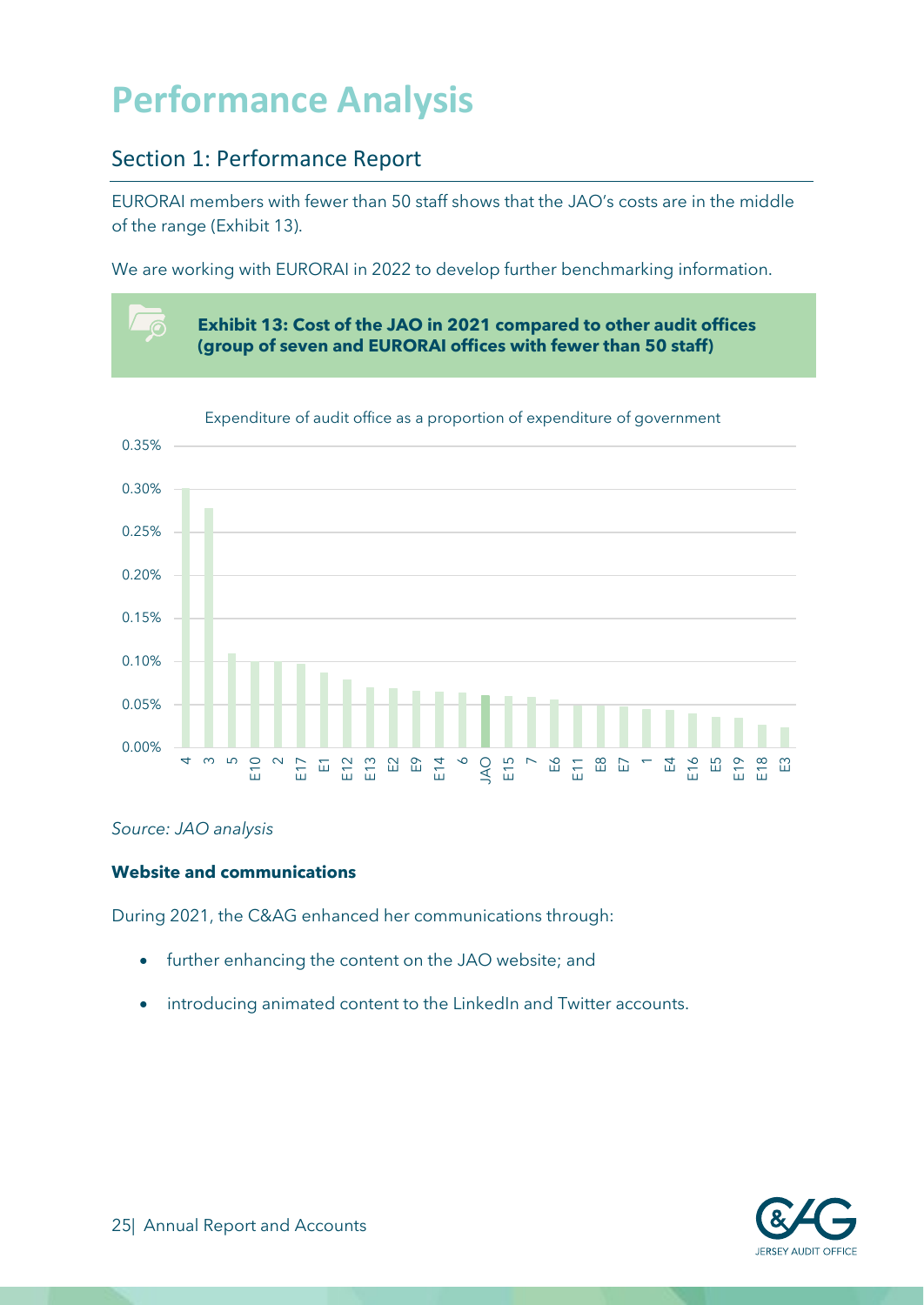### Section 1: Performance Report

EURORAI members with fewer than 50 staff shows that the JAO's costs are in the middle of the range (Exhibit 13).

We are working with EURORAI in 2022 to develop further benchmarking information.



#### *Source: JAO analysis*

#### **Website and communications**

During 2021, the C&AG enhanced her communications through:

- further enhancing the content on the JAO website; and
- introducing animated content to the LinkedIn and Twitter accounts.

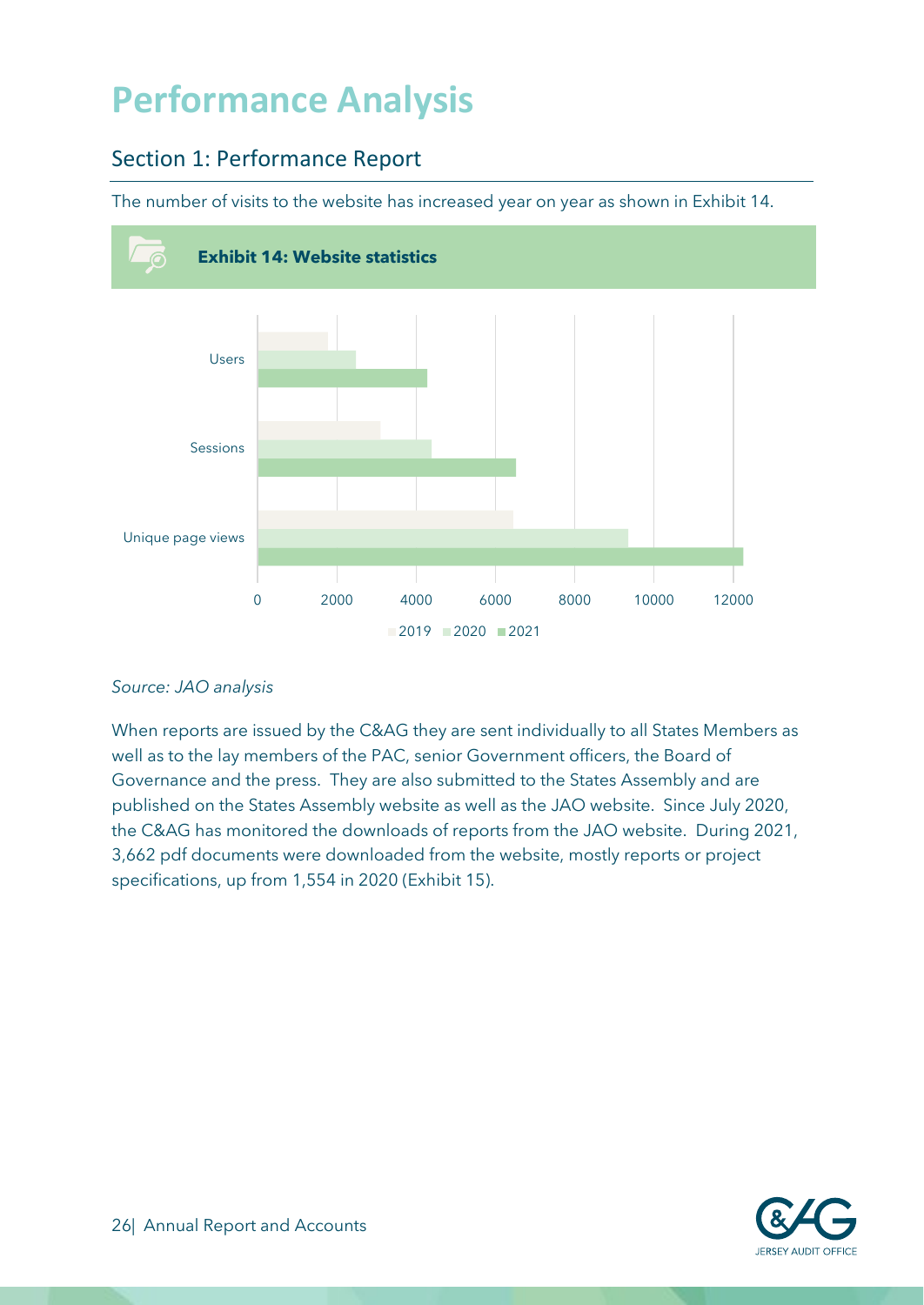### Section 1: Performance Report

The number of visits to the website has increased year on year as shown in Exhibit 14.



#### *Source: JAO analysis*

When reports are issued by the C&AG they are sent individually to all States Members as well as to the lay members of the PAC, senior Government officers, the Board of Governance and the press. They are also submitted to the States Assembly and are published on the States Assembly website as well as the JAO website. Since July 2020, the C&AG has monitored the downloads of reports from the JAO website. During 2021, 3,662 pdf documents were downloaded from the website, mostly reports or project specifications, up from 1,554 in 2020 (Exhibit 15).

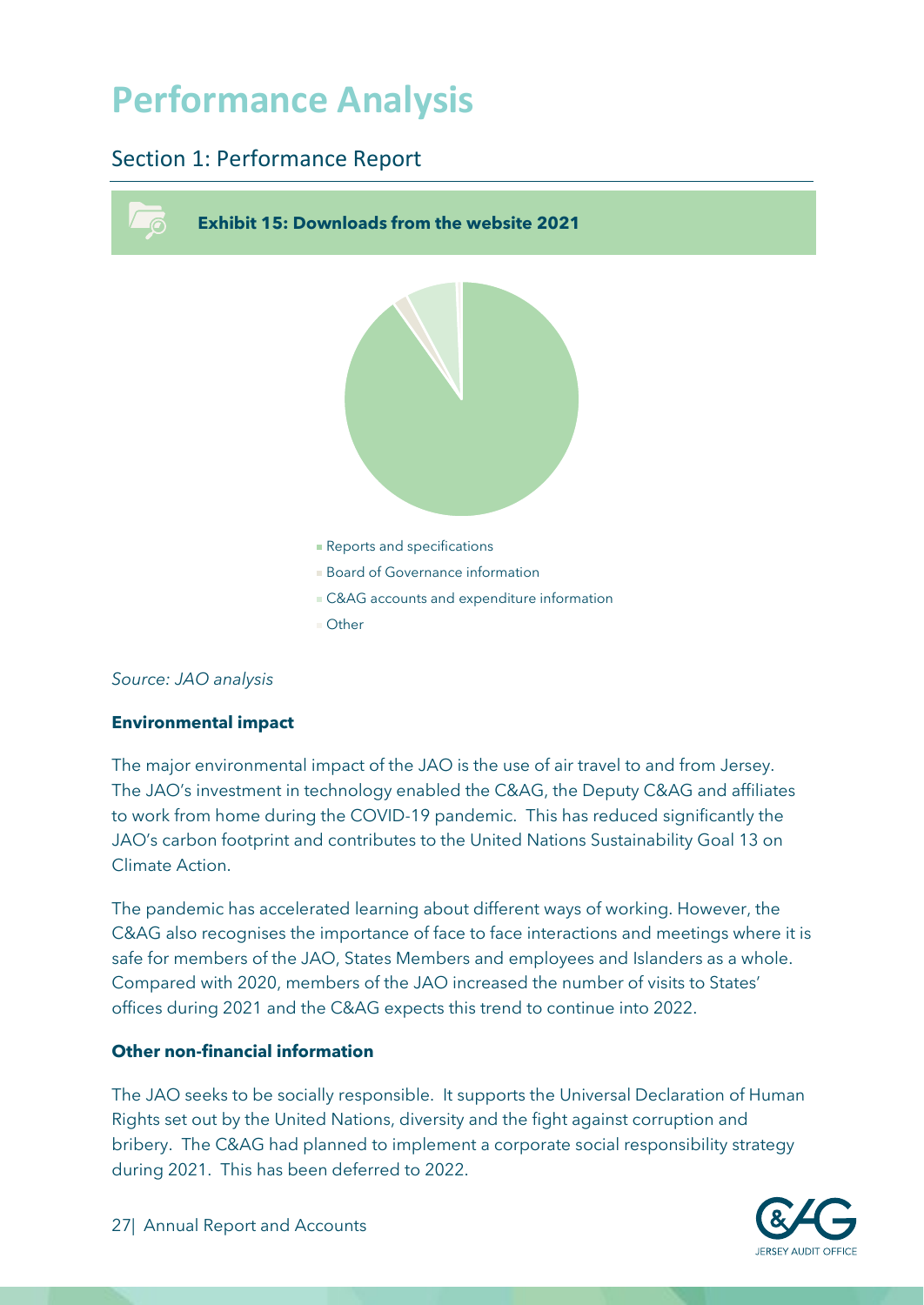### Section 1: Performance Report



#### *Source: JAO analysis*

#### **Environmental impact**

The major environmental impact of the JAO is the use of air travel to and from Jersey. The JAO's investment in technology enabled the C&AG, the Deputy C&AG and affiliates to work from home during the COVID-19 pandemic. This has reduced significantly the JAO's carbon footprint and contributes to the United Nations Sustainability Goal 13 on Climate Action.

The pandemic has accelerated learning about different ways of working. However, the C&AG also recognises the importance of face to face interactions and meetings where it is safe for members of the JAO, States Members and employees and Islanders as a whole. Compared with 2020, members of the JAO increased the number of visits to States' offices during 2021 and the C&AG expects this trend to continue into 2022.

#### **Other non-financial information**

The JAO seeks to be socially responsible. It supports the Universal Declaration of Human Rights set out by the United Nations, diversity and the fight against corruption and bribery. The C&AG had planned to implement a corporate social responsibility strategy during 2021. This has been deferred to 2022.

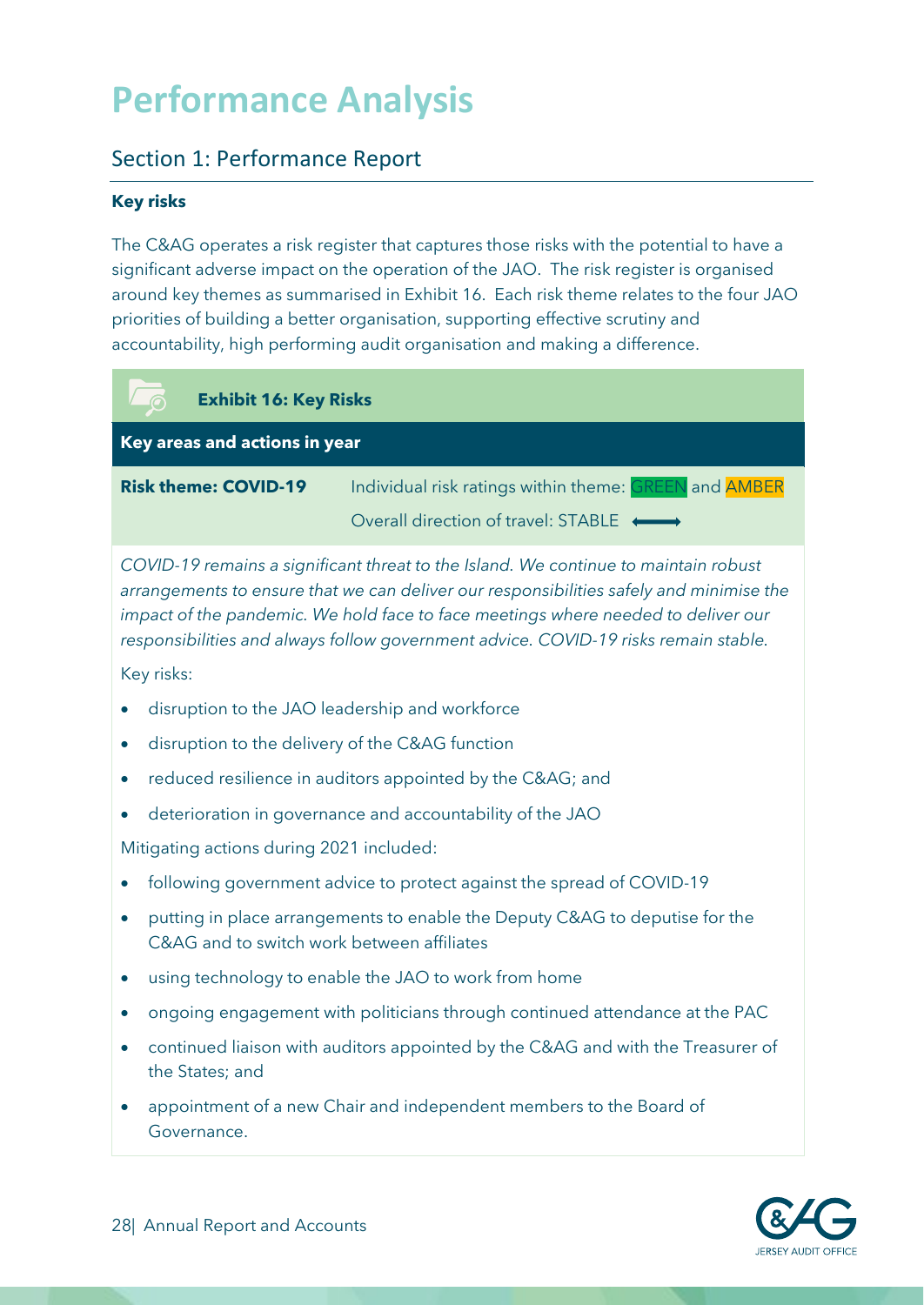### Section 1: Performance Report

#### **Key risks**

The C&AG operates a risk register that captures those risks with the potential to have a significant adverse impact on the operation of the JAO. The risk register is organised around key themes as summarised in Exhibit 16. Each risk theme relates to the four JAO priorities of building a better organisation, supporting effective scrutiny and accountability, high performing audit organisation and making a difference.

| <b>Exhibit 16: Key Risks</b>                                                                                                                                                                                                                                                                                                                               |                                                                                 |  |  |
|------------------------------------------------------------------------------------------------------------------------------------------------------------------------------------------------------------------------------------------------------------------------------------------------------------------------------------------------------------|---------------------------------------------------------------------------------|--|--|
| Key areas and actions in year                                                                                                                                                                                                                                                                                                                              |                                                                                 |  |  |
| <b>Risk theme: COVID-19</b>                                                                                                                                                                                                                                                                                                                                | Individual risk ratings within theme: GREEN and AMBER                           |  |  |
|                                                                                                                                                                                                                                                                                                                                                            | Overall direction of travel: STABLE                                             |  |  |
| COVID-19 remains a significant threat to the Island. We continue to maintain robust<br>arrangements to ensure that we can deliver our responsibilities safely and minimise the<br>impact of the pandemic. We hold face to face meetings where needed to deliver our<br>responsibilities and always follow government advice. COVID-19 risks remain stable. |                                                                                 |  |  |
| Key risks:                                                                                                                                                                                                                                                                                                                                                 |                                                                                 |  |  |
|                                                                                                                                                                                                                                                                                                                                                            | disruption to the JAO leadership and workforce                                  |  |  |
| $\bullet$                                                                                                                                                                                                                                                                                                                                                  | disruption to the delivery of the C&AG function                                 |  |  |
| $\bullet$                                                                                                                                                                                                                                                                                                                                                  | reduced resilience in auditors appointed by the C&AG and                        |  |  |
|                                                                                                                                                                                                                                                                                                                                                            | deterioration in governance and accountability of the JAO                       |  |  |
| Mitigating actions during 2021 included:                                                                                                                                                                                                                                                                                                                   |                                                                                 |  |  |
|                                                                                                                                                                                                                                                                                                                                                            | following government advice to protect against the spread of COVID-19           |  |  |
| putting in place arrangements to enable the Deputy C&AG to deputise for the<br>$\bullet$<br>C&AG and to switch work between affiliates                                                                                                                                                                                                                     |                                                                                 |  |  |
| $\bullet$                                                                                                                                                                                                                                                                                                                                                  | using technology to enable the JAO to work from home                            |  |  |
| $\bullet$                                                                                                                                                                                                                                                                                                                                                  | ongoing engagement with politicians through continued attendance at the PAC     |  |  |
| $\bullet$<br>the States; and                                                                                                                                                                                                                                                                                                                               | continued liaison with auditors appointed by the C&AG and with the Treasurer of |  |  |
| Governance.                                                                                                                                                                                                                                                                                                                                                | appointment of a new Chair and independent members to the Board of              |  |  |

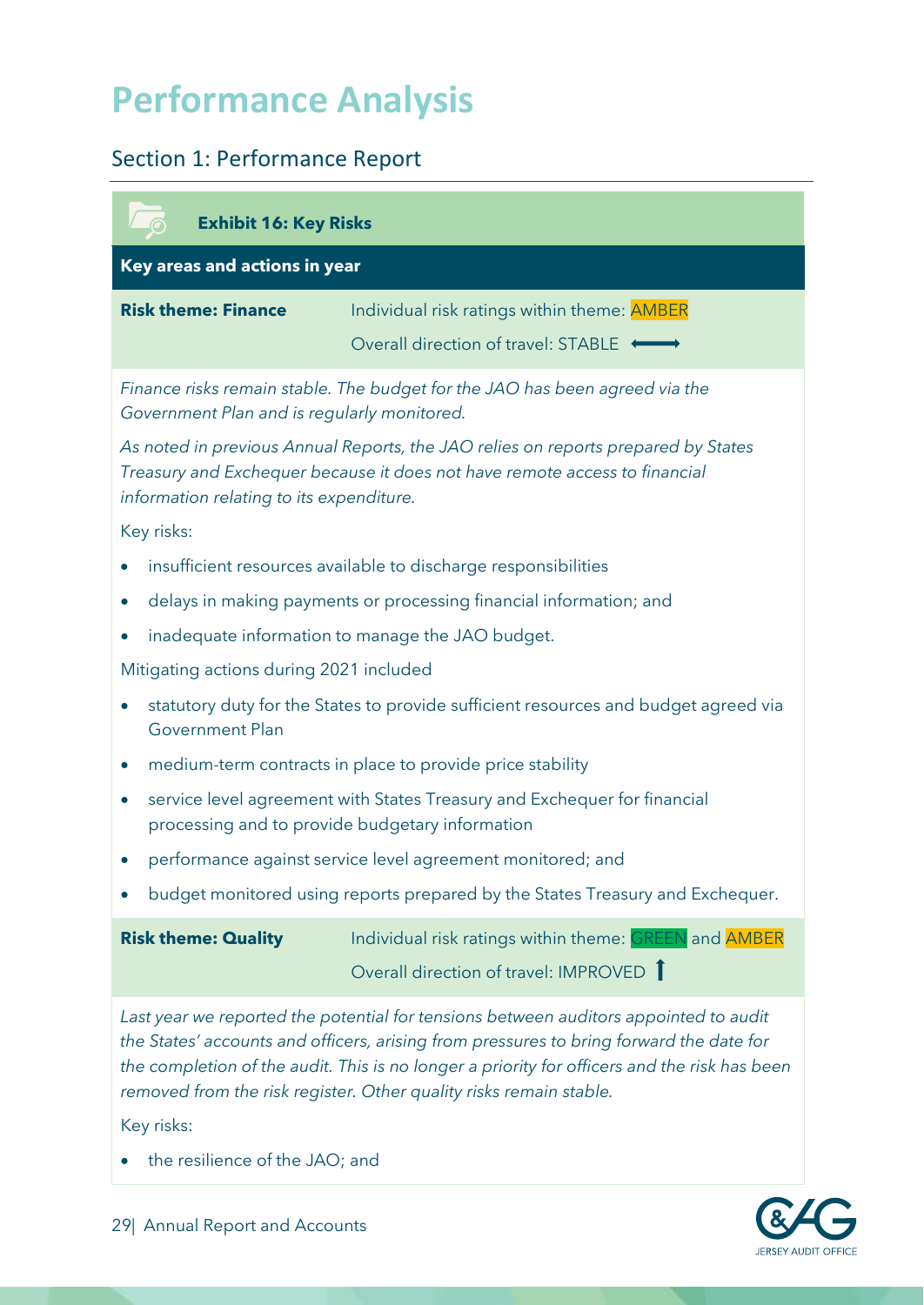### Section 1: Performance Report

| <b>Exhibit 16: Key Risks</b>                                                                                                                                                                                |                                                                                                       |  |
|-------------------------------------------------------------------------------------------------------------------------------------------------------------------------------------------------------------|-------------------------------------------------------------------------------------------------------|--|
| Key areas and actions in year                                                                                                                                                                               |                                                                                                       |  |
| <b>Risk theme: Finance</b><br>Individual risk ratings within theme: AMBER                                                                                                                                   |                                                                                                       |  |
|                                                                                                                                                                                                             | Overall direction of travel: STABLE <                                                                 |  |
| Finance risks remain stable. The budget for the JAO has been agreed via the<br>Government Plan and is regularly monitored.                                                                                  |                                                                                                       |  |
| As noted in previous Annual Reports, the JAO relies on reports prepared by States<br>Treasury and Exchequer because it does not have remote access to financial<br>information relating to its expenditure. |                                                                                                       |  |
| Key risks:                                                                                                                                                                                                  |                                                                                                       |  |
|                                                                                                                                                                                                             | insufficient resources available to discharge responsibilities                                        |  |
| $\bullet$                                                                                                                                                                                                   | delays in making payments or processing financial information; and                                    |  |
| $\bullet$                                                                                                                                                                                                   | inadequate information to manage the JAO budget.                                                      |  |
| Mitigating actions during 2021 included                                                                                                                                                                     |                                                                                                       |  |
| statutory duty for the States to provide sufficient resources and budget agreed via<br>$\bullet$<br><b>Government Plan</b>                                                                                  |                                                                                                       |  |
| $\bullet$                                                                                                                                                                                                   | medium-term contracts in place to provide price stability                                             |  |
| service level agreement with States Treasury and Exchequer for financial<br>$\bullet$<br>processing and to provide budgetary information                                                                    |                                                                                                       |  |
| performance against service level agreement monitored; and                                                                                                                                                  |                                                                                                       |  |
| budget monitored using reports prepared by the States Treasury and Exchequer.                                                                                                                               |                                                                                                       |  |
| <b>Risk theme: Quality</b>                                                                                                                                                                                  | Individual risk ratings within theme: GREEN and <b>AMBER</b><br>Overall direction of travel: IMPROVED |  |
| Last year we reported the potential for tensions between auditors appointed to audit<br>the States' accounts and officers, arising from prossures to bring forward the date for                             |                                                                                                       |  |

*the States' accounts and officers, arising from pressures to bring forward the date for the completion of the audit. This is no longer a priority for officers and the risk has been removed from the risk register. Other quality risks remain stable.*

Key risks:

• the resilience of the JAO; and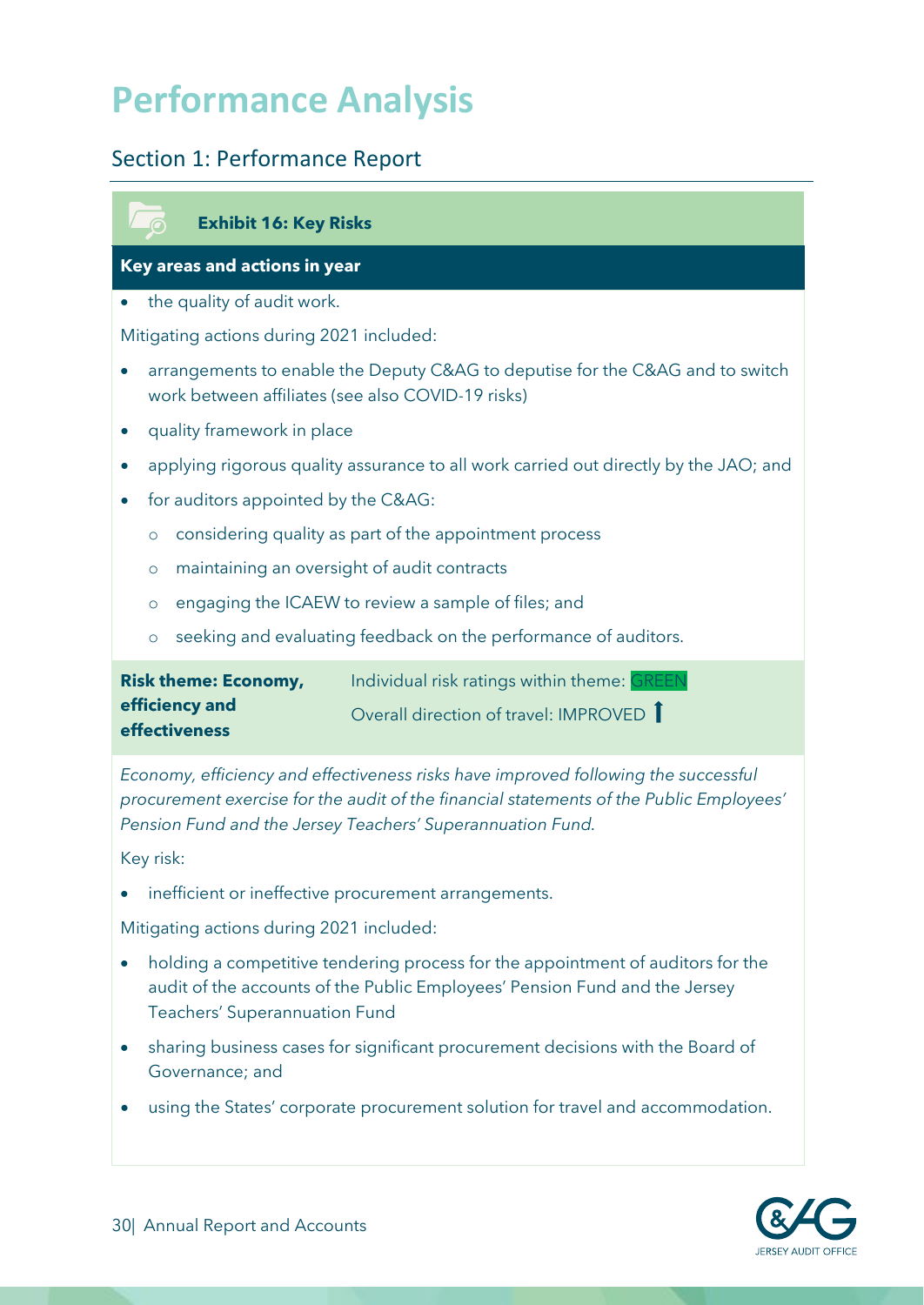### Section 1: Performance Report

#### **Exhibit 16: Key Risks**

#### **Key areas and actions in year**

• the quality of audit work.

Mitigating actions during 2021 included:

- arrangements to enable the Deputy C&AG to deputise for the C&AG and to switch work between affiliates (see also COVID-19 risks)
- quality framework in place
- applying rigorous quality assurance to all work carried out directly by the JAO; and
- for auditors appointed by the C&AG:
	- o considering quality as part of the appointment process
	- o maintaining an oversight of audit contracts
	- o engaging the ICAEW to review a sample of files; and
	- o seeking and evaluating feedback on the performance of auditors.

| <b>Risk theme: Economy,</b> | Individual risk ratings within theme: GREEN |  |
|-----------------------------|---------------------------------------------|--|
| efficiency and              | Overall direction of travel: IMPROVED       |  |
| <b>effectiveness</b>        |                                             |  |

*Economy, efficiency and effectiveness risks have improved following the successful procurement exercise for the audit of the financial statements of the Public Employees' Pension Fund and the Jersey Teachers' Superannuation Fund.*

Key risk:

• inefficient or ineffective procurement arrangements.

Mitigating actions during 2021 included:

- holding a competitive tendering process for the appointment of auditors for the audit of the accounts of the Public Employees' Pension Fund and the Jersey Teachers' Superannuation Fund
- sharing business cases for significant procurement decisions with the Board of Governance; and
- using the States' corporate procurement solution for travel and accommodation.

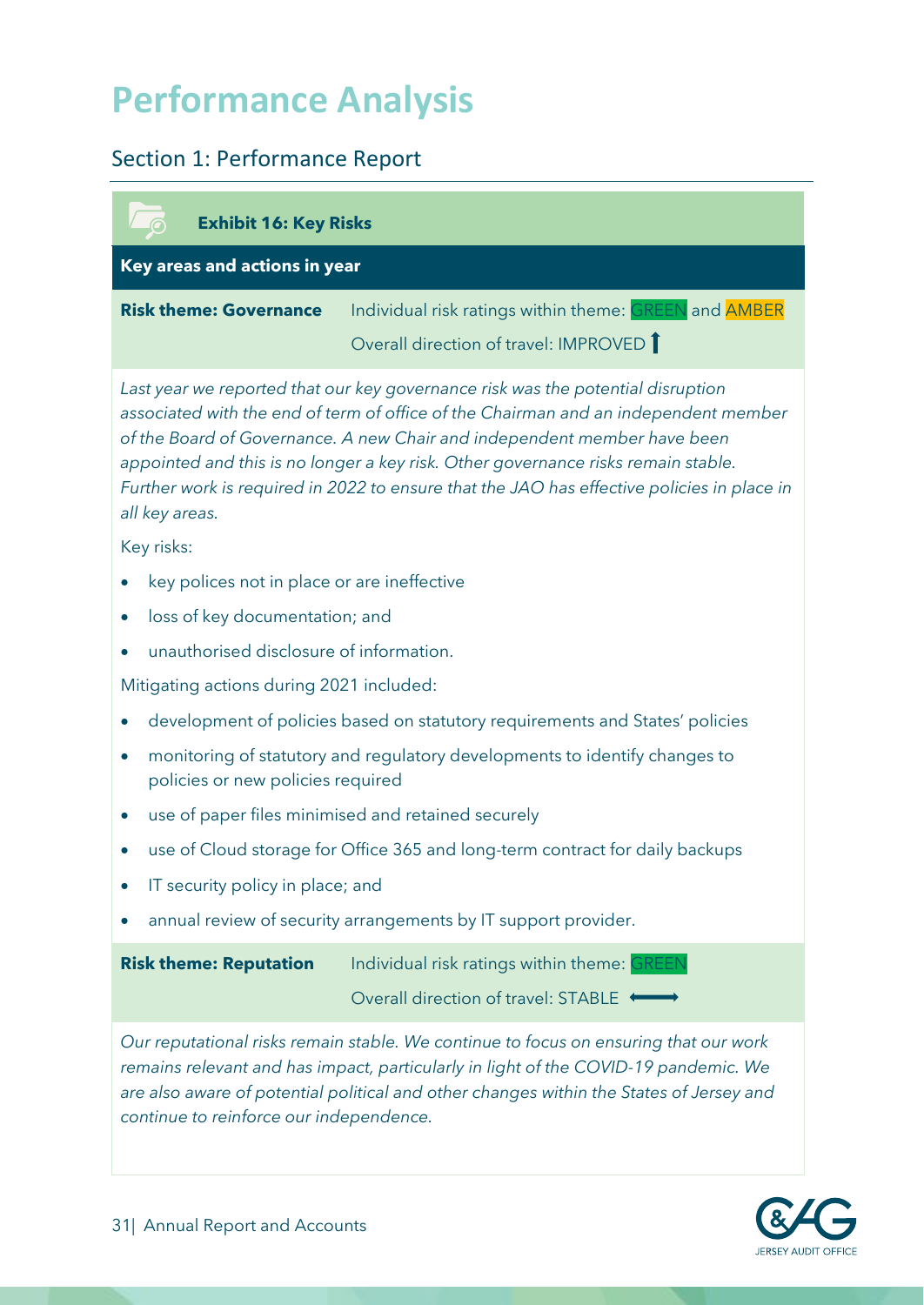### Section 1: Performance Report

| <b>Exhibit 16: Key Risks</b>                                                                                                                                                                                                                                                                                                                                                                                                                            |                                                                                                |  |  |  |
|---------------------------------------------------------------------------------------------------------------------------------------------------------------------------------------------------------------------------------------------------------------------------------------------------------------------------------------------------------------------------------------------------------------------------------------------------------|------------------------------------------------------------------------------------------------|--|--|--|
| Key areas and actions in year                                                                                                                                                                                                                                                                                                                                                                                                                           |                                                                                                |  |  |  |
| <b>Risk theme: Governance</b>                                                                                                                                                                                                                                                                                                                                                                                                                           | Individual risk ratings within theme: GREEN and AMBER<br>Overall direction of travel: IMPROVED |  |  |  |
| Last year we reported that our key governance risk was the potential disruption<br>associated with the end of term of office of the Chairman and an independent member<br>of the Board of Governance. A new Chair and independent member have been<br>appointed and this is no longer a key risk. Other governance risks remain stable.<br>Further work is required in 2022 to ensure that the JAO has effective policies in place in<br>all key areas. |                                                                                                |  |  |  |
| Key risks:                                                                                                                                                                                                                                                                                                                                                                                                                                              |                                                                                                |  |  |  |
| key polices not in place or are ineffective                                                                                                                                                                                                                                                                                                                                                                                                             |                                                                                                |  |  |  |
| loss of key documentation; and                                                                                                                                                                                                                                                                                                                                                                                                                          |                                                                                                |  |  |  |
|                                                                                                                                                                                                                                                                                                                                                                                                                                                         | unauthorised disclosure of information.                                                        |  |  |  |
| Mitigating actions during 2021 included:                                                                                                                                                                                                                                                                                                                                                                                                                |                                                                                                |  |  |  |
|                                                                                                                                                                                                                                                                                                                                                                                                                                                         | development of policies based on statutory requirements and States' policies                   |  |  |  |
| monitoring of statutory and regulatory developments to identify changes to<br>$\bullet$<br>policies or new policies required                                                                                                                                                                                                                                                                                                                            |                                                                                                |  |  |  |
| use of paper files minimised and retained securely<br>$\bullet$                                                                                                                                                                                                                                                                                                                                                                                         |                                                                                                |  |  |  |
| use of Cloud storage for Office 365 and long-term contract for daily backups                                                                                                                                                                                                                                                                                                                                                                            |                                                                                                |  |  |  |
| IT security policy in place; and                                                                                                                                                                                                                                                                                                                                                                                                                        |                                                                                                |  |  |  |
| annual review of security arrangements by IT support provider.                                                                                                                                                                                                                                                                                                                                                                                          |                                                                                                |  |  |  |
| <b>Risk theme: Reputation</b>                                                                                                                                                                                                                                                                                                                                                                                                                           | Individual risk ratings within theme: GREEN<br>Overall direction of travel: STABLE             |  |  |  |
| Our reputational risks remain stable. We continue to focus on ensuring that our work                                                                                                                                                                                                                                                                                                                                                                    |                                                                                                |  |  |  |

*remains relevant and has impact, particularly in light of the COVID-19 pandemic. We are also aware of potential political and other changes within the States of Jersey and continue to reinforce our independence.* 

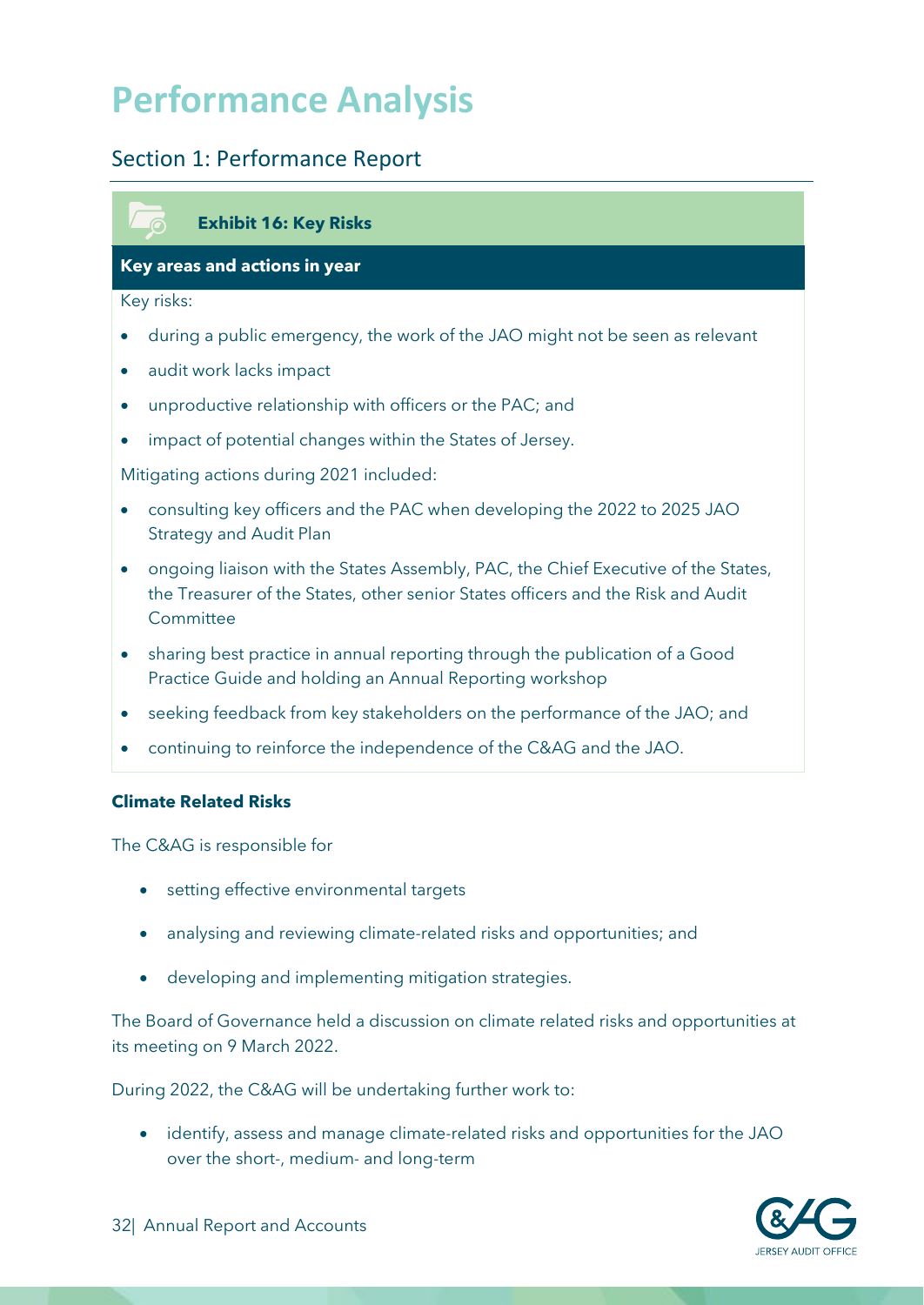### Section 1: Performance Report

#### **Exhibit 16: Key Risks**

#### **Key areas and actions in year**

#### Key risks:

- during a public emergency, the work of the JAO might not be seen as relevant
- audit work lacks impact
- unproductive relationship with officers or the PAC; and
- impact of potential changes within the States of Jersey.

Mitigating actions during 2021 included:

- consulting key officers and the PAC when developing the 2022 to 2025 JAO Strategy and Audit Plan
- ongoing liaison with the States Assembly, PAC, the Chief Executive of the States, the Treasurer of the States, other senior States officers and the Risk and Audit **Committee**
- sharing best practice in annual reporting through the publication of a Good Practice Guide and holding an Annual Reporting workshop
- seeking feedback from key stakeholders on the performance of the JAO; and
- continuing to reinforce the independence of the C&AG and the JAO.

#### **Climate Related Risks**

The C&AG is responsible for

- setting effective environmental targets
- analysing and reviewing climate-related risks and opportunities; and
- developing and implementing mitigation strategies.

The Board of Governance held a discussion on climate related risks and opportunities at its meeting on 9 March 2022.

During 2022, the C&AG will be undertaking further work to:

• identify, assess and manage climate-related risks and opportunities for the JAO over the short-, medium- and long-term

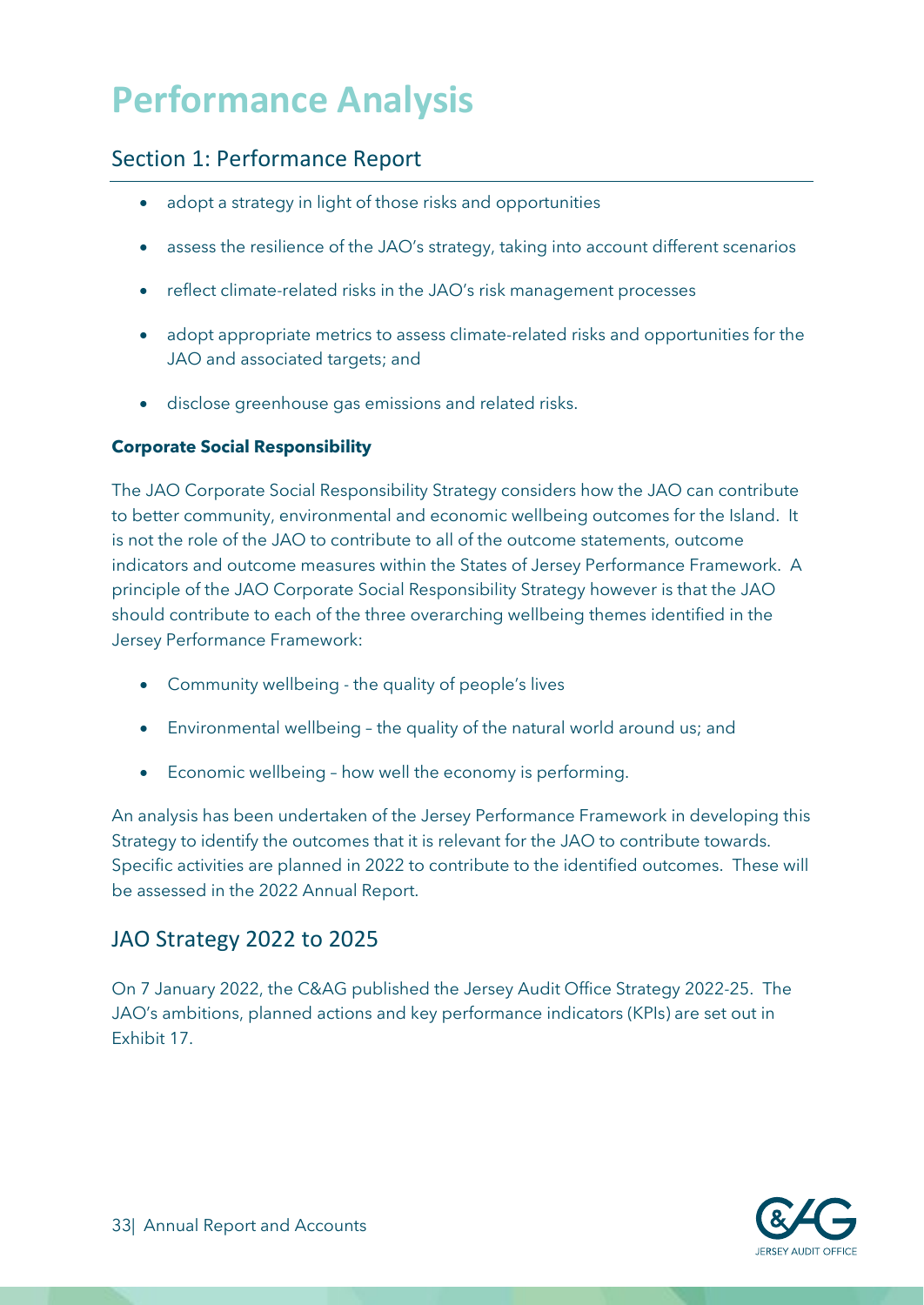### Section 1: Performance Report

- adopt a strategy in light of those risks and opportunities
- assess the resilience of the JAO's strategy, taking into account different scenarios
- reflect climate-related risks in the JAO's risk management processes
- adopt appropriate metrics to assess climate-related risks and opportunities for the JAO and associated targets; and
- disclose greenhouse gas emissions and related risks.

#### **Corporate Social Responsibility**

The JAO Corporate Social Responsibility Strategy considers how the JAO can contribute to better community, environmental and economic wellbeing outcomes for the Island. It is not the role of the JAO to contribute to all of the outcome statements, outcome indicators and outcome measures within the States of Jersey Performance Framework. A principle of the JAO Corporate Social Responsibility Strategy however is that the JAO should contribute to each of the three overarching wellbeing themes identified in the Jersey Performance Framework:

- Community wellbeing the quality of people's lives
- Environmental wellbeing the quality of the natural world around us; and
- Economic wellbeing how well the economy is performing.

An analysis has been undertaken of the Jersey Performance Framework in developing this Strategy to identify the outcomes that it is relevant for the JAO to contribute towards. Specific activities are planned in 2022 to contribute to the identified outcomes. These will be assessed in the 2022 Annual Report.

#### JAO Strategy 2022 to 2025

On 7 January 2022, the C&AG published the Jersey Audit Office Strategy 2022-25. The JAO's ambitions, planned actions and key performance indicators (KPIs) are set out in Exhibit 17.

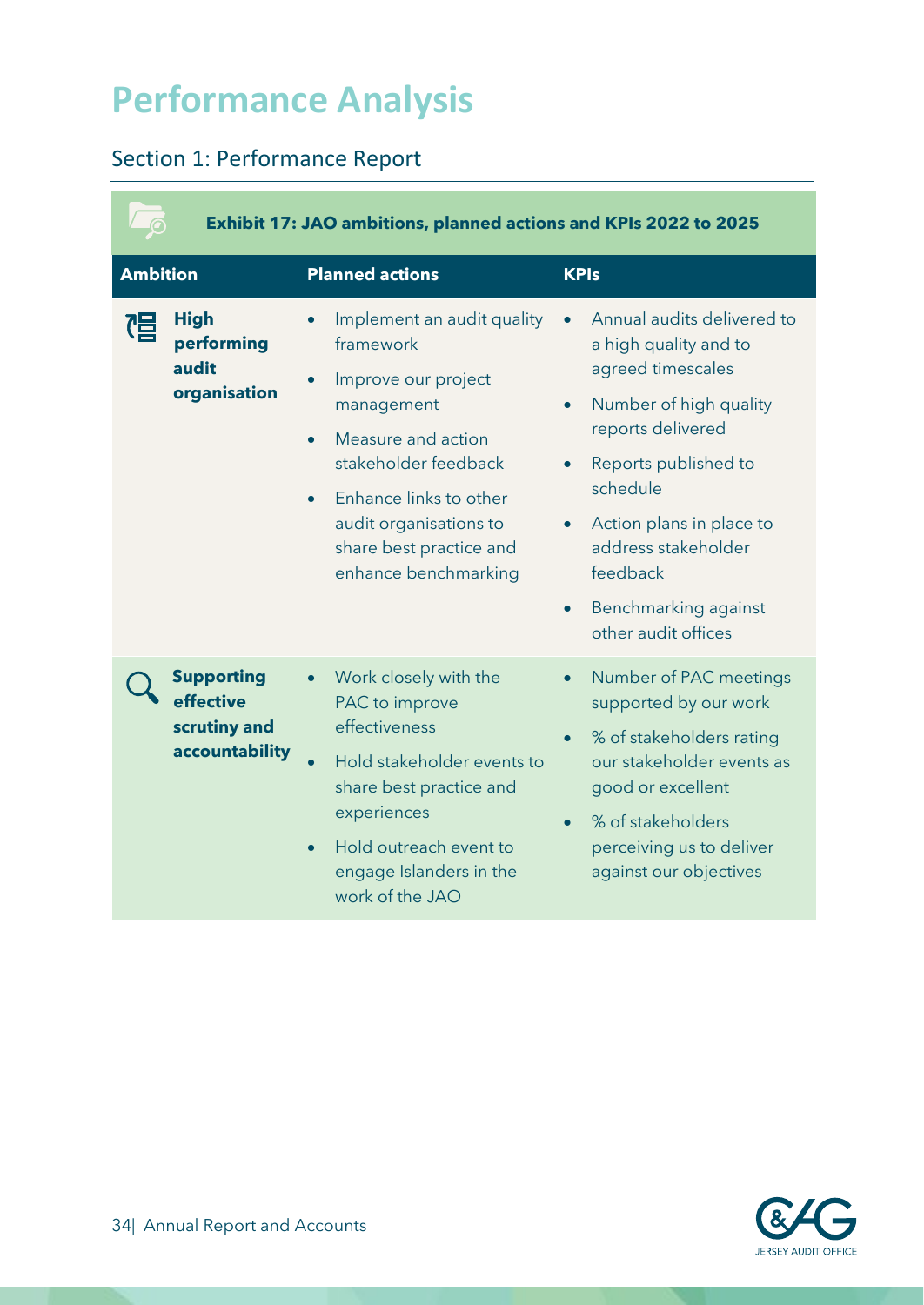### Section 1: Performance Report

| Exhibit 17: JAO ambitions, planned actions and KPIs 2022 to 2025 |                                                                  |                                                                                                                                                                                                                                                                          |                                                                                                                                                                                                                                                                                                                  |  |
|------------------------------------------------------------------|------------------------------------------------------------------|--------------------------------------------------------------------------------------------------------------------------------------------------------------------------------------------------------------------------------------------------------------------------|------------------------------------------------------------------------------------------------------------------------------------------------------------------------------------------------------------------------------------------------------------------------------------------------------------------|--|
| <b>Ambition</b>                                                  |                                                                  | <b>Planned actions</b>                                                                                                                                                                                                                                                   | <b>KPIs</b>                                                                                                                                                                                                                                                                                                      |  |
|                                                                  | <b>High</b><br>performing<br>audit<br>organisation               | Implement an audit quality<br>framework<br>Improve our project<br>$\bullet$<br>management<br>Measure and action<br>$\bullet$<br>stakeholder feedback<br>Enhance links to other<br>$\bullet$<br>audit organisations to<br>share best practice and<br>enhance benchmarking | Annual audits delivered to<br>a high quality and to<br>agreed timescales<br>Number of high quality<br>$\bullet$<br>reports delivered<br>Reports published to<br>schedule<br>Action plans in place to<br>$\bullet$<br>address stakeholder<br>feedback<br>Benchmarking against<br>$\bullet$<br>other audit offices |  |
|                                                                  | <b>Supporting</b><br>effective<br>scrutiny and<br>accountability | Work closely with the<br>$\bullet$<br>PAC to improve<br>effectiveness<br>Hold stakeholder events to<br>share best practice and<br>experiences<br>Hold outreach event to<br>$\bullet$<br>engage Islanders in the<br>work of the JAO                                       | Number of PAC meetings<br>$\bullet$<br>supported by our work<br>% of stakeholders rating<br>$\bullet$<br>our stakeholder events as<br>good or excellent<br>% of stakeholders<br>$\bullet$<br>perceiving us to deliver<br>against our objectives                                                                  |  |

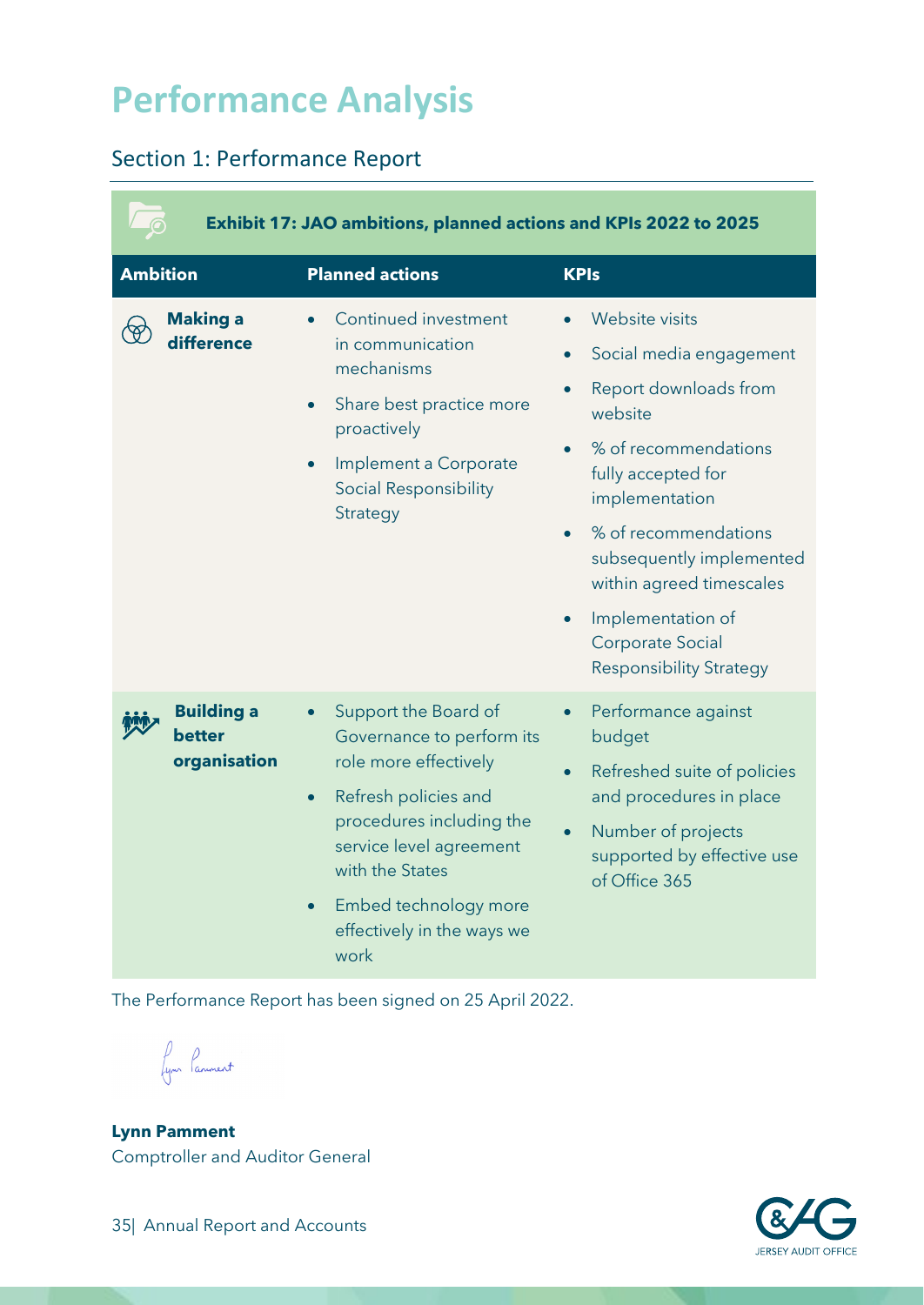### Section 1: Performance Report

| Exhibit 17: JAO ambitions, planned actions and KPIs 2022 to 2025 |                                                                                                                                                                                                                                                                       |                                                                                                                                                                                                                                                                                                                                                        |  |  |
|------------------------------------------------------------------|-----------------------------------------------------------------------------------------------------------------------------------------------------------------------------------------------------------------------------------------------------------------------|--------------------------------------------------------------------------------------------------------------------------------------------------------------------------------------------------------------------------------------------------------------------------------------------------------------------------------------------------------|--|--|
| <b>Ambition</b>                                                  | <b>Planned actions</b>                                                                                                                                                                                                                                                | <b>KPIs</b>                                                                                                                                                                                                                                                                                                                                            |  |  |
| <b>Making a</b><br>difference                                    | Continued investment<br>in communication<br>mechanisms<br>Share best practice more<br>$\bullet$<br>proactively<br>Implement a Corporate<br>$\bullet$<br><b>Social Responsibility</b><br>Strategy                                                                      | Website visits<br>Social media engagement<br>Report downloads from<br>$\bullet$<br>website<br>% of recommendations<br>fully accepted for<br>implementation<br>% of recommendations<br>$\bullet$<br>subsequently implemented<br>within agreed timescales<br>Implementation of<br>$\bullet$<br><b>Corporate Social</b><br><b>Responsibility Strategy</b> |  |  |
| <b>Building a</b><br><b>better</b><br>organisation               | Support the Board of<br>$\bullet$<br>Governance to perform its<br>role more effectively<br>Refresh policies and<br>$\bullet$<br>procedures including the<br>service level agreement<br>with the States<br>Embed technology more<br>effectively in the ways we<br>work | Performance against<br>$\bullet$<br>budget<br>Refreshed suite of policies<br>$\bullet$<br>and procedures in place<br>Number of projects<br>supported by effective use<br>of Office 365                                                                                                                                                                 |  |  |

The Performance Report has been signed on 25 April 2022.

fyn Panment

**Lynn Pamment** Comptroller and Auditor General

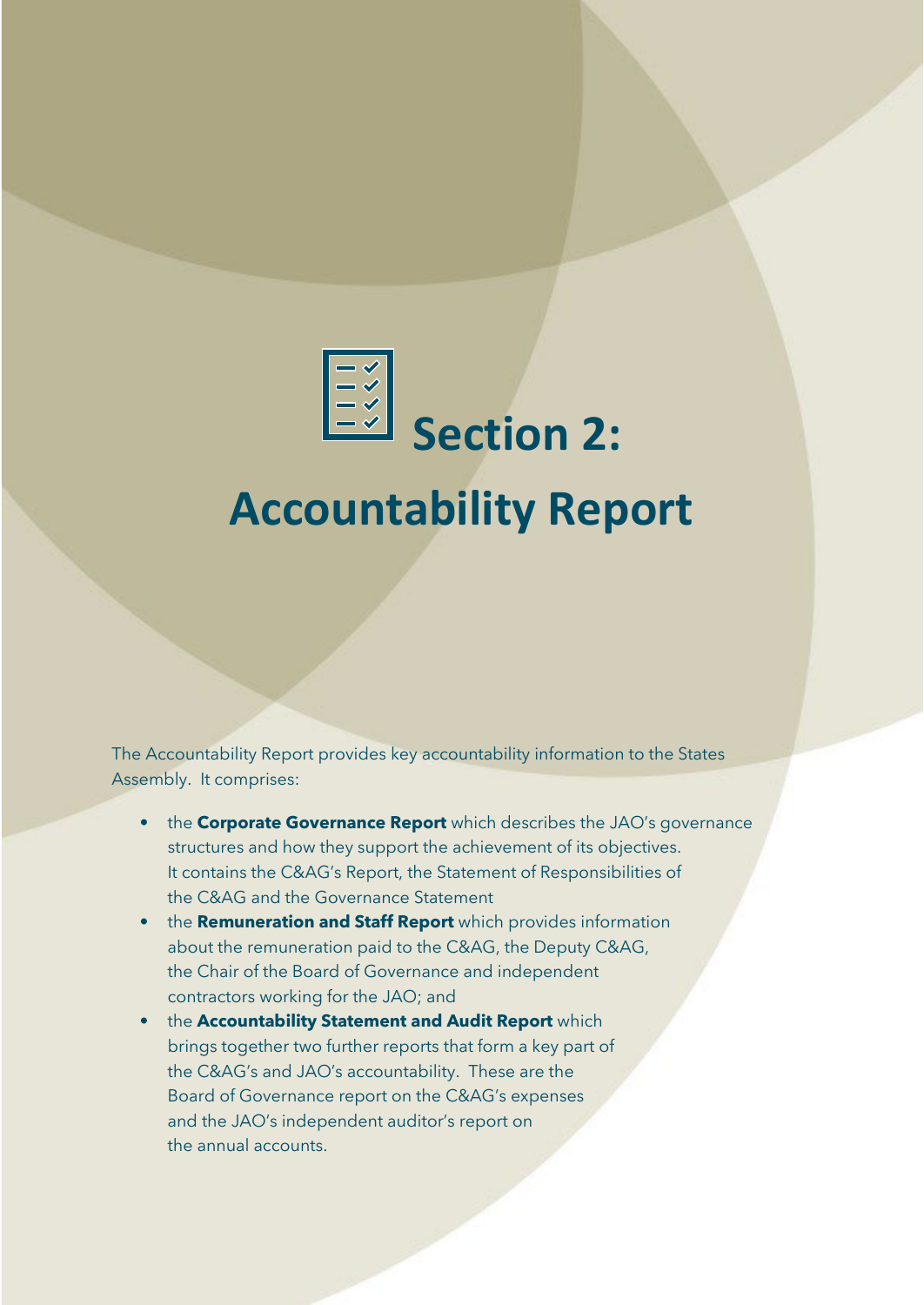# E<sup>*\**</sup> Section 2: **Accountability Report**

The Accountability Report provides key accountability information to the States Assembly. It comprises:

- the **Corporate Governance Report** which describes the JAO's governance structures and how they support the achievement of its objectives. It contains the C&AG's Report, the Statement of Responsibilities of the C&AG and the Governance Statement
- the **Remuneration and Staff Report** which provides information about the remuneration paid to the C&AG, the Deputy C&AG, the Chair of the Board of Governance and independent contractors working for the JAO; and
- the **Accountability Statement and Audit Report** which brings together two further reports that form a key part of the C&AG's and JAO's accountability. These are the Board of Governance report on the C&AG's expenses and the JAO's independent auditor's report on the annual accounts.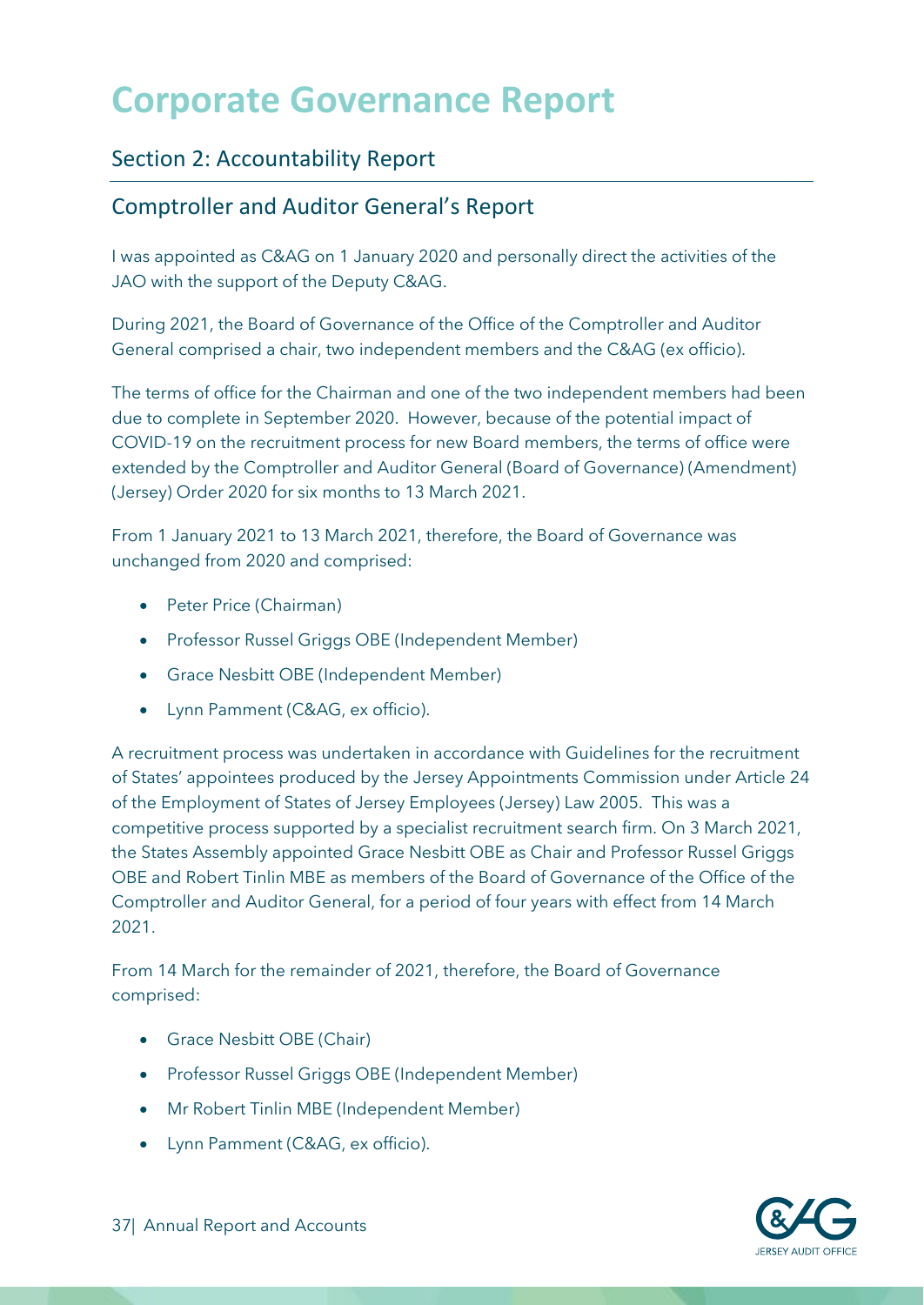### Section 2: Accountability Report

# Comptroller and Auditor General's Report

I was appointed as C&AG on 1 January 2020 and personally direct the activities of the JAO with the support of the Deputy C&AG.

During 2021, the Board of Governance of the Office of the Comptroller and Auditor General comprised a chair, two independent members and the C&AG (ex officio).

The terms of office for the Chairman and one of the two independent members had been due to complete in September 2020. However, because of the potential impact of COVID-19 on the recruitment process for new Board members, the terms of office were extended by the Comptroller and Auditor General (Board of Governance) (Amendment) (Jersey) Order 2020 for six months to 13 March 2021.

From 1 January 2021 to 13 March 2021, therefore, the Board of Governance was unchanged from 2020 and comprised:

- Peter Price (Chairman)
- Professor Russel Griggs OBE (Independent Member)
- Grace Nesbitt OBE (Independent Member)
- Lynn Pamment (C&AG, ex officio).

A recruitment process was undertaken in accordance with Guidelines for the recruitment of States' appointees produced by the Jersey Appointments Commission under Article 24 of the Employment of States of Jersey Employees (Jersey) Law 2005. This was a competitive process supported by a specialist recruitment search firm. On 3 March 2021, the States Assembly appointed Grace Nesbitt OBE as Chair and Professor Russel Griggs OBE and Robert Tinlin MBE as members of the Board of Governance of the Office of the Comptroller and Auditor General, for a period of four years with effect from 14 March 2021.

From 14 March for the remainder of 2021, therefore, the Board of Governance comprised:

- Grace Nesbitt OBE (Chair)
- Professor Russel Griggs OBE (Independent Member)
- Mr Robert Tinlin MBE (Independent Member)
- Lynn Pamment (C&AG, ex officio).

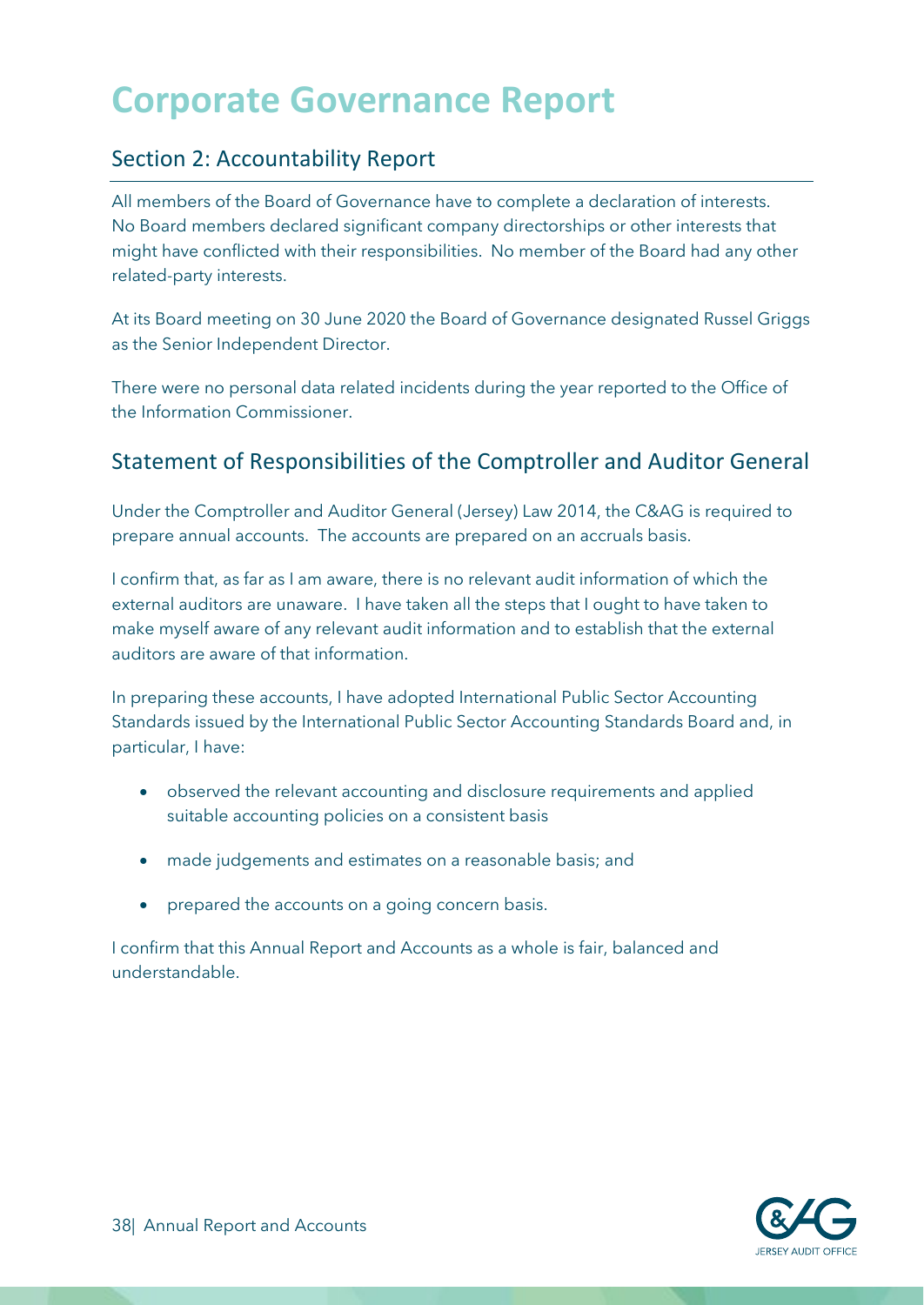# Section 2: Accountability Report

All members of the Board of Governance have to complete a declaration of interests. No Board members declared significant company directorships or other interests that might have conflicted with their responsibilities. No member of the Board had any other related-party interests.

At its Board meeting on 30 June 2020 the Board of Governance designated Russel Griggs as the Senior Independent Director.

There were no personal data related incidents during the year reported to the Office of the Information Commissioner.

### Statement of Responsibilities of the Comptroller and Auditor General

Under the Comptroller and Auditor General (Jersey) Law 2014, the C&AG is required to prepare annual accounts. The accounts are prepared on an accruals basis.

I confirm that, as far as I am aware, there is no relevant audit information of which the external auditors are unaware. I have taken all the steps that I ought to have taken to make myself aware of any relevant audit information and to establish that the external auditors are aware of that information.

In preparing these accounts, I have adopted International Public Sector Accounting Standards issued by the International Public Sector Accounting Standards Board and, in particular, I have:

- observed the relevant accounting and disclosure requirements and applied suitable accounting policies on a consistent basis
- made judgements and estimates on a reasonable basis; and
- prepared the accounts on a going concern basis.

I confirm that this Annual Report and Accounts as a whole is fair, balanced and understandable.

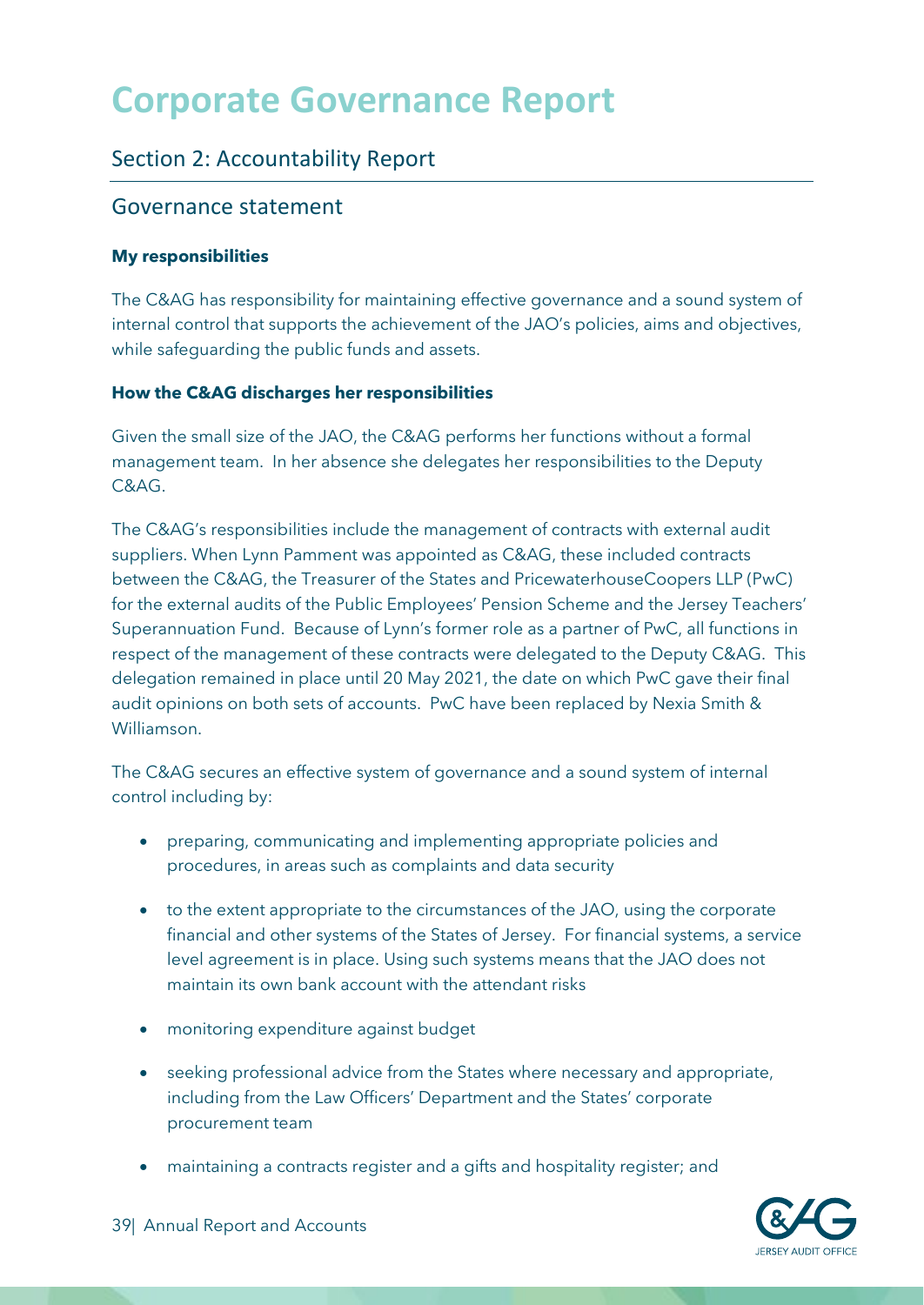### Section 2: Accountability Report

### Governance statement

### **My responsibilities**

The C&AG has responsibility for maintaining effective governance and a sound system of internal control that supports the achievement of the JAO's policies, aims and objectives, while safeguarding the public funds and assets.

#### **How the C&AG discharges her responsibilities**

Given the small size of the JAO, the C&AG performs her functions without a formal management team. In her absence she delegates her responsibilities to the Deputy C&AG.

The C&AG's responsibilities include the management of contracts with external audit suppliers. When Lynn Pamment was appointed as C&AG, these included contracts between the C&AG, the Treasurer of the States and PricewaterhouseCoopers LLP (PwC) for the external audits of the Public Employees' Pension Scheme and the Jersey Teachers' Superannuation Fund. Because of Lynn's former role as a partner of PwC, all functions in respect of the management of these contracts were delegated to the Deputy C&AG. This delegation remained in place until 20 May 2021, the date on which PwC gave their final audit opinions on both sets of accounts. PwC have been replaced by Nexia Smith & Williamson.

The C&AG secures an effective system of governance and a sound system of internal control including by:

- preparing, communicating and implementing appropriate policies and procedures, in areas such as complaints and data security
- to the extent appropriate to the circumstances of the JAO, using the corporate financial and other systems of the States of Jersey. For financial systems, a service level agreement is in place. Using such systems means that the JAO does not maintain its own bank account with the attendant risks
- monitoring expenditure against budget
- seeking professional advice from the States where necessary and appropriate, including from the Law Officers' Department and the States' corporate procurement team
- maintaining a contracts register and a gifts and hospitality register; and

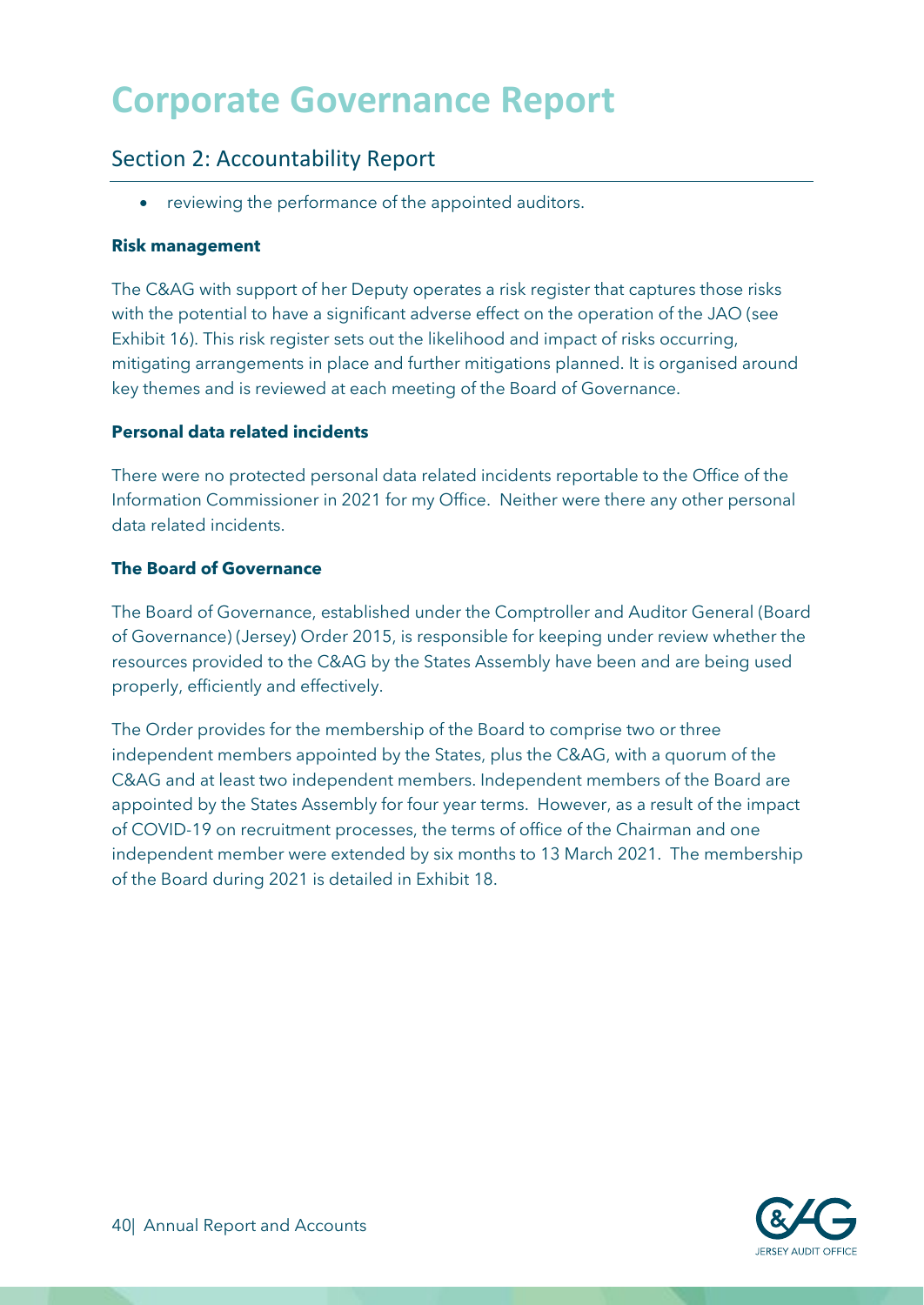### Section 2: Accountability Report

• reviewing the performance of the appointed auditors.

#### **Risk management**

The C&AG with support of her Deputy operates a risk register that captures those risks with the potential to have a significant adverse effect on the operation of the JAO (see Exhibit 16). This risk register sets out the likelihood and impact of risks occurring, mitigating arrangements in place and further mitigations planned. It is organised around key themes and is reviewed at each meeting of the Board of Governance.

#### **Personal data related incidents**

There were no protected personal data related incidents reportable to the Office of the Information Commissioner in 2021 for my Office. Neither were there any other personal data related incidents.

#### **The Board of Governance**

The Board of Governance, established under the Comptroller and Auditor General (Board of Governance) (Jersey) Order 2015, is responsible for keeping under review whether the resources provided to the C&AG by the States Assembly have been and are being used properly, efficiently and effectively.

The Order provides for the membership of the Board to comprise two or three independent members appointed by the States, plus the C&AG, with a quorum of the C&AG and at least two independent members. Independent members of the Board are appointed by the States Assembly for four year terms. However, as a result of the impact of COVID-19 on recruitment processes, the terms of office of the Chairman and one independent member were extended by six months to 13 March 2021. The membership of the Board during 2021 is detailed in Exhibit 18.

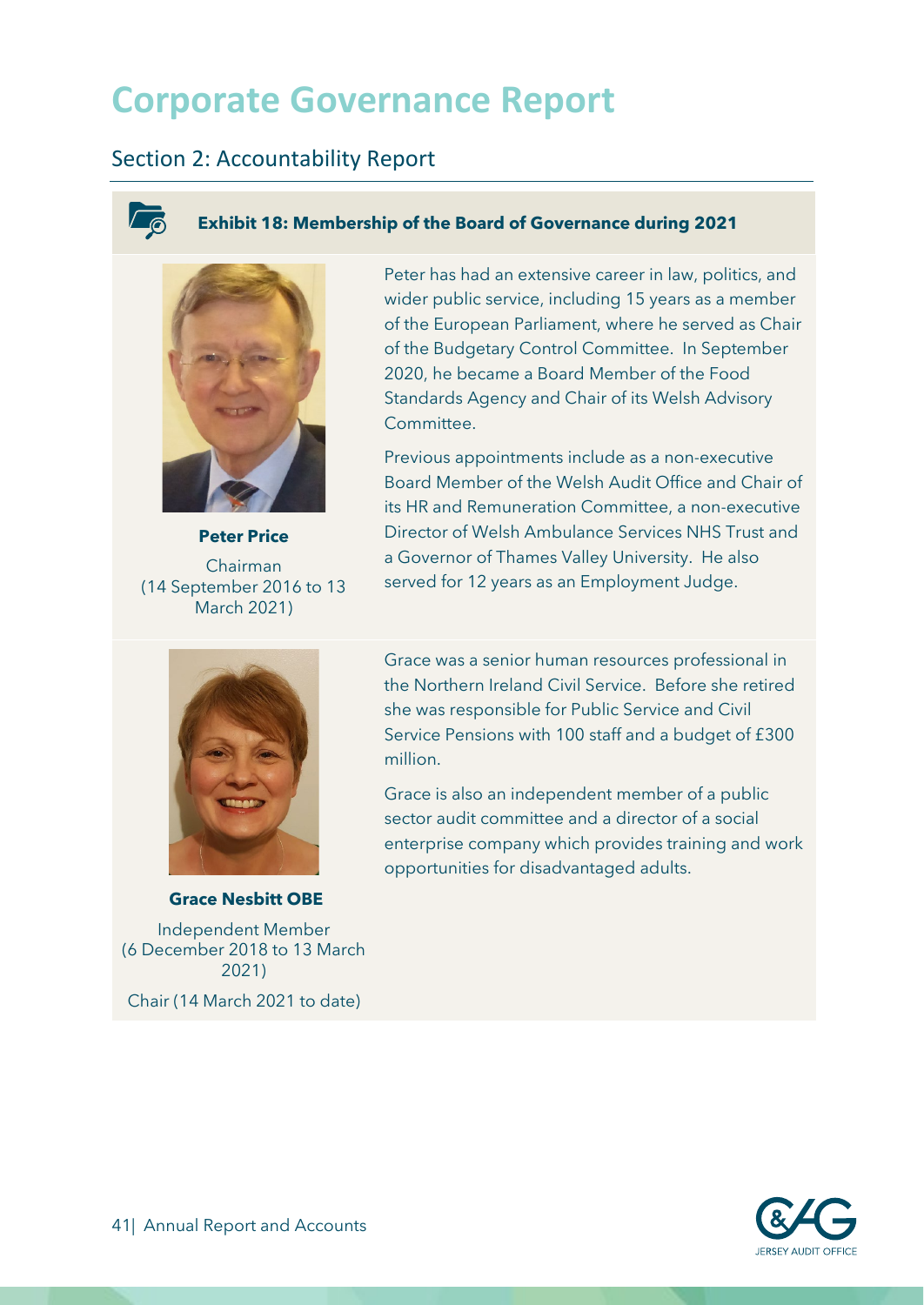### Section 2: Accountability Report



#### **Exhibit 18: Membership of the Board of Governance during 2021**



**Peter Price** Chairman (14 September 2016 to 13 March 2021)

Peter has had an extensive career in law, politics, and wider public service, including 15 years as a member of the European Parliament, where he served as Chair of the Budgetary Control Committee. In September 2020, he became a Board Member of the Food Standards Agency and Chair of its Welsh Advisory Committee.

Previous appointments include as a non-executive Board Member of the Welsh Audit Office and Chair of its HR and Remuneration Committee, a non-executive Director of Welsh Ambulance Services NHS Trust and a Governor of Thames Valley University. He also served for 12 years as an Employment Judge.



**Grace Nesbitt OBE**

Independent Member (6 December 2018 to 13 March 2021)

Chair (14 March 2021 to date)

Grace was a senior human resources professional in the Northern Ireland Civil Service. Before she retired she was responsible for Public Service and Civil Service Pensions with 100 staff and a budget of £300 million.

Grace is also an independent member of a public sector audit committee and a director of a social enterprise company which provides training and work opportunities for disadvantaged adults.

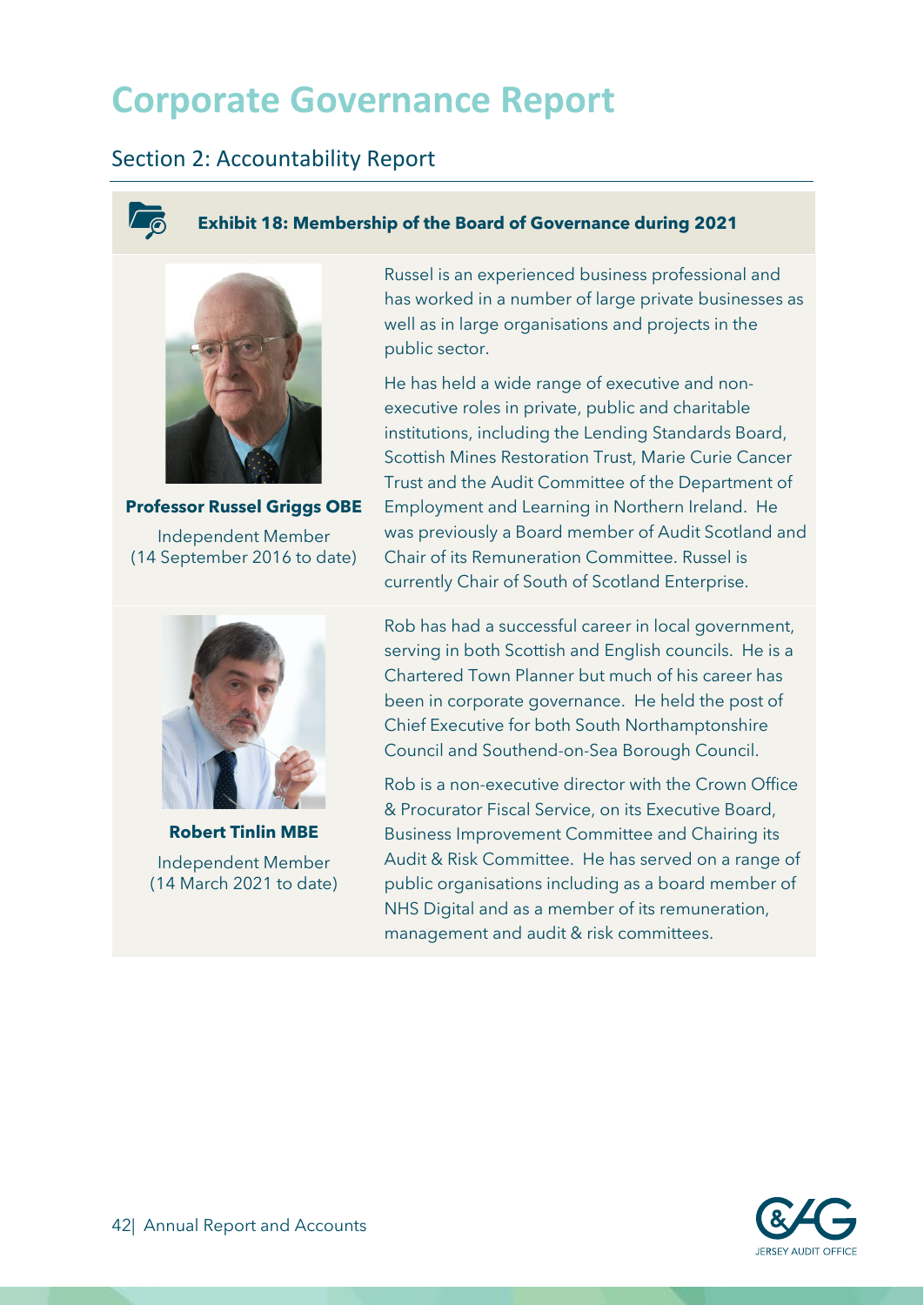### Section 2: Accountability Report



#### **Exhibit 18: Membership of the Board of Governance during 2021**



**Professor Russel Griggs OBE** Independent Member (14 September 2016 to date)

**Robert Tinlin MBE** Independent Member (14 March 2021 to date)

Russel is an experienced business professional and has worked in a number of large private businesses as well as in large organisations and projects in the public sector.

He has held a wide range of executive and nonexecutive roles in private, public and charitable institutions, including the Lending Standards Board, Scottish Mines Restoration Trust, Marie Curie Cancer Trust and the Audit Committee of the Department of Employment and Learning in Northern Ireland. He was previously a Board member of Audit Scotland and Chair of its Remuneration Committee. Russel is currently Chair of South of Scotland Enterprise.

Rob has had a successful career in local government, serving in both Scottish and English councils. He is a Chartered Town Planner but much of his career has been in corporate governance. He held the post of Chief Executive for both South Northamptonshire Council and Southend-on-Sea Borough Council.

Rob is a non-executive director with the Crown Office & Procurator Fiscal Service, on its Executive Board, Business Improvement Committee and Chairing its Audit & Risk Committee. He has served on a range of public organisations including as a board member of NHS Digital and as a member of its remuneration, management and audit & risk committees.

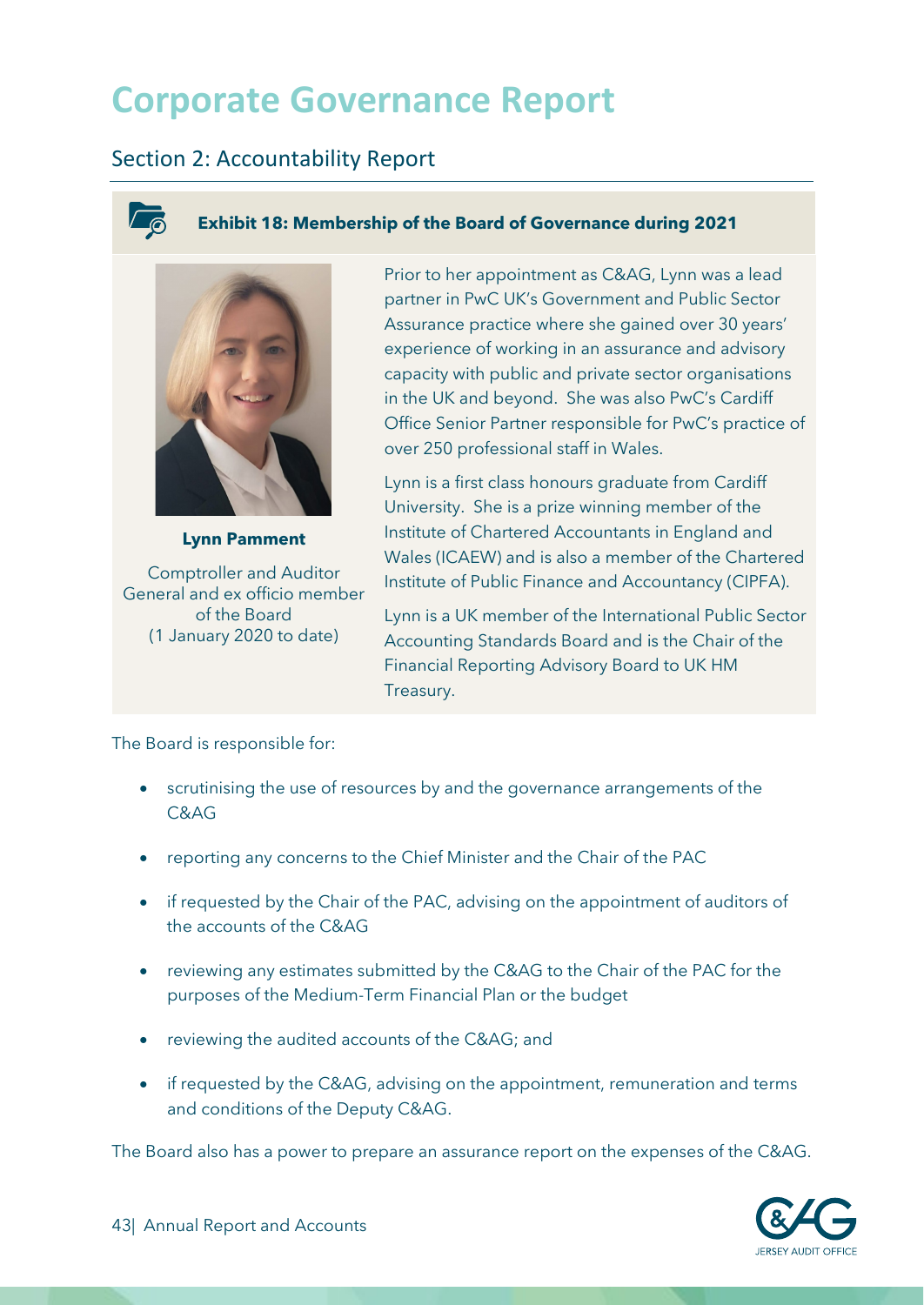# Section 2: Accountability Report



### **Exhibit 18: Membership of the Board of Governance during 2021**



**Lynn Pamment** Comptroller and Auditor General and ex officio member of the Board (1 January 2020 to date)

Prior to her appointment as C&AG, Lynn was a lead partner in PwC UK's Government and Public Sector Assurance practice where she gained over 30 years' experience of working in an assurance and advisory capacity with public and private sector organisations in the UK and beyond. She was also PwC's Cardiff Office Senior Partner responsible for PwC's practice of over 250 professional staff in Wales.

Lynn is a first class honours graduate from Cardiff University. She is a prize winning member of the Institute of Chartered Accountants in England and Wales (ICAEW) and is also a member of the Chartered Institute of Public Finance and Accountancy (CIPFA).

Lynn is a UK member of the International Public Sector Accounting Standards Board and is the Chair of the Financial Reporting Advisory Board to UK HM Treasury.

The Board is responsible for:

- scrutinising the use of resources by and the governance arrangements of the C&AG
- reporting any concerns to the Chief Minister and the Chair of the PAC
- if requested by the Chair of the PAC, advising on the appointment of auditors of the accounts of the C&AG
- reviewing any estimates submitted by the C&AG to the Chair of the PAC for the purposes of the Medium-Term Financial Plan or the budget
- reviewing the audited accounts of the C&AG; and
- if requested by the C&AG, advising on the appointment, remuneration and terms and conditions of the Deputy C&AG.

The Board also has a power to prepare an assurance report on the expenses of the C&AG.

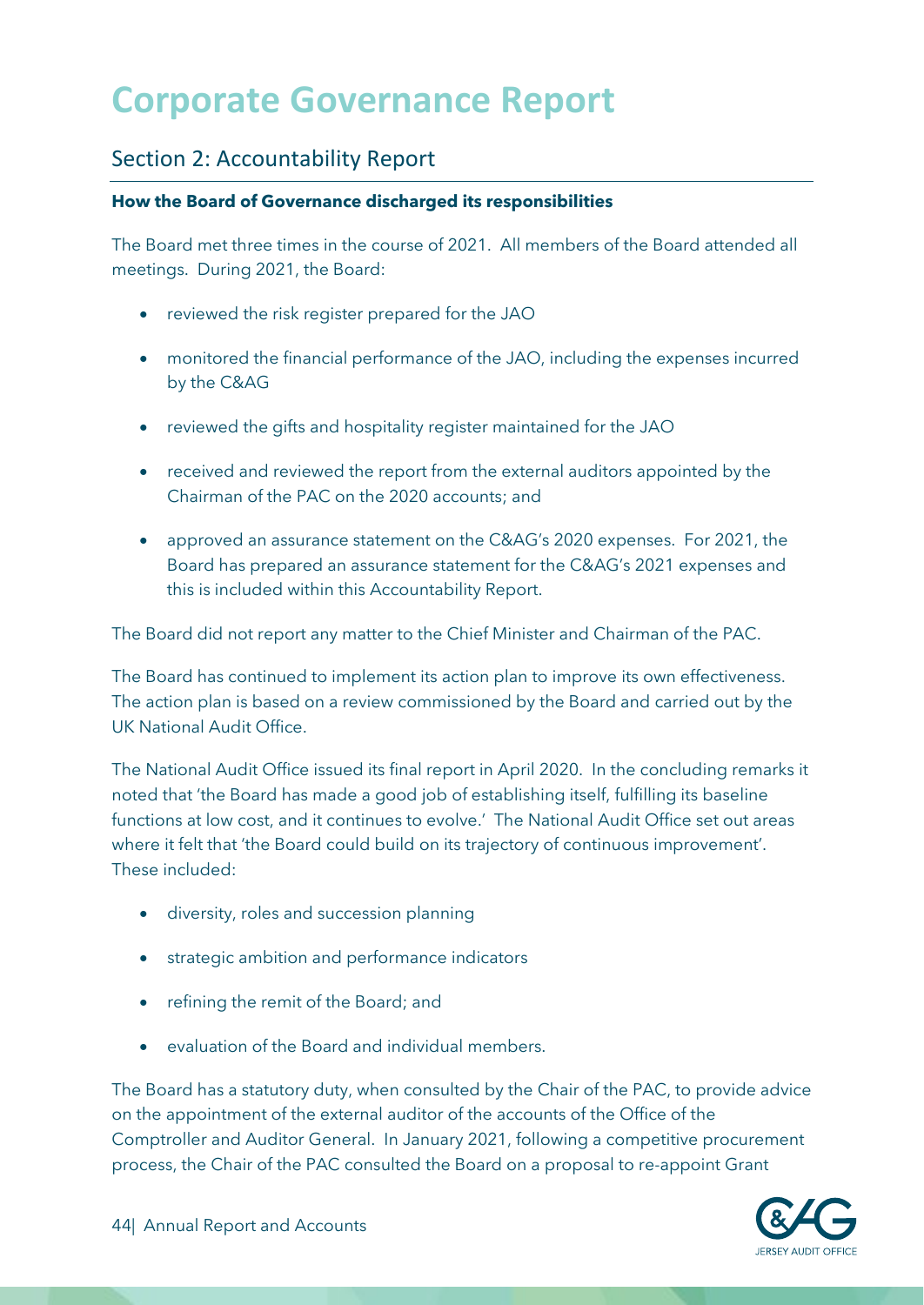### Section 2: Accountability Report

#### **How the Board of Governance discharged its responsibilities**

The Board met three times in the course of 2021. All members of the Board attended all meetings. During 2021, the Board:

- reviewed the risk register prepared for the JAO
- monitored the financial performance of the JAO, including the expenses incurred by the C&AG
- reviewed the gifts and hospitality register maintained for the JAO
- received and reviewed the report from the external auditors appointed by the Chairman of the PAC on the 2020 accounts; and
- approved an assurance statement on the C&AG's 2020 expenses. For 2021, the Board has prepared an assurance statement for the C&AG's 2021 expenses and this is included within this Accountability Report.

The Board did not report any matter to the Chief Minister and Chairman of the PAC.

The Board has continued to implement its action plan to improve its own effectiveness. The action plan is based on a review commissioned by the Board and carried out by the UK National Audit Office.

The National Audit Office issued its final report in April 2020. In the concluding remarks it noted that 'the Board has made a good job of establishing itself, fulfilling its baseline functions at low cost, and it continues to evolve.' The National Audit Office set out areas where it felt that 'the Board could build on its trajectory of continuous improvement'. These included:

- diversity, roles and succession planning
- strategic ambition and performance indicators
- refining the remit of the Board; and
- evaluation of the Board and individual members.

The Board has a statutory duty, when consulted by the Chair of the PAC, to provide advice on the appointment of the external auditor of the accounts of the Office of the Comptroller and Auditor General. In January 2021, following a competitive procurement process, the Chair of the PAC consulted the Board on a proposal to re-appoint Grant

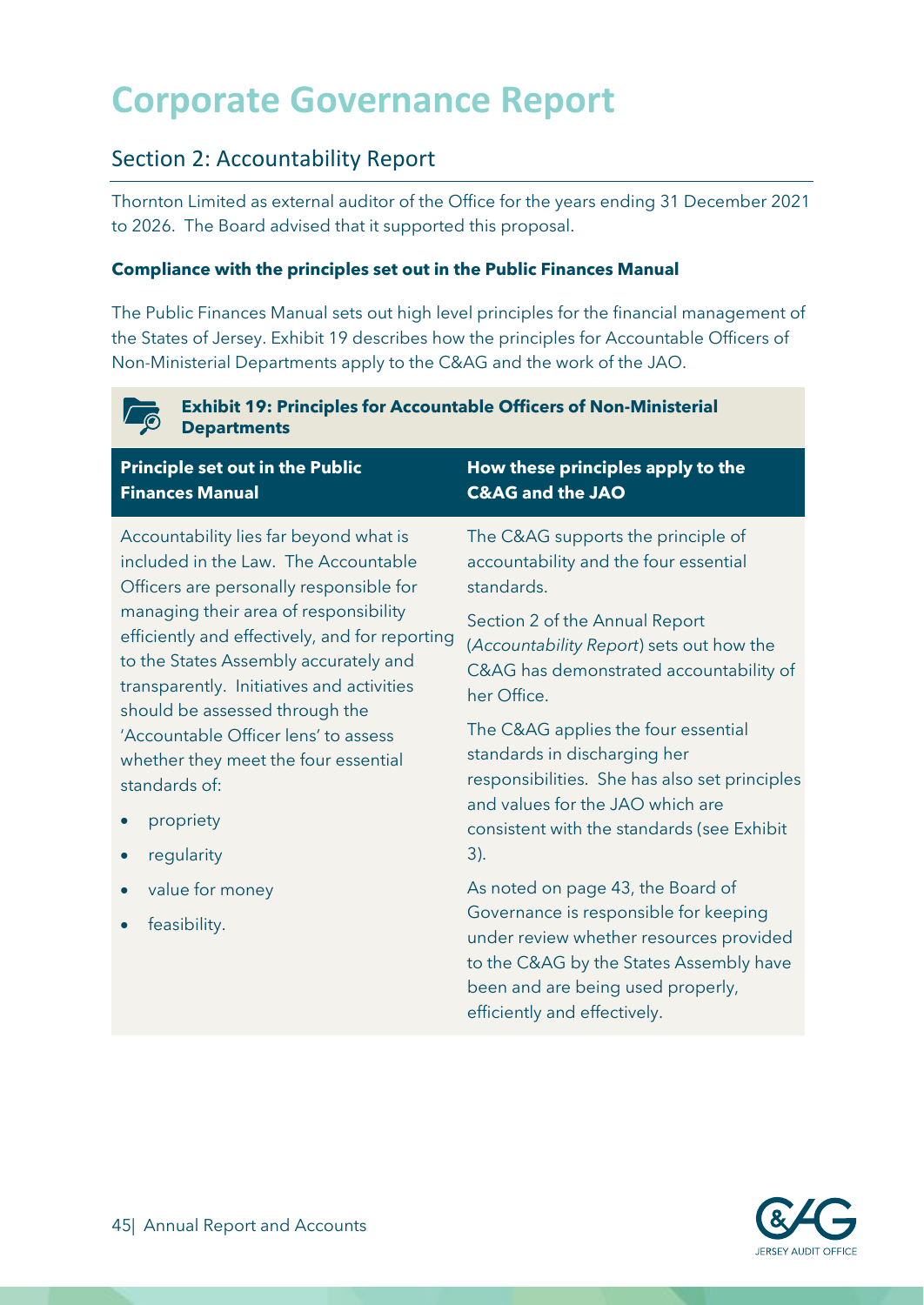# Section 2: Accountability Report

Thornton Limited as external auditor of the Office for the years ending 31 December 2021 to 2026. The Board advised that it supported this proposal.

#### **Compliance with the principles set out in the Public Finances Manual**

The Public Finances Manual sets out high level principles for the financial management of the States of Jersey. Exhibit 19 describes how the principles for Accountable Officers of Non-Ministerial Departments apply to the C&AG and the work of the JAO.

### **Exhibit 19: Principles for Accountable Officers of Non-Ministerial Departments**

### **Principle set out in the Public Finances Manual**

Accountability lies far beyond what is included in the Law. The Accountable Officers are personally responsible for managing their area of responsibility efficiently and effectively, and for reporting to the States Assembly accurately and transparently. Initiatives and activities should be assessed through the 'Accountable Officer lens' to assess whether they meet the four essential standards of:

- propriety
- regularity
- value for money
- feasibility.

### **How these principles apply to the C&AG and the JAO**

The C&AG supports the principle of accountability and the four essential standards.

Section 2 of the Annual Report (*Accountability Report*) sets out how the C&AG has demonstrated accountability of her Office.

The C&AG applies the four essential standards in discharging her responsibilities. She has also set principles and values for the JAO which are consistent with the standards (see Exhibit 3).

As noted on page 43, the Board of Governance is responsible for keeping under review whether resources provided to the C&AG by the States Assembly have been and are being used properly, efficiently and effectively.

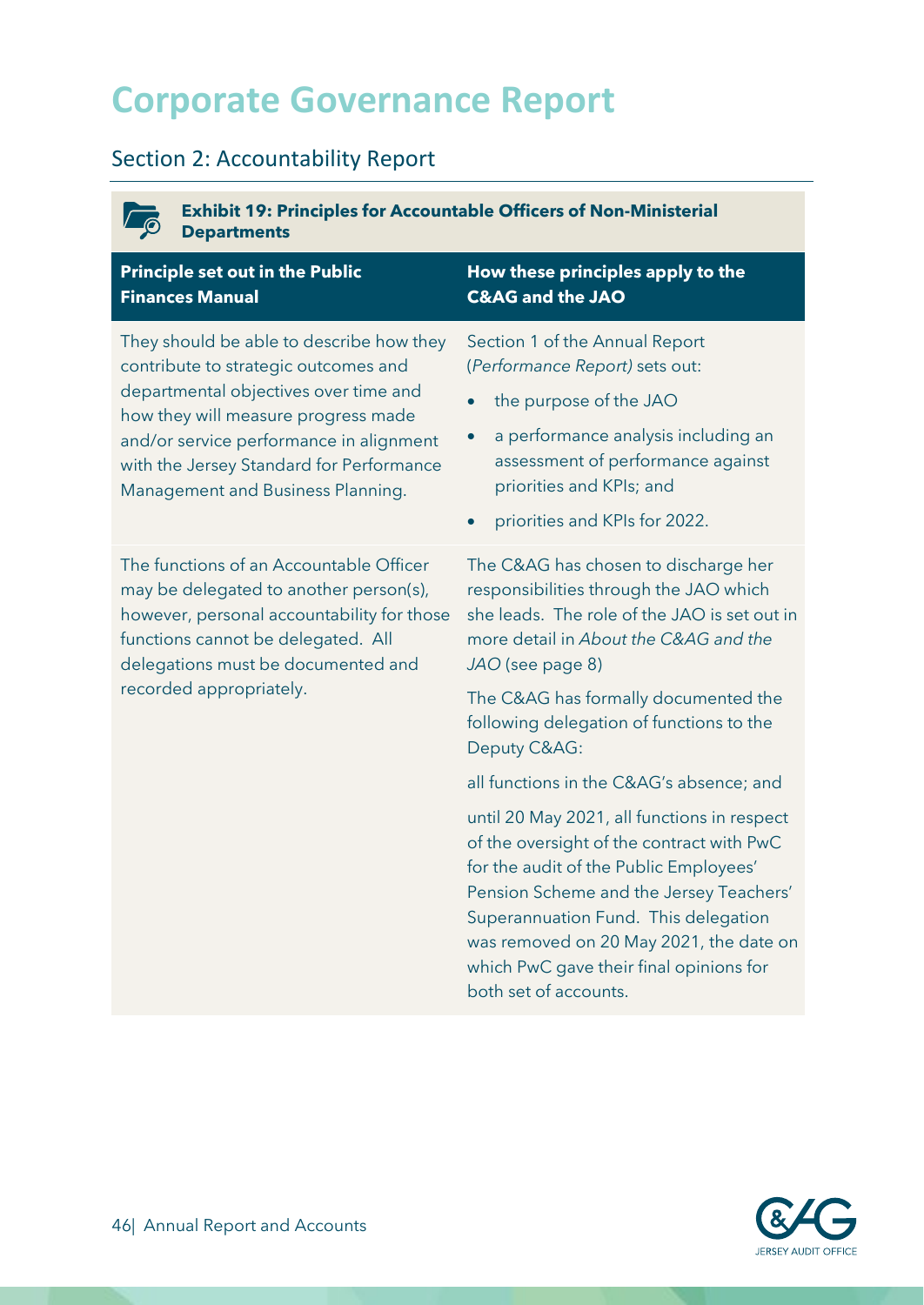# Section 2: Accountability Report

| <b>Exhibit 19: Principles for Accountable Officers of Non-Ministerial</b><br><b>Departments</b>                                                                                                                                                                                              |                                                                                                                                                                                                                                                                                                                                                                                                  |  |  |
|----------------------------------------------------------------------------------------------------------------------------------------------------------------------------------------------------------------------------------------------------------------------------------------------|--------------------------------------------------------------------------------------------------------------------------------------------------------------------------------------------------------------------------------------------------------------------------------------------------------------------------------------------------------------------------------------------------|--|--|
| <b>Principle set out in the Public</b><br><b>Finances Manual</b>                                                                                                                                                                                                                             | How these principles apply to the<br><b>C&amp;AG and the JAO</b>                                                                                                                                                                                                                                                                                                                                 |  |  |
| They should be able to describe how they<br>contribute to strategic outcomes and<br>departmental objectives over time and<br>how they will measure progress made<br>and/or service performance in alignment<br>with the Jersey Standard for Performance<br>Management and Business Planning. | Section 1 of the Annual Report<br>(Performance Report) sets out:<br>the purpose of the JAO<br>a performance analysis including an<br>$\bullet$<br>assessment of performance against<br>priorities and KPIs; and<br>priorities and KPIs for 2022.<br>$\bullet$                                                                                                                                    |  |  |
| The functions of an Accountable Officer<br>may be delegated to another person(s),<br>however, personal accountability for those<br>functions cannot be delegated. All<br>delegations must be documented and<br>recorded appropriately.                                                       | The C&AG has chosen to discharge her<br>responsibilities through the JAO which<br>she leads. The role of the JAO is set out in<br>more detail in About the C&AG and the<br>JAO (see page 8)<br>The C&AG has formally documented the<br>following delegation of functions to the                                                                                                                  |  |  |
|                                                                                                                                                                                                                                                                                              | Deputy C&AG:<br>all functions in the C&AG's absence; and<br>until 20 May 2021, all functions in respect<br>of the oversight of the contract with PwC<br>for the audit of the Public Employees'<br>Pension Scheme and the Jersey Teachers'<br>Superannuation Fund. This delegation<br>was removed on 20 May 2021, the date on<br>which PwC gave their final opinions for<br>both set of accounts. |  |  |

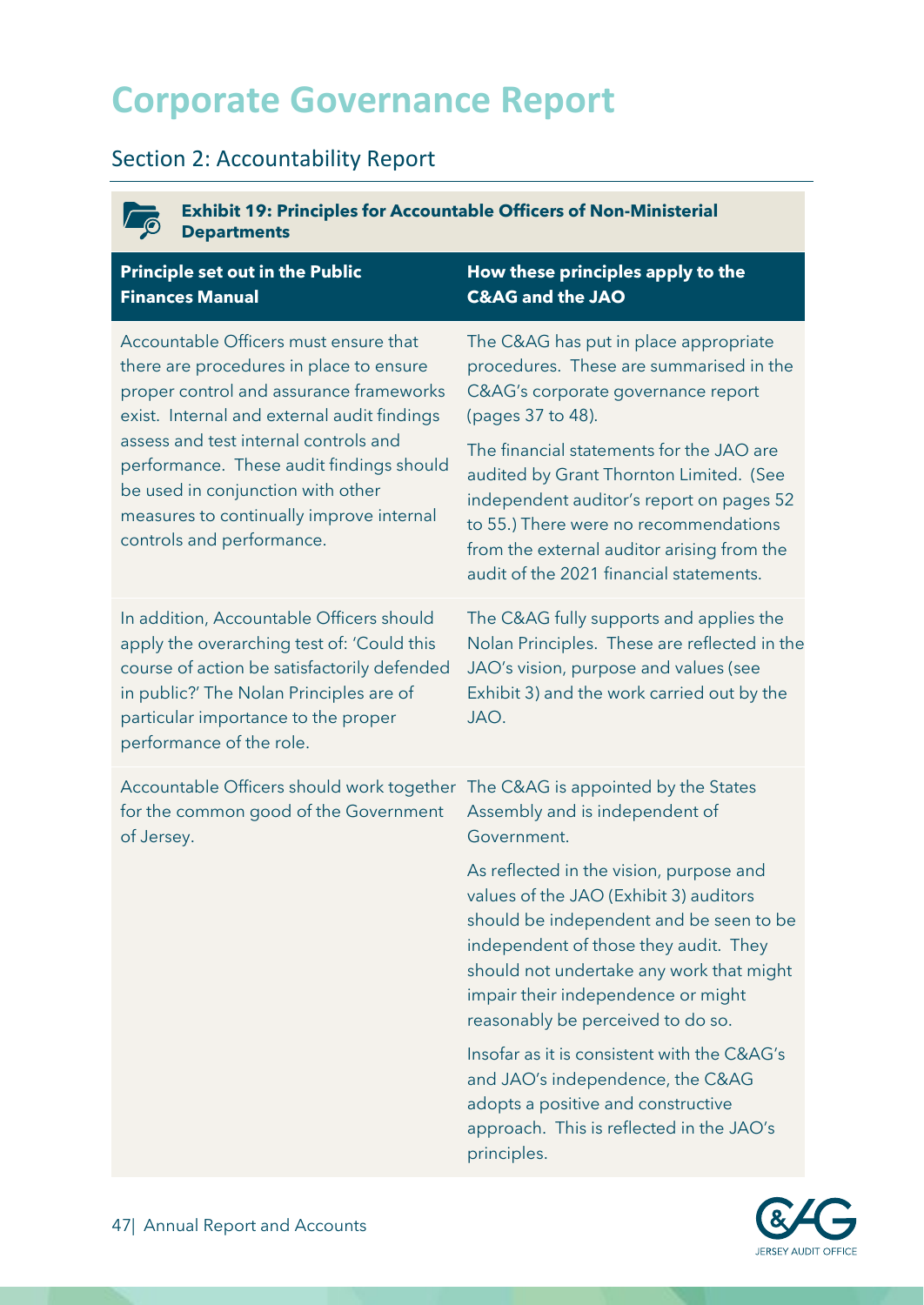### Section 2: Accountability Report

| Exhibit 19: Principles for Accountable Officers of Non-Ministerial<br>Departments |
|-----------------------------------------------------------------------------------|
| <b>Departments</b>                                                                |

#### **Principle set out in the Public Finances Manual How these principles apply to the C&AG and the JAO** Accountable Officers must ensure that there are procedures in place to ensure proper control and assurance frameworks exist. Internal and external audit findings assess and test internal controls and performance. These audit findings should be used in conjunction with other measures to continually improve internal controls and performance. The C&AG has put in place appropriate procedures. These are summarised in the C&AG's corporate governance report (pages 37 to 48). The financial statements for the JAO are audited by Grant Thornton Limited. (See independent auditor's report on pages 52 to 55.) There were no recommendations from the external auditor arising from the audit of the 2021 financial statements. In addition, Accountable Officers should apply the overarching test of: 'Could this course of action be satisfactorily defended in public?' The Nolan Principles are of particular importance to the proper performance of the role. The C&AG fully supports and applies the Nolan Principles. These are reflected in the JAO's vision, purpose and values (see Exhibit 3) and the work carried out by the JAO. Accountable Officers should work together The C&AG is appointed by the States for the common good of the Government of Jersey. Assembly and is independent of Government. As reflected in the vision, purpose and values of the JAO (Exhibit 3) auditors should be independent and be seen to be independent of those they audit. They should not undertake any work that might impair their independence or might reasonably be perceived to do so. Insofar as it is consistent with the C&AG's and JAO's independence, the C&AG adopts a positive and constructive approach. This is reflected in the JAO's

principles.

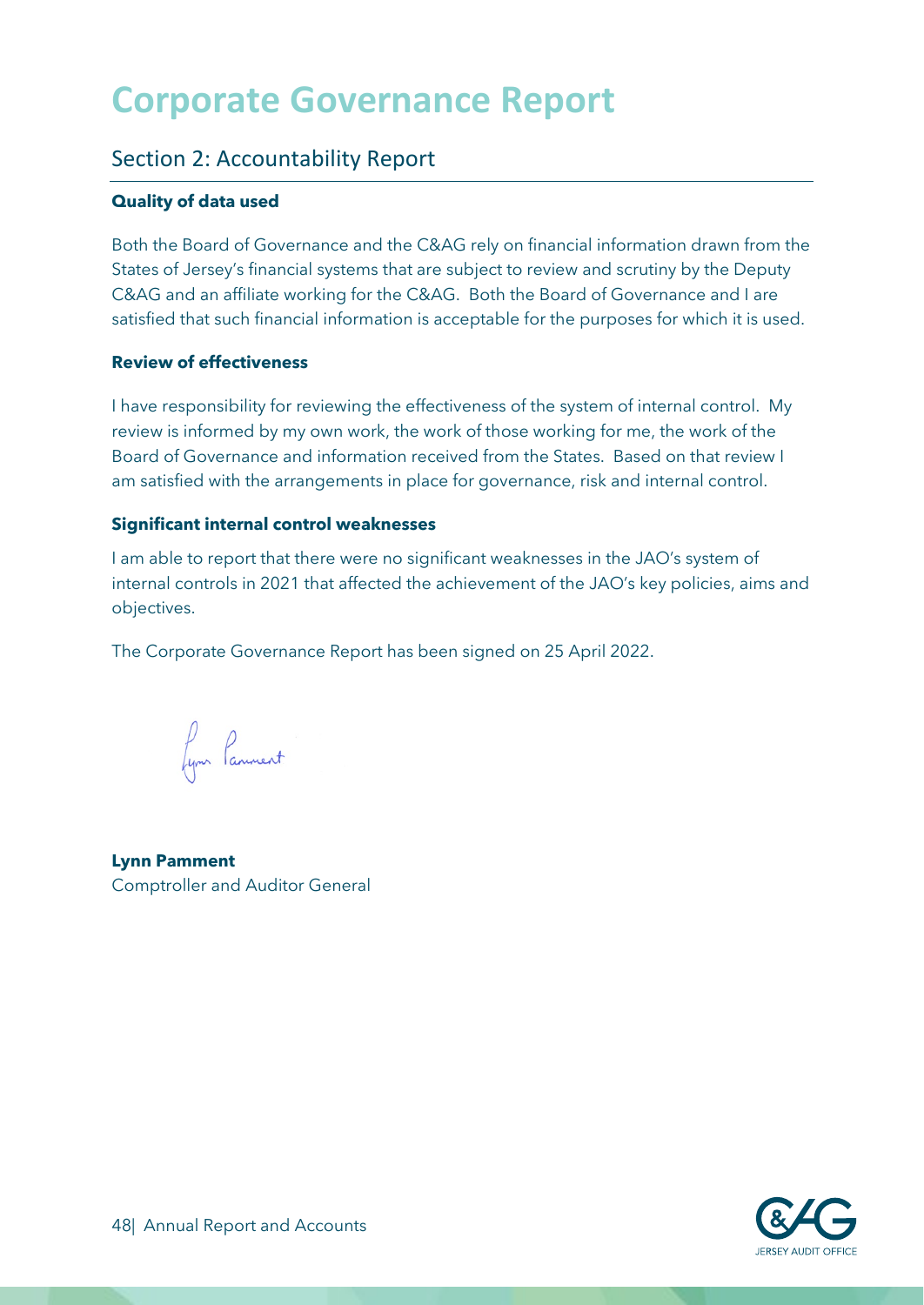### Section 2: Accountability Report

#### **Quality of data used**

Both the Board of Governance and the C&AG rely on financial information drawn from the States of Jersey's financial systems that are subject to review and scrutiny by the Deputy C&AG and an affiliate working for the C&AG. Both the Board of Governance and I are satisfied that such financial information is acceptable for the purposes for which it is used.

#### **Review of effectiveness**

I have responsibility for reviewing the effectiveness of the system of internal control. My review is informed by my own work, the work of those working for me, the work of the Board of Governance and information received from the States. Based on that review I am satisfied with the arrangements in place for governance, risk and internal control.

#### **Significant internal control weaknesses**

I am able to report that there were no significant weaknesses in the JAO's system of internal controls in 2021 that affected the achievement of the JAO's key policies, aims and objectives.

The Corporate Governance Report has been signed on 25 April 2022.

fynn Panment

**Lynn Pamment** Comptroller and Auditor General

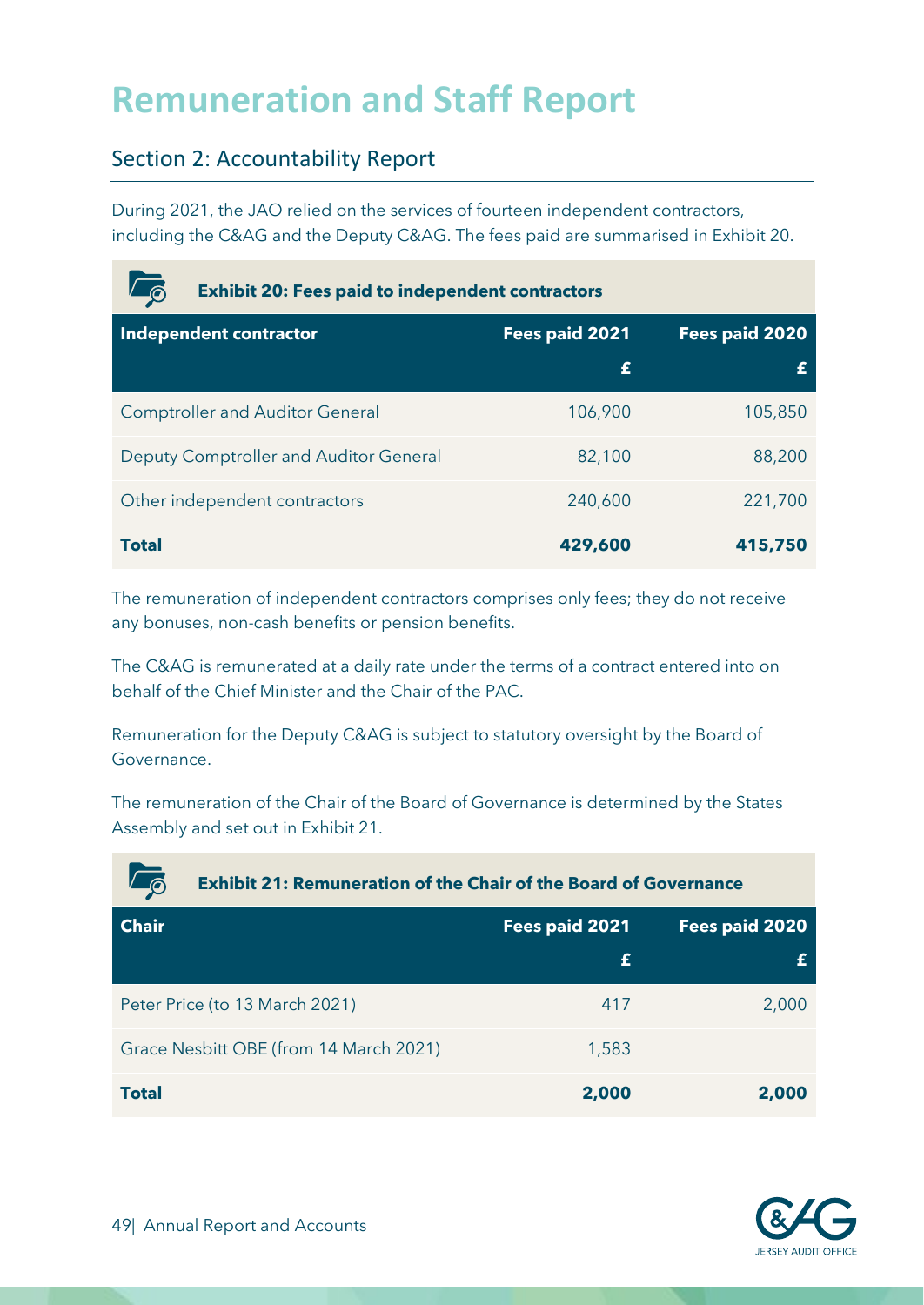# **Remuneration and Staff Report**

### Section 2: Accountability Report

During 2021, the JAO relied on the services of fourteen independent contractors, including the C&AG and the Deputy C&AG. The fees paid are summarised in Exhibit 20.

| <b>Exhibit 20: Fees paid to independent contractors</b> |                |                |  |
|---------------------------------------------------------|----------------|----------------|--|
| Independent contractor                                  | Fees paid 2021 | Fees paid 2020 |  |
|                                                         | £              |                |  |
| <b>Comptroller and Auditor General</b>                  | 106,900        | 105,850        |  |
| Deputy Comptroller and Auditor General                  | 82,100         | 88,200         |  |
| Other independent contractors                           | 240,600        | 221,700        |  |
| <b>Total</b>                                            | 429,600        | 415,750        |  |

The remuneration of independent contractors comprises only fees; they do not receive any bonuses, non-cash benefits or pension benefits.

The C&AG is remunerated at a daily rate under the terms of a contract entered into on behalf of the Chief Minister and the Chair of the PAC.

Remuneration for the Deputy C&AG is subject to statutory oversight by the Board of Governance.

The remuneration of the Chair of the Board of Governance is determined by the States Assembly and set out in Exhibit 21.

| <b>Exhibit 21: Remuneration of the Chair of the Board of Governance</b> |                |                |  |
|-------------------------------------------------------------------------|----------------|----------------|--|
| <b>Chair</b>                                                            | Fees paid 2021 | Fees paid 2020 |  |
|                                                                         | £              |                |  |
| Peter Price (to 13 March 2021)                                          | 417            | 2,000          |  |
| Grace Nesbitt OBE (from 14 March 2021)                                  | 1,583          |                |  |
| Total                                                                   | 2,000          | 2,000          |  |

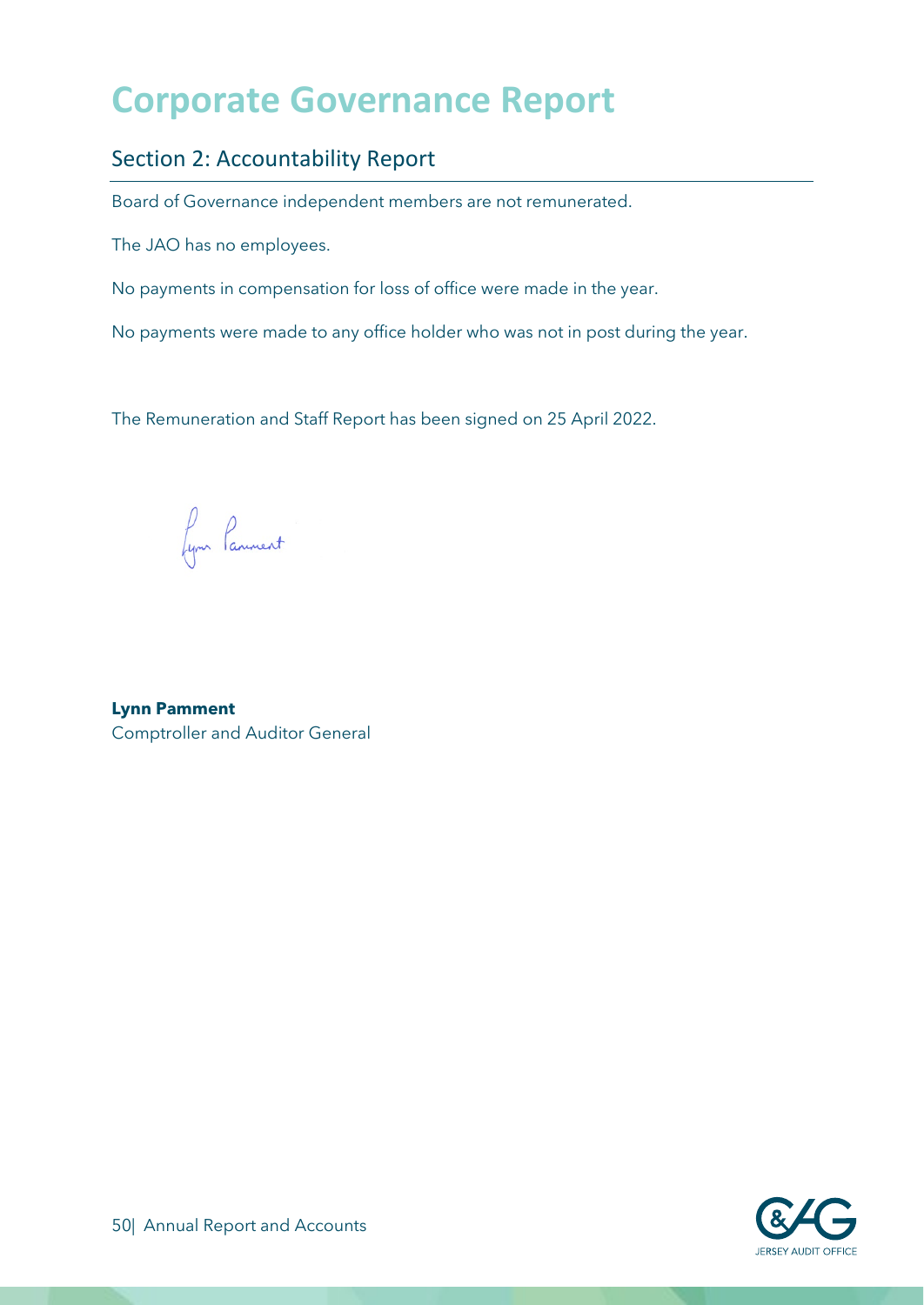### Section 2: Accountability Report

Board of Governance independent members are not remunerated.

The JAO has no employees.

No payments in compensation for loss of office were made in the year.

No payments were made to any office holder who was not in post during the year.

The Remuneration and Staff Report has been signed on 25 April 2022.

fynn Panment

**Lynn Pamment** Comptroller and Auditor General

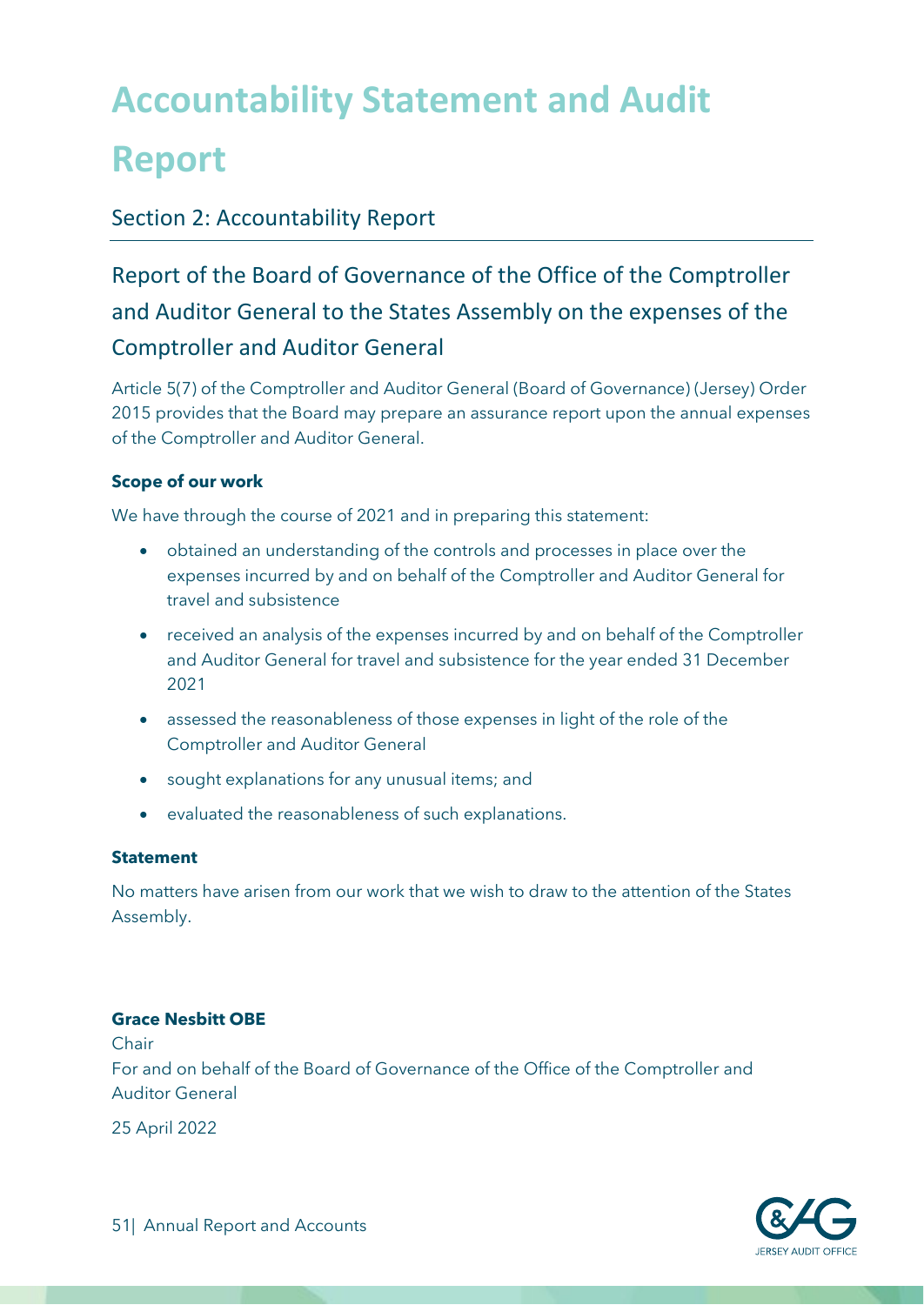### Section 2: Accountability Report

# Report of the Board of Governance of the Office of the Comptroller and Auditor General to the States Assembly on the expenses of the Comptroller and Auditor General

Article 5(7) of the Comptroller and Auditor General (Board of Governance) (Jersey) Order 2015 provides that the Board may prepare an assurance report upon the annual expenses of the Comptroller and Auditor General.

#### **Scope of our work**

We have through the course of 2021 and in preparing this statement:

- obtained an understanding of the controls and processes in place over the expenses incurred by and on behalf of the Comptroller and Auditor General for travel and subsistence
- received an analysis of the expenses incurred by and on behalf of the Comptroller and Auditor General for travel and subsistence for the year ended 31 December 2021
- assessed the reasonableness of those expenses in light of the role of the Comptroller and Auditor General
- sought explanations for any unusual items; and
- evaluated the reasonableness of such explanations.

#### **Statement**

No matters have arisen from our work that we wish to draw to the attention of the States Assembly.

#### **Grace Nesbitt OBE**

**Chair** 

For and on behalf of the Board of Governance of the Office of the Comptroller and Auditor General

25 April 2022

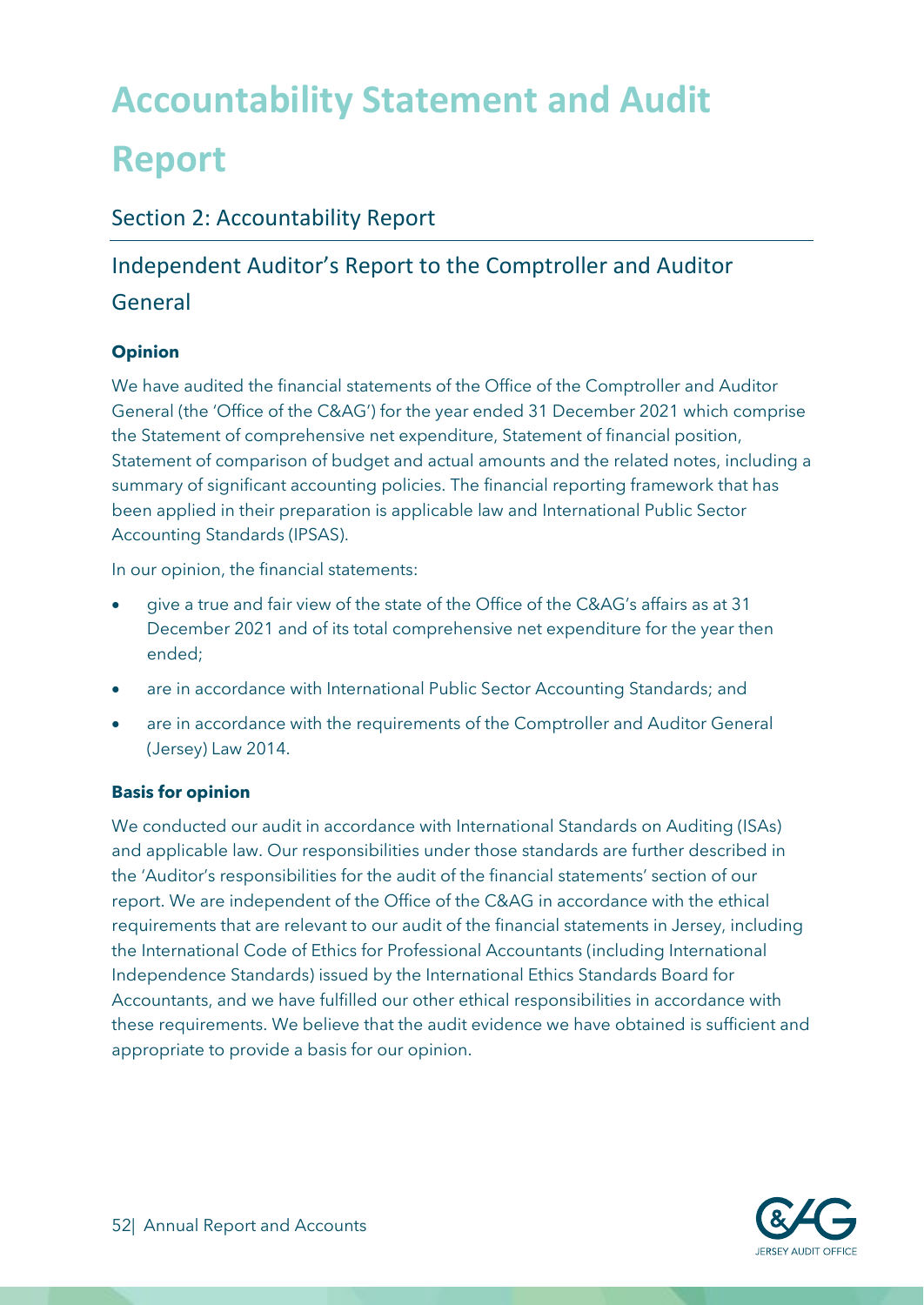### Section 2: Accountability Report

# Independent Auditor's Report to the Comptroller and Auditor General

### **Opinion**

We have audited the financial statements of the Office of the Comptroller and Auditor General (the 'Office of the C&AG') for the year ended 31 December 2021 which comprise the Statement of comprehensive net expenditure, Statement of financial position, Statement of comparison of budget and actual amounts and the related notes, including a summary of significant accounting policies. The financial reporting framework that has been applied in their preparation is applicable law and International Public Sector Accounting Standards (IPSAS).

In our opinion, the financial statements:

- give a true and fair view of the state of the Office of the C&AG's affairs as at 31 December 2021 and of its total comprehensive net expenditure for the year then ended;
- are in accordance with International Public Sector Accounting Standards; and
- are in accordance with the requirements of the Comptroller and Auditor General (Jersey) Law 2014.

### **Basis for opinion**

We conducted our audit in accordance with International Standards on Auditing (ISAs) and applicable law. Our responsibilities under those standards are further described in the 'Auditor's responsibilities for the audit of the financial statements' section of our report. We are independent of the Office of the C&AG in accordance with the ethical requirements that are relevant to our audit of the financial statements in Jersey, including the International Code of Ethics for Professional Accountants (including International Independence Standards) issued by the International Ethics Standards Board for Accountants, and we have fulfilled our other ethical responsibilities in accordance with these requirements. We believe that the audit evidence we have obtained is sufficient and appropriate to provide a basis for our opinion.

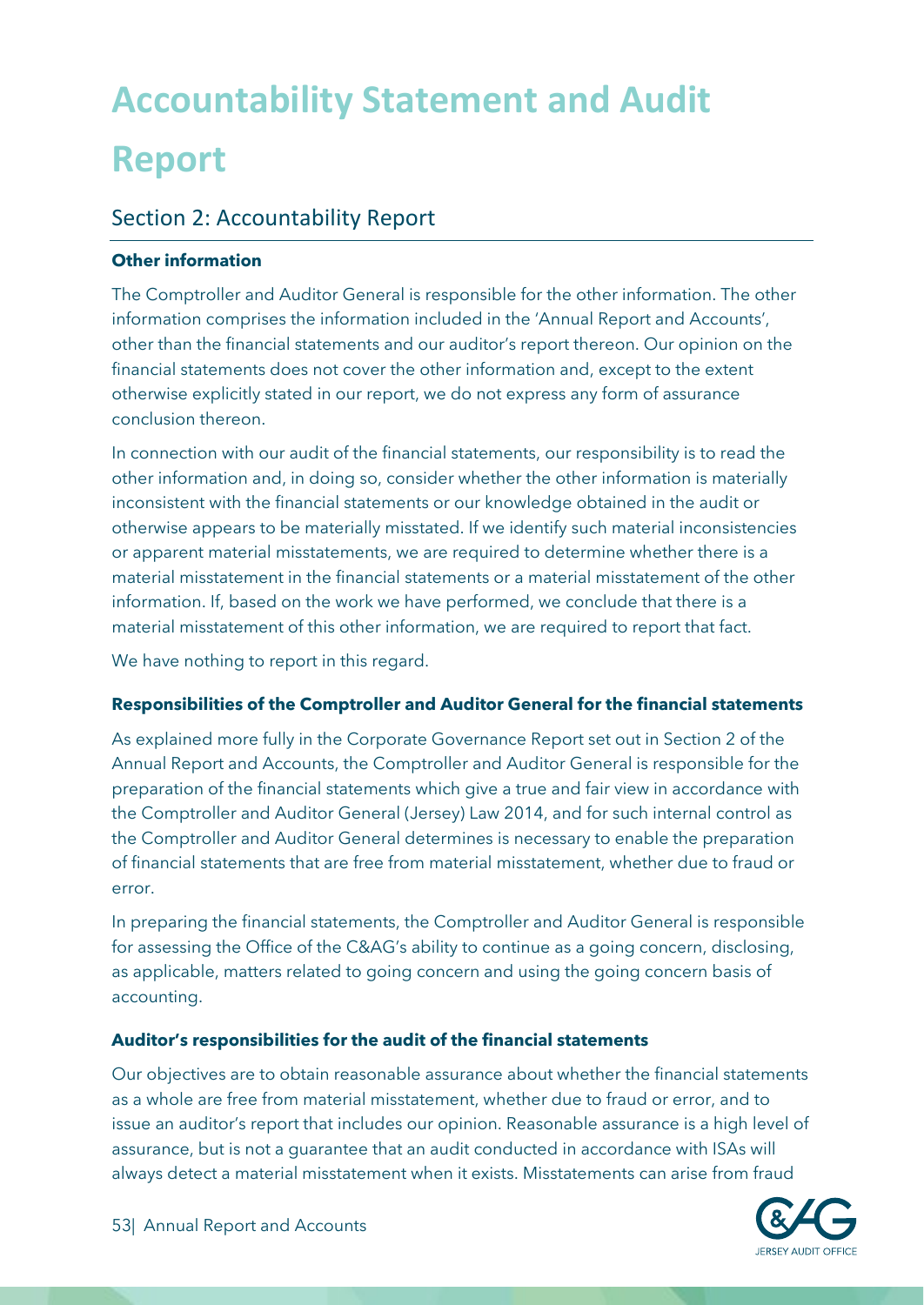### Section 2: Accountability Report

### **Other information**

The Comptroller and Auditor General is responsible for the other information. The other information comprises the information included in the 'Annual Report and Accounts', other than the financial statements and our auditor's report thereon. Our opinion on the financial statements does not cover the other information and, except to the extent otherwise explicitly stated in our report, we do not express any form of assurance conclusion thereon.

In connection with our audit of the financial statements, our responsibility is to read the other information and, in doing so, consider whether the other information is materially inconsistent with the financial statements or our knowledge obtained in the audit or otherwise appears to be materially misstated. If we identify such material inconsistencies or apparent material misstatements, we are required to determine whether there is a material misstatement in the financial statements or a material misstatement of the other information. If, based on the work we have performed, we conclude that there is a material misstatement of this other information, we are required to report that fact.

We have nothing to report in this regard.

#### **Responsibilities of the Comptroller and Auditor General for the financial statements**

As explained more fully in the Corporate Governance Report set out in Section 2 of the Annual Report and Accounts, the Comptroller and Auditor General is responsible for the preparation of the financial statements which give a true and fair view in accordance with the Comptroller and Auditor General (Jersey) Law 2014, and for such internal control as the Comptroller and Auditor General determines is necessary to enable the preparation of financial statements that are free from material misstatement, whether due to fraud or error.

In preparing the financial statements, the Comptroller and Auditor General is responsible for assessing the Office of the C&AG's ability to continue as a going concern, disclosing, as applicable, matters related to going concern and using the going concern basis of accounting.

#### **Auditor's responsibilities for the audit of the financial statements**

Our objectives are to obtain reasonable assurance about whether the financial statements as a whole are free from material misstatement, whether due to fraud or error, and to issue an auditor's report that includes our opinion. Reasonable assurance is a high level of assurance, but is not a guarantee that an audit conducted in accordance with ISAs will always detect a material misstatement when it exists. Misstatements can arise from fraud

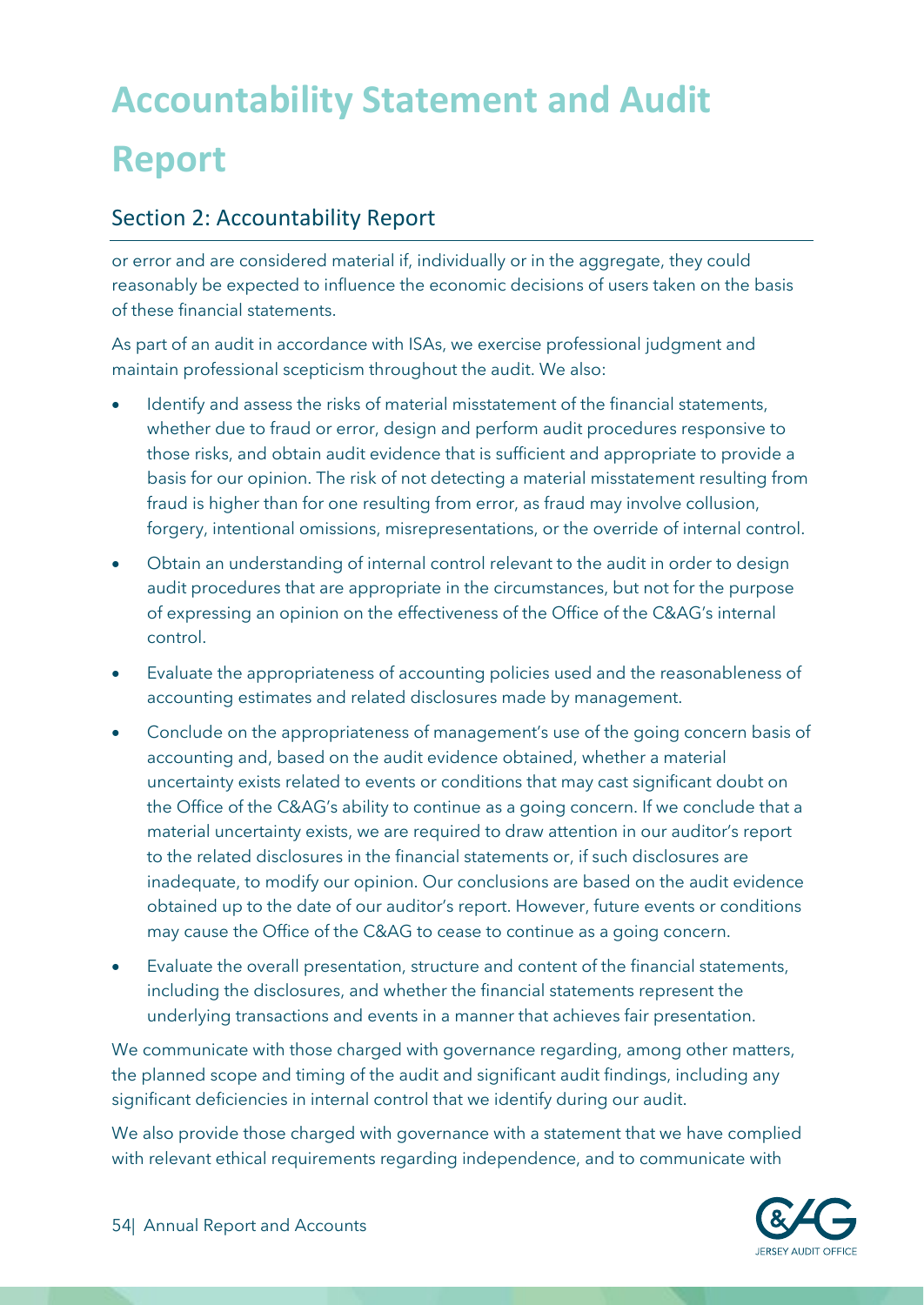# Section 2: Accountability Report

or error and are considered material if, individually or in the aggregate, they could reasonably be expected to influence the economic decisions of users taken on the basis of these financial statements.

As part of an audit in accordance with ISAs, we exercise professional judgment and maintain professional scepticism throughout the audit. We also:

- Identify and assess the risks of material misstatement of the financial statements, whether due to fraud or error, design and perform audit procedures responsive to those risks, and obtain audit evidence that is sufficient and appropriate to provide a basis for our opinion. The risk of not detecting a material misstatement resulting from fraud is higher than for one resulting from error, as fraud may involve collusion, forgery, intentional omissions, misrepresentations, or the override of internal control.
- Obtain an understanding of internal control relevant to the audit in order to design audit procedures that are appropriate in the circumstances, but not for the purpose of expressing an opinion on the effectiveness of the Office of the C&AG's internal control.
- Evaluate the appropriateness of accounting policies used and the reasonableness of accounting estimates and related disclosures made by management.
- Conclude on the appropriateness of management's use of the going concern basis of accounting and, based on the audit evidence obtained, whether a material uncertainty exists related to events or conditions that may cast significant doubt on the Office of the C&AG's ability to continue as a going concern. If we conclude that a material uncertainty exists, we are required to draw attention in our auditor's report to the related disclosures in the financial statements or, if such disclosures are inadequate, to modify our opinion. Our conclusions are based on the audit evidence obtained up to the date of our auditor's report. However, future events or conditions may cause the Office of the C&AG to cease to continue as a going concern.
- Evaluate the overall presentation, structure and content of the financial statements, including the disclosures, and whether the financial statements represent the underlying transactions and events in a manner that achieves fair presentation.

We communicate with those charged with governance regarding, among other matters, the planned scope and timing of the audit and significant audit findings, including any significant deficiencies in internal control that we identify during our audit.

We also provide those charged with governance with a statement that we have complied with relevant ethical requirements regarding independence, and to communicate with

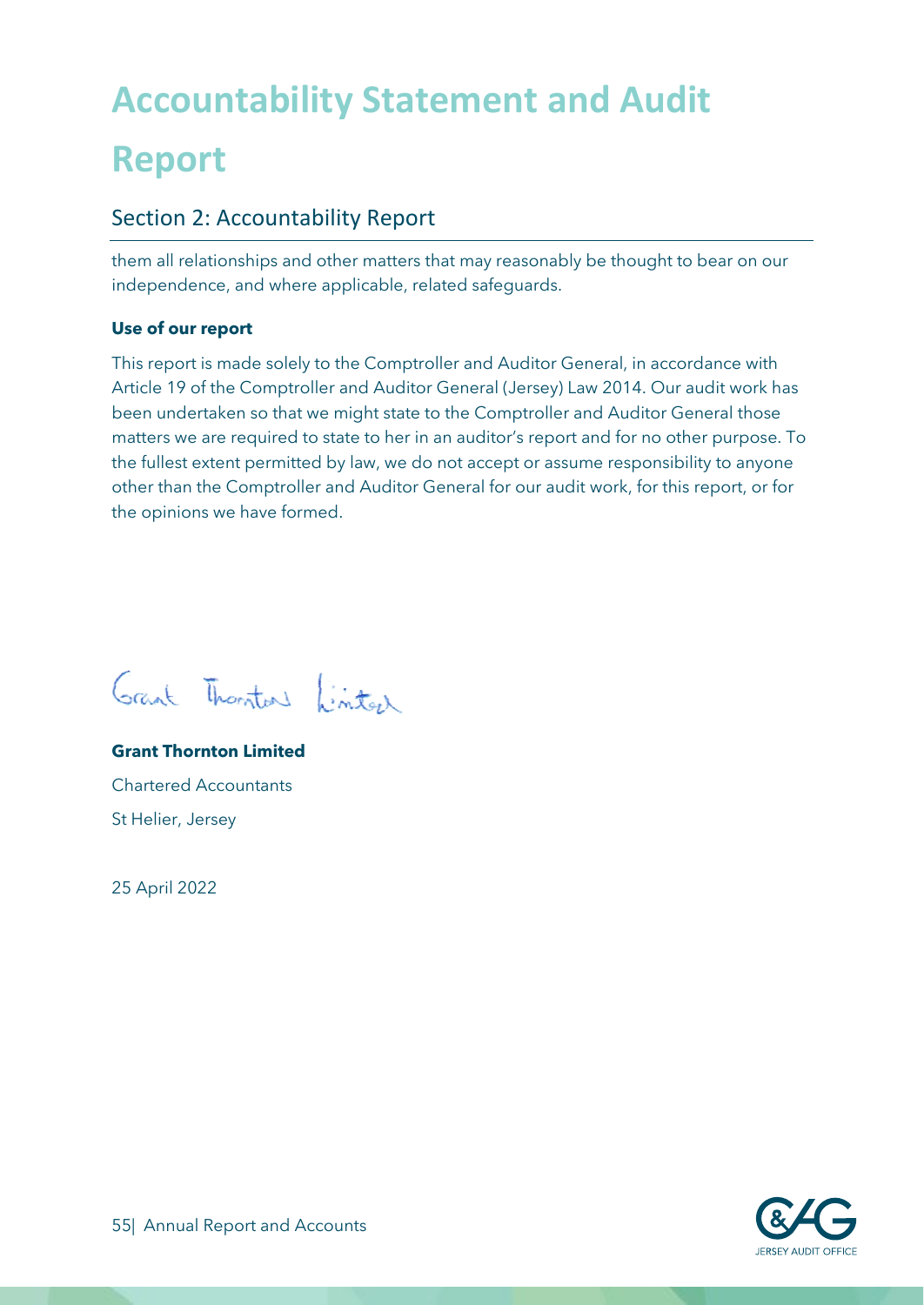### Section 2: Accountability Report

them all relationships and other matters that may reasonably be thought to bear on our independence, and where applicable, related safeguards.

#### **Use of our report**

This report is made solely to the Comptroller and Auditor General, in accordance with Article 19 of the Comptroller and Auditor General (Jersey) Law 2014. Our audit work has been undertaken so that we might state to the Comptroller and Auditor General those matters we are required to state to her in an auditor's report and for no other purpose. To the fullest extent permitted by law, we do not accept or assume responsibility to anyone other than the Comptroller and Auditor General for our audit work, for this report, or for the opinions we have formed.

Grant Thornton finital

**Grant Thornton Limited** Chartered Accountants St Helier, Jersey

25 April 2022

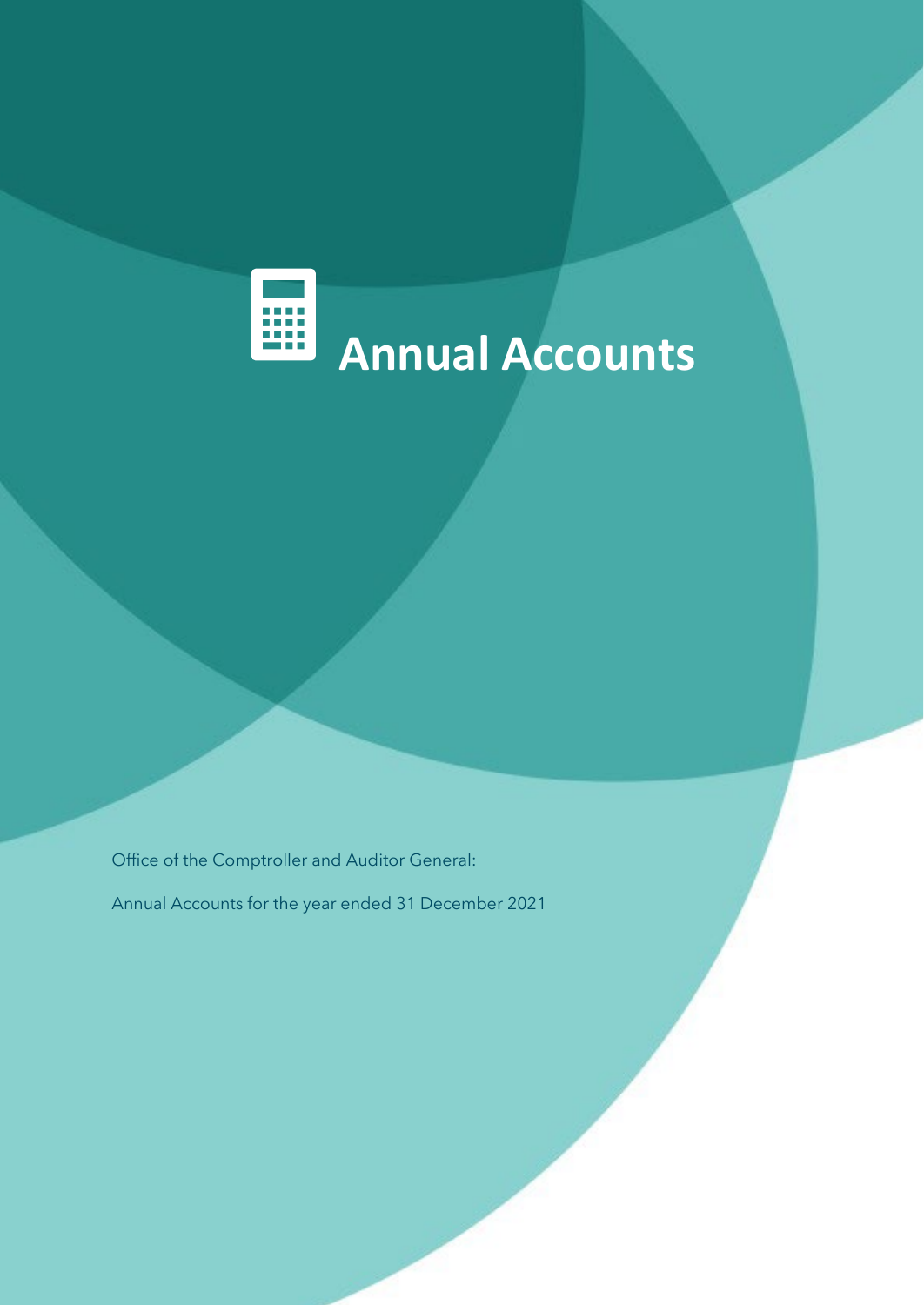Office of the Comptroller and Auditor General:

Annual Accounts for the year ended 31 December 2021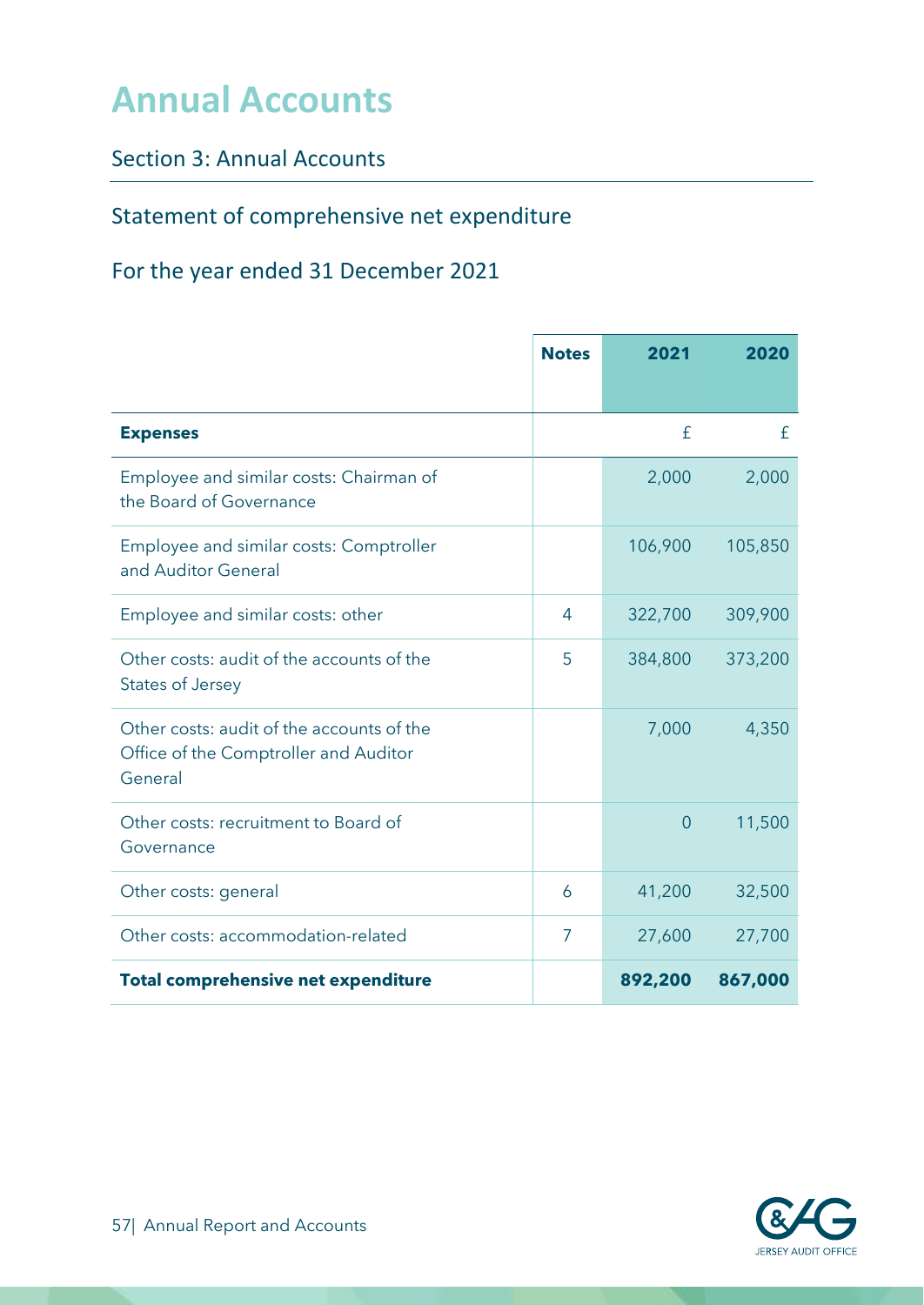# Section 3: Annual Accounts

# Statement of comprehensive net expenditure

# For the year ended 31 December 2021

|                                                                                               | <b>Notes</b> | 2021           | 2020         |
|-----------------------------------------------------------------------------------------------|--------------|----------------|--------------|
|                                                                                               |              |                |              |
| <b>Expenses</b>                                                                               |              | £              | $\mathbf{f}$ |
| Employee and similar costs: Chairman of<br>the Board of Governance                            |              | 2,000          | 2,000        |
| Employee and similar costs: Comptroller<br>and Auditor General                                |              | 106,900        | 105,850      |
| Employee and similar costs: other                                                             | 4            | 322,700        | 309,900      |
| Other costs: audit of the accounts of the<br><b>States of Jersey</b>                          | 5            | 384,800        | 373,200      |
| Other costs: audit of the accounts of the<br>Office of the Comptroller and Auditor<br>General |              | 7,000          | 4,350        |
| Other costs: recruitment to Board of<br>Governance                                            |              | $\overline{0}$ | 11,500       |
| Other costs: general                                                                          | 6            | 41,200         | 32,500       |
| Other costs: accommodation-related                                                            | 7            | 27,600         | 27,700       |
| <b>Total comprehensive net expenditure</b>                                                    |              | 892,200        | 867,000      |

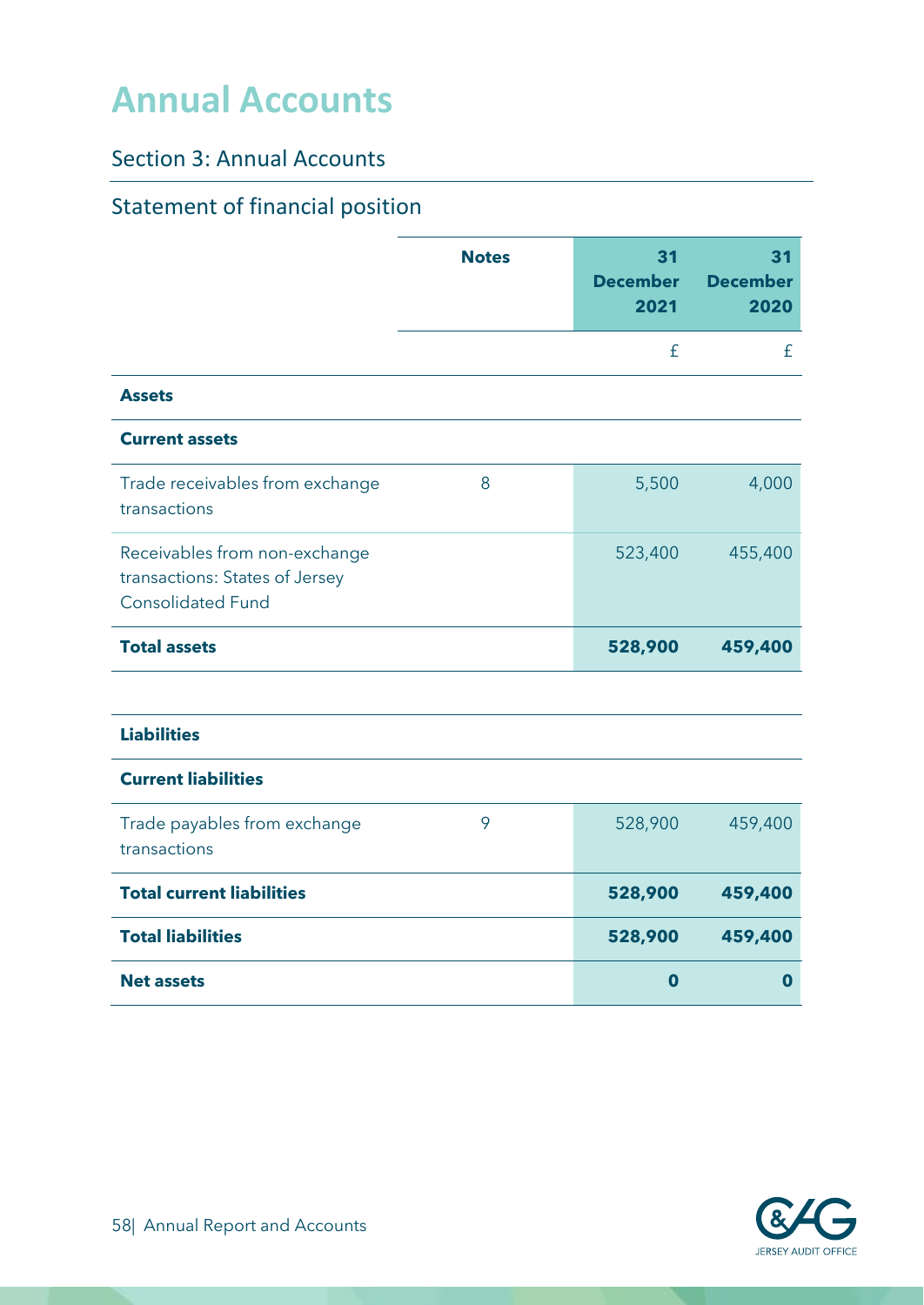### Section 3: Annual Accounts

# Statement of financial position

|                                                                                             | <b>Notes</b> | 31<br><b>December</b><br>2021 | 31<br><b>December</b><br>2020 |
|---------------------------------------------------------------------------------------------|--------------|-------------------------------|-------------------------------|
|                                                                                             |              | £                             | f.                            |
| <b>Assets</b>                                                                               |              |                               |                               |
| <b>Current assets</b>                                                                       |              |                               |                               |
| Trade receivables from exchange<br>transactions                                             | 8            | 5,500                         | 4,000                         |
| Receivables from non-exchange<br>transactions: States of Jersey<br><b>Consolidated Fund</b> |              | 523,400                       | 455,400                       |
| <b>Total assets</b>                                                                         |              | 528,900                       | 459,400                       |
|                                                                                             |              |                               |                               |
| <b>Liabilities</b>                                                                          |              |                               |                               |
| <b>Current liabilities</b>                                                                  |              |                               |                               |
| Trade payables from exchange<br>transactions                                                | 9            | 528,900                       | 459,400                       |
| <b>Total current liabilities</b>                                                            |              | 528,900                       | 459,400                       |
| <b>Total liabilities</b>                                                                    |              | 528,900                       | 459,400                       |
| <b>Net assets</b>                                                                           |              | $\boldsymbol{0}$              | 0                             |

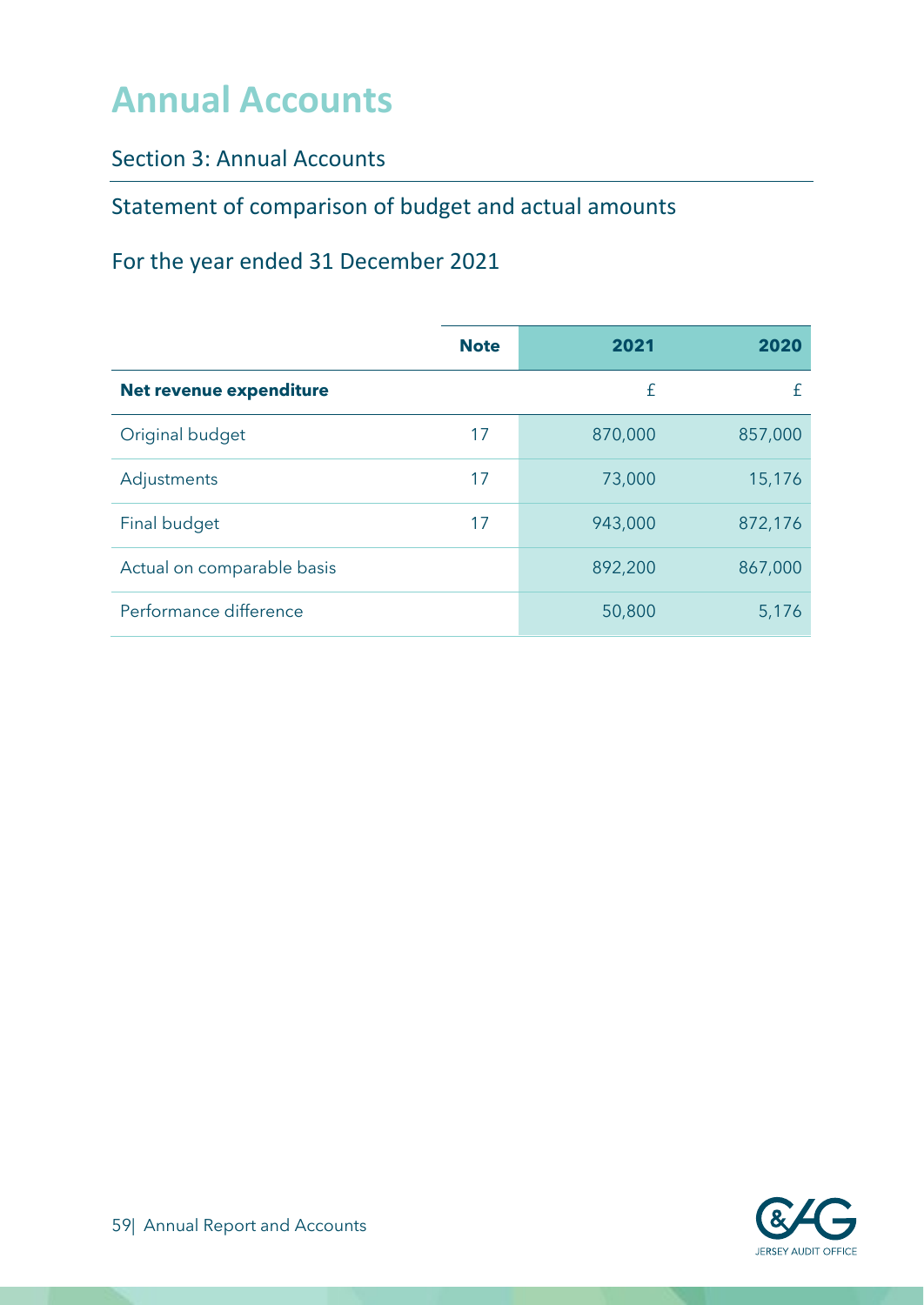# Section 3: Annual Accounts

# Statement of comparison of budget and actual amounts

# For the year ended 31 December 2021

|                                | <b>Note</b> | 2021    | 2020    |
|--------------------------------|-------------|---------|---------|
| <b>Net revenue expenditure</b> |             | £       |         |
| Original budget                | 17          | 870,000 | 857,000 |
| Adjustments                    | 17          | 73,000  | 15,176  |
| Final budget                   | 17          | 943,000 | 872,176 |
| Actual on comparable basis     |             | 892,200 | 867,000 |
| Performance difference         |             | 50,800  | 5,176   |

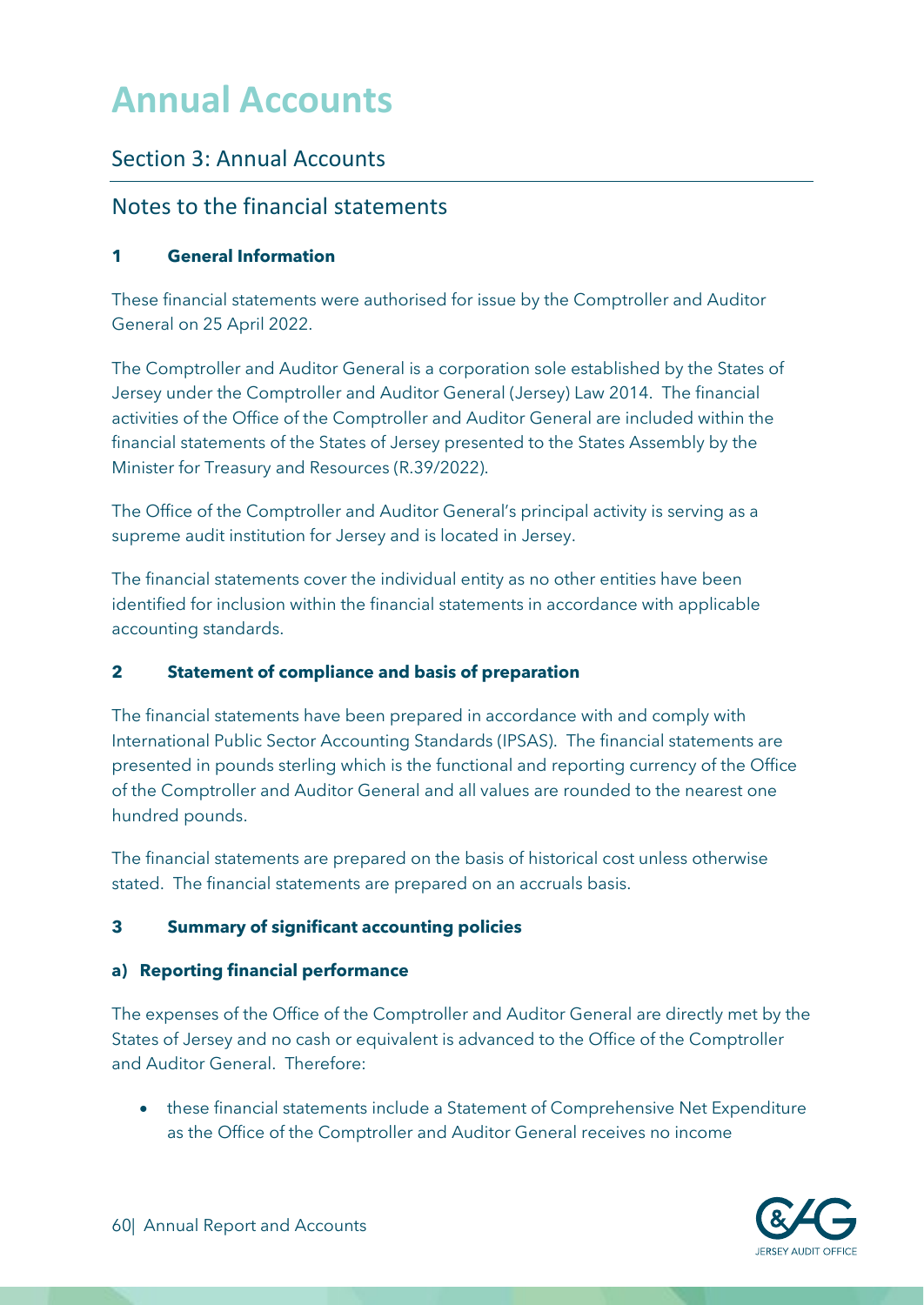### Section 3: Annual Accounts

### Notes to the financial statements

### **1 General Information**

These financial statements were authorised for issue by the Comptroller and Auditor General on 25 April 2022.

The Comptroller and Auditor General is a corporation sole established by the States of Jersey under the Comptroller and Auditor General (Jersey) Law 2014. The financial activities of the Office of the Comptroller and Auditor General are included within the financial statements of the States of Jersey presented to the States Assembly by the Minister for Treasury and Resources (R.39/2022).

The Office of the Comptroller and Auditor General's principal activity is serving as a supreme audit institution for Jersey and is located in Jersey.

The financial statements cover the individual entity as no other entities have been identified for inclusion within the financial statements in accordance with applicable accounting standards.

### **2 Statement of compliance and basis of preparation**

The financial statements have been prepared in accordance with and comply with International Public Sector Accounting Standards (IPSAS). The financial statements are presented in pounds sterling which is the functional and reporting currency of the Office of the Comptroller and Auditor General and all values are rounded to the nearest one hundred pounds.

The financial statements are prepared on the basis of historical cost unless otherwise stated. The financial statements are prepared on an accruals basis.

### **3 Summary of significant accounting policies**

### **a) Reporting financial performance**

The expenses of the Office of the Comptroller and Auditor General are directly met by the States of Jersey and no cash or equivalent is advanced to the Office of the Comptroller and Auditor General. Therefore:

• these financial statements include a Statement of Comprehensive Net Expenditure as the Office of the Comptroller and Auditor General receives no income

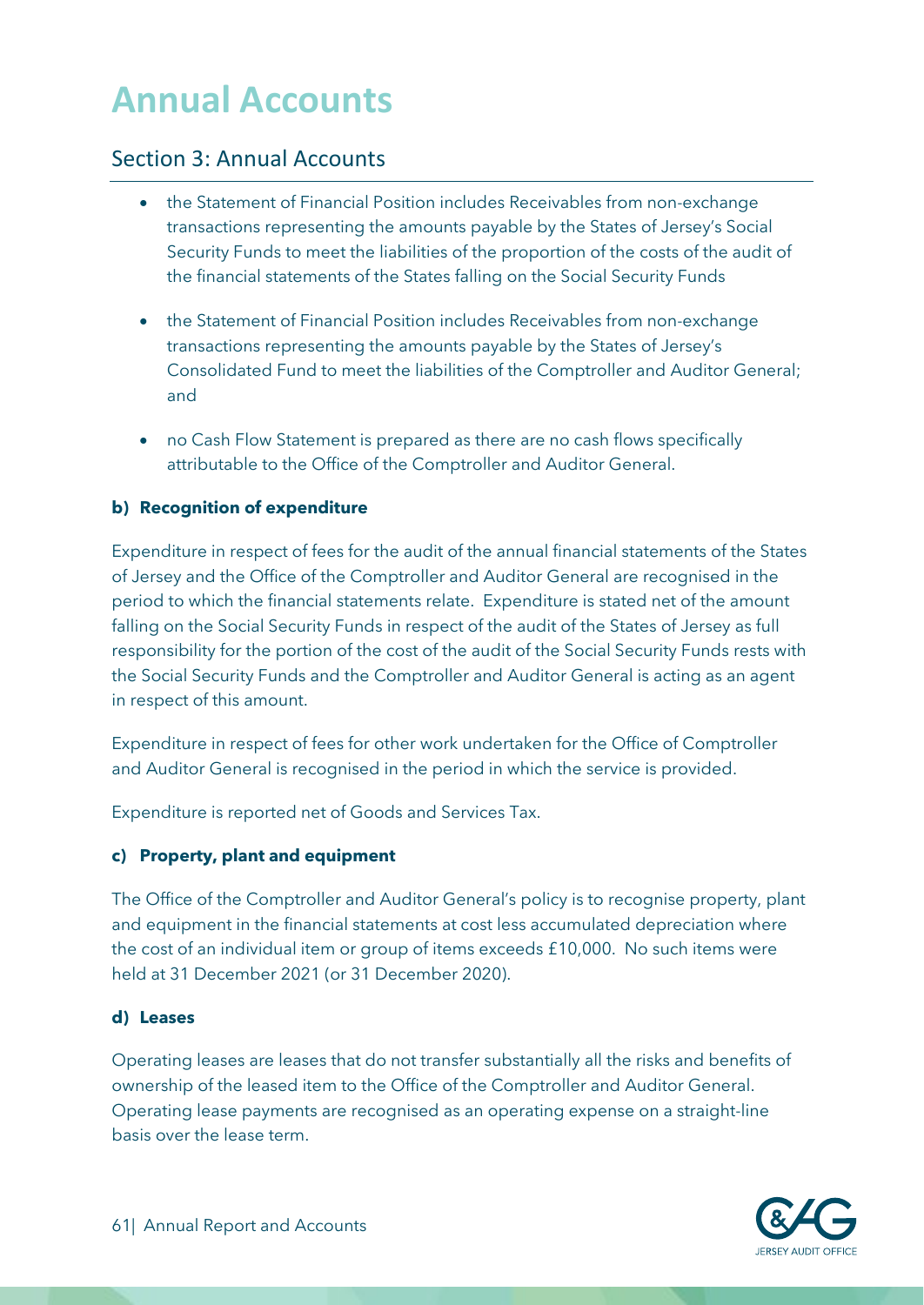### Section 3: Annual Accounts

- the Statement of Financial Position includes Receivables from non-exchange transactions representing the amounts payable by the States of Jersey's Social Security Funds to meet the liabilities of the proportion of the costs of the audit of the financial statements of the States falling on the Social Security Funds
- the Statement of Financial Position includes Receivables from non-exchange transactions representing the amounts payable by the States of Jersey's Consolidated Fund to meet the liabilities of the Comptroller and Auditor General; and
- no Cash Flow Statement is prepared as there are no cash flows specifically attributable to the Office of the Comptroller and Auditor General.

### **b) Recognition of expenditure**

Expenditure in respect of fees for the audit of the annual financial statements of the States of Jersey and the Office of the Comptroller and Auditor General are recognised in the period to which the financial statements relate. Expenditure is stated net of the amount falling on the Social Security Funds in respect of the audit of the States of Jersey as full responsibility for the portion of the cost of the audit of the Social Security Funds rests with the Social Security Funds and the Comptroller and Auditor General is acting as an agent in respect of this amount.

Expenditure in respect of fees for other work undertaken for the Office of Comptroller and Auditor General is recognised in the period in which the service is provided.

Expenditure is reported net of Goods and Services Tax.

### **c) Property, plant and equipment**

The Office of the Comptroller and Auditor General's policy is to recognise property, plant and equipment in the financial statements at cost less accumulated depreciation where the cost of an individual item or group of items exceeds £10,000. No such items were held at 31 December 2021 (or 31 December 2020).

### **d) Leases**

Operating leases are leases that do not transfer substantially all the risks and benefits of ownership of the leased item to the Office of the Comptroller and Auditor General. Operating lease payments are recognised as an operating expense on a straight-line basis over the lease term.

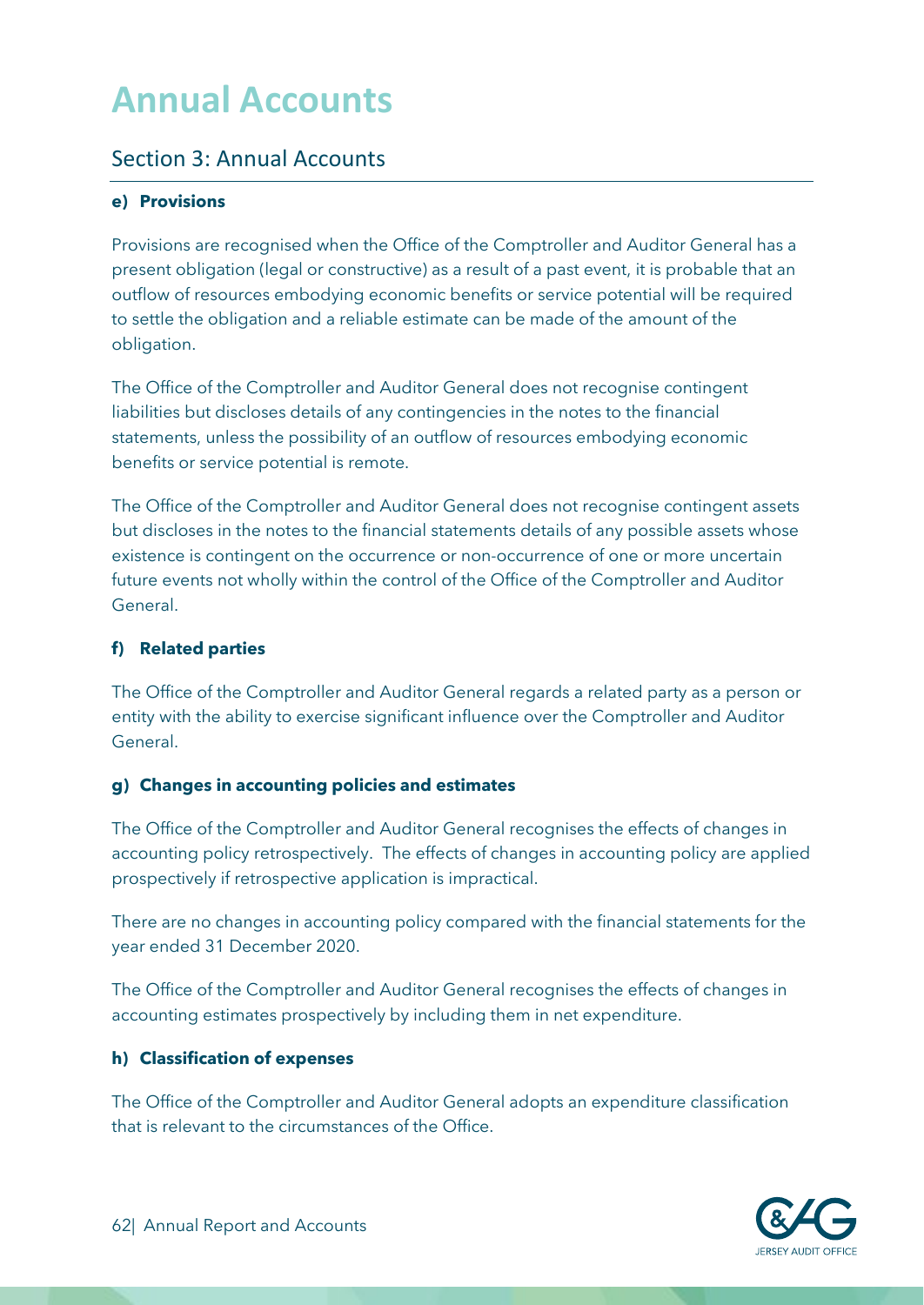### Section 3: Annual Accounts

### **e) Provisions**

Provisions are recognised when the Office of the Comptroller and Auditor General has a present obligation (legal or constructive) as a result of a past event, it is probable that an outflow of resources embodying economic benefits or service potential will be required to settle the obligation and a reliable estimate can be made of the amount of the obligation.

The Office of the Comptroller and Auditor General does not recognise contingent liabilities but discloses details of any contingencies in the notes to the financial statements, unless the possibility of an outflow of resources embodying economic benefits or service potential is remote.

The Office of the Comptroller and Auditor General does not recognise contingent assets but discloses in the notes to the financial statements details of any possible assets whose existence is contingent on the occurrence or non-occurrence of one or more uncertain future events not wholly within the control of the Office of the Comptroller and Auditor General.

### **f) Related parties**

The Office of the Comptroller and Auditor General regards a related party as a person or entity with the ability to exercise significant influence over the Comptroller and Auditor General.

#### **g) Changes in accounting policies and estimates**

The Office of the Comptroller and Auditor General recognises the effects of changes in accounting policy retrospectively. The effects of changes in accounting policy are applied prospectively if retrospective application is impractical.

There are no changes in accounting policy compared with the financial statements for the year ended 31 December 2020.

The Office of the Comptroller and Auditor General recognises the effects of changes in accounting estimates prospectively by including them in net expenditure.

### **h) Classification of expenses**

The Office of the Comptroller and Auditor General adopts an expenditure classification that is relevant to the circumstances of the Office.

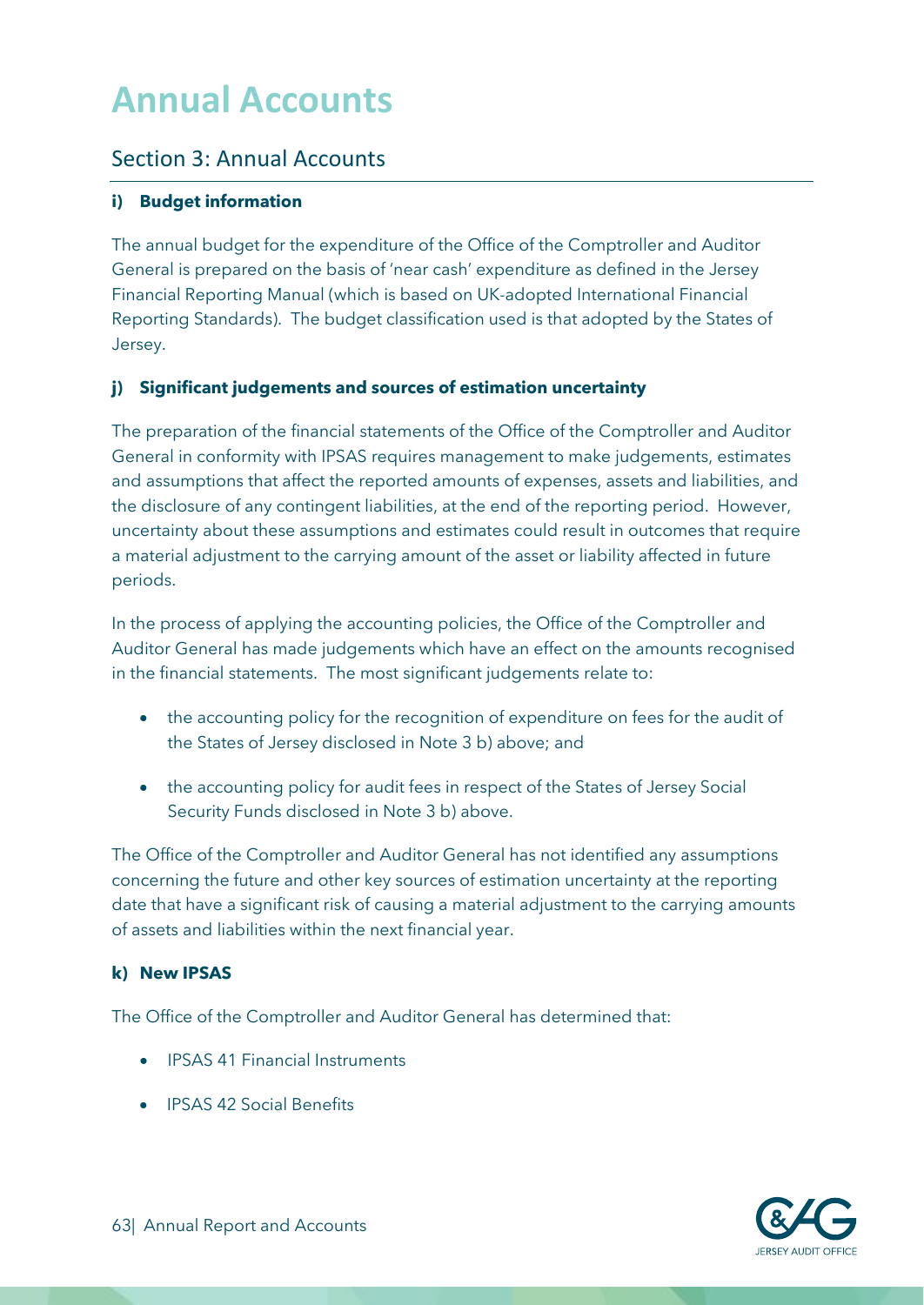### Section 3: Annual Accounts

### **i) Budget information**

The annual budget for the expenditure of the Office of the Comptroller and Auditor General is prepared on the basis of 'near cash' expenditure as defined in the Jersey Financial Reporting Manual (which is based on UK-adopted International Financial Reporting Standards). The budget classification used is that adopted by the States of Jersey.

#### **j) Significant judgements and sources of estimation uncertainty**

The preparation of the financial statements of the Office of the Comptroller and Auditor General in conformity with IPSAS requires management to make judgements, estimates and assumptions that affect the reported amounts of expenses, assets and liabilities, and the disclosure of any contingent liabilities, at the end of the reporting period. However, uncertainty about these assumptions and estimates could result in outcomes that require a material adjustment to the carrying amount of the asset or liability affected in future periods.

In the process of applying the accounting policies, the Office of the Comptroller and Auditor General has made judgements which have an effect on the amounts recognised in the financial statements. The most significant judgements relate to:

- the accounting policy for the recognition of expenditure on fees for the audit of the States of Jersey disclosed in Note 3 b) above; and
- the accounting policy for audit fees in respect of the States of Jersey Social Security Funds disclosed in Note 3 b) above.

The Office of the Comptroller and Auditor General has not identified any assumptions concerning the future and other key sources of estimation uncertainty at the reporting date that have a significant risk of causing a material adjustment to the carrying amounts of assets and liabilities within the next financial year.

### **k) New IPSAS**

The Office of the Comptroller and Auditor General has determined that:

- IPSAS 41 Financial Instruments
- IPSAS 42 Social Benefits

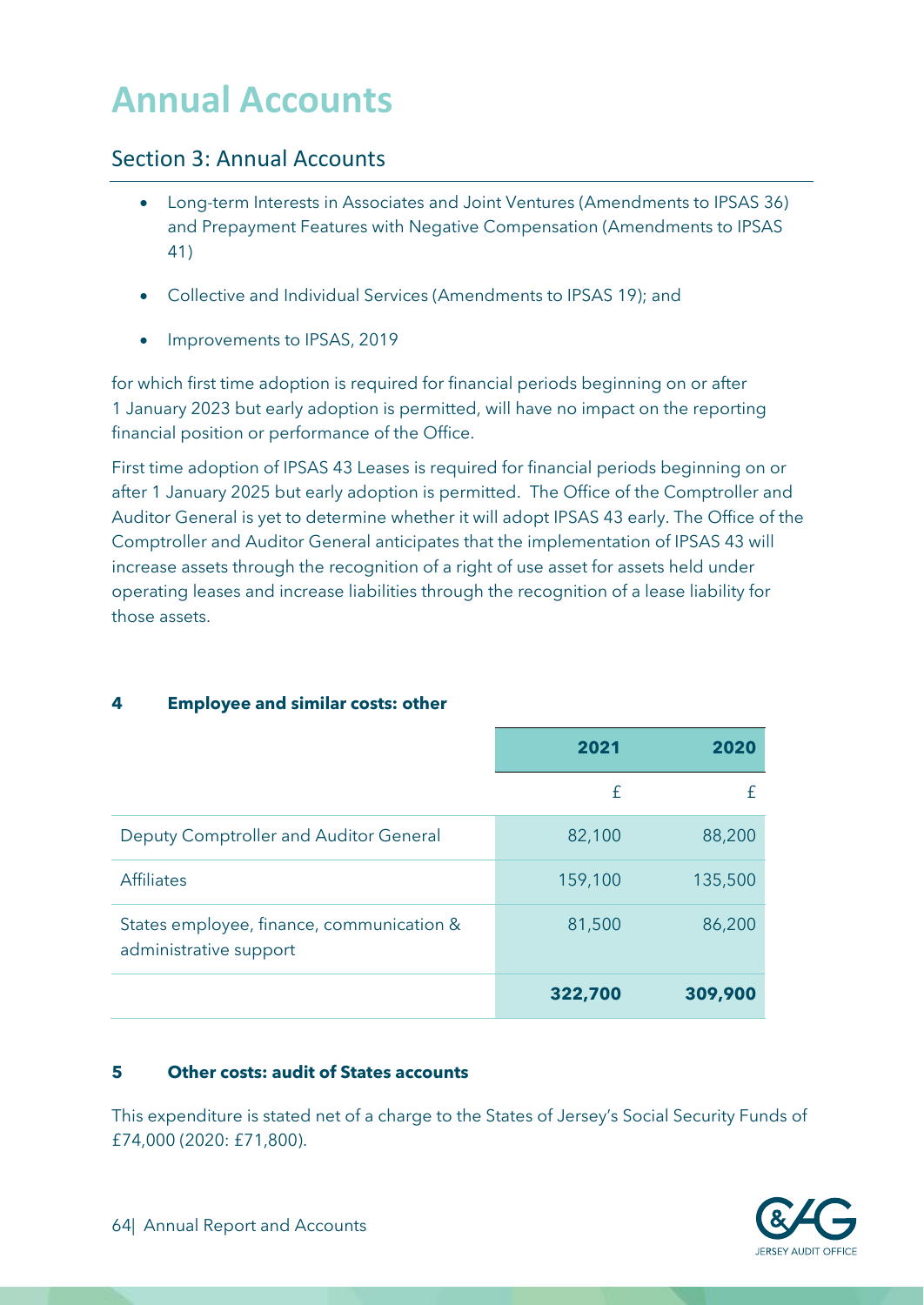### Section 3: Annual Accounts

- Long-term Interests in Associates and Joint Ventures (Amendments to IPSAS 36) and Prepayment Features with Negative Compensation (Amendments to IPSAS 41)
- Collective and Individual Services (Amendments to IPSAS 19); and
- Improvements to IPSAS, 2019

for which first time adoption is required for financial periods beginning on or after 1 January 2023 but early adoption is permitted, will have no impact on the reporting financial position or performance of the Office.

First time adoption of IPSAS 43 Leases is required for financial periods beginning on or after 1 January 2025 but early adoption is permitted. The Office of the Comptroller and Auditor General is yet to determine whether it will adopt IPSAS 43 early. The Office of the Comptroller and Auditor General anticipates that the implementation of IPSAS 43 will increase assets through the recognition of a right of use asset for assets held under operating leases and increase liabilities through the recognition of a lease liability for those assets.

|                                                                     | 2021         | 2020    |
|---------------------------------------------------------------------|--------------|---------|
|                                                                     | $\mathbf{f}$ |         |
| Deputy Comptroller and Auditor General                              | 82,100       | 88,200  |
| <b>Affiliates</b>                                                   | 159,100      | 135,500 |
| States employee, finance, communication &<br>administrative support | 81,500       | 86,200  |
|                                                                     | 322,700      | 309,900 |

### **4 Employee and similar costs: other**

### **5 Other costs: audit of States accounts**

This expenditure is stated net of a charge to the States of Jersey's Social Security Funds of £74,000 (2020: £71,800).

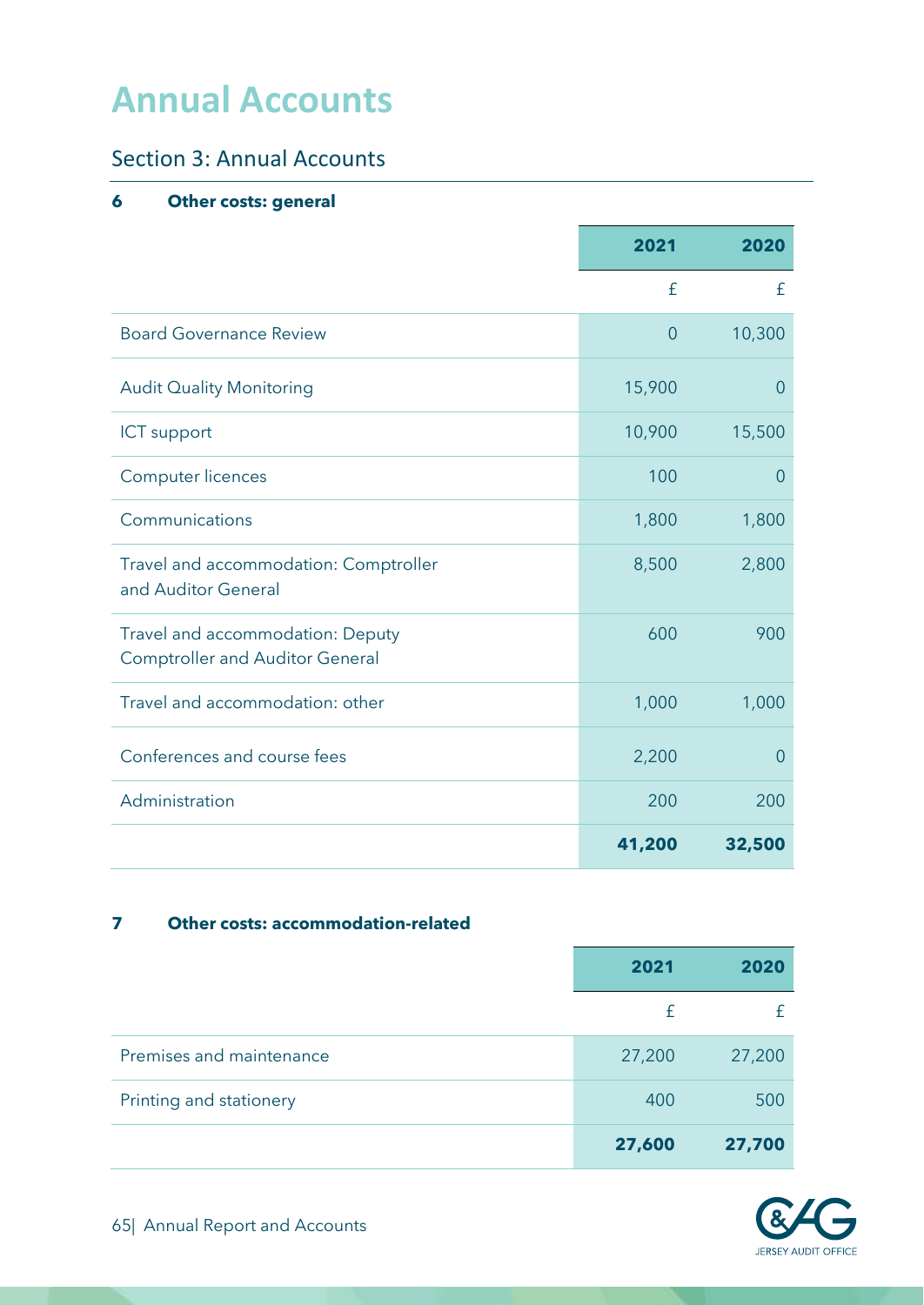### Section 3: Annual Accounts

### **6 Other costs: general**

|                                                                            | 2021           | 2020           |
|----------------------------------------------------------------------------|----------------|----------------|
|                                                                            | £              | £              |
| <b>Board Governance Review</b>                                             | $\overline{0}$ | 10,300         |
| <b>Audit Quality Monitoring</b>                                            | 15,900         | $\Omega$       |
| ICT support                                                                | 10,900         | 15,500         |
| Computer licences                                                          | 100            | $\overline{0}$ |
| Communications                                                             | 1,800          | 1,800          |
| Travel and accommodation: Comptroller<br>and Auditor General               | 8,500          | 2,800          |
| Travel and accommodation: Deputy<br><b>Comptroller and Auditor General</b> | 600            | 900            |
| Travel and accommodation: other                                            | 1,000          | 1,000          |
| Conferences and course fees                                                | 2,200          | $\Omega$       |
| Administration                                                             | 200            | 200            |
|                                                                            | 41,200         | 32,500         |

### **7 Other costs: accommodation-related**

|                          | 2021   | 2020   |
|--------------------------|--------|--------|
|                          | Ŧ      |        |
| Premises and maintenance | 27,200 | 27,200 |
| Printing and stationery  | 400    | 500    |
|                          | 27,600 | 27,700 |

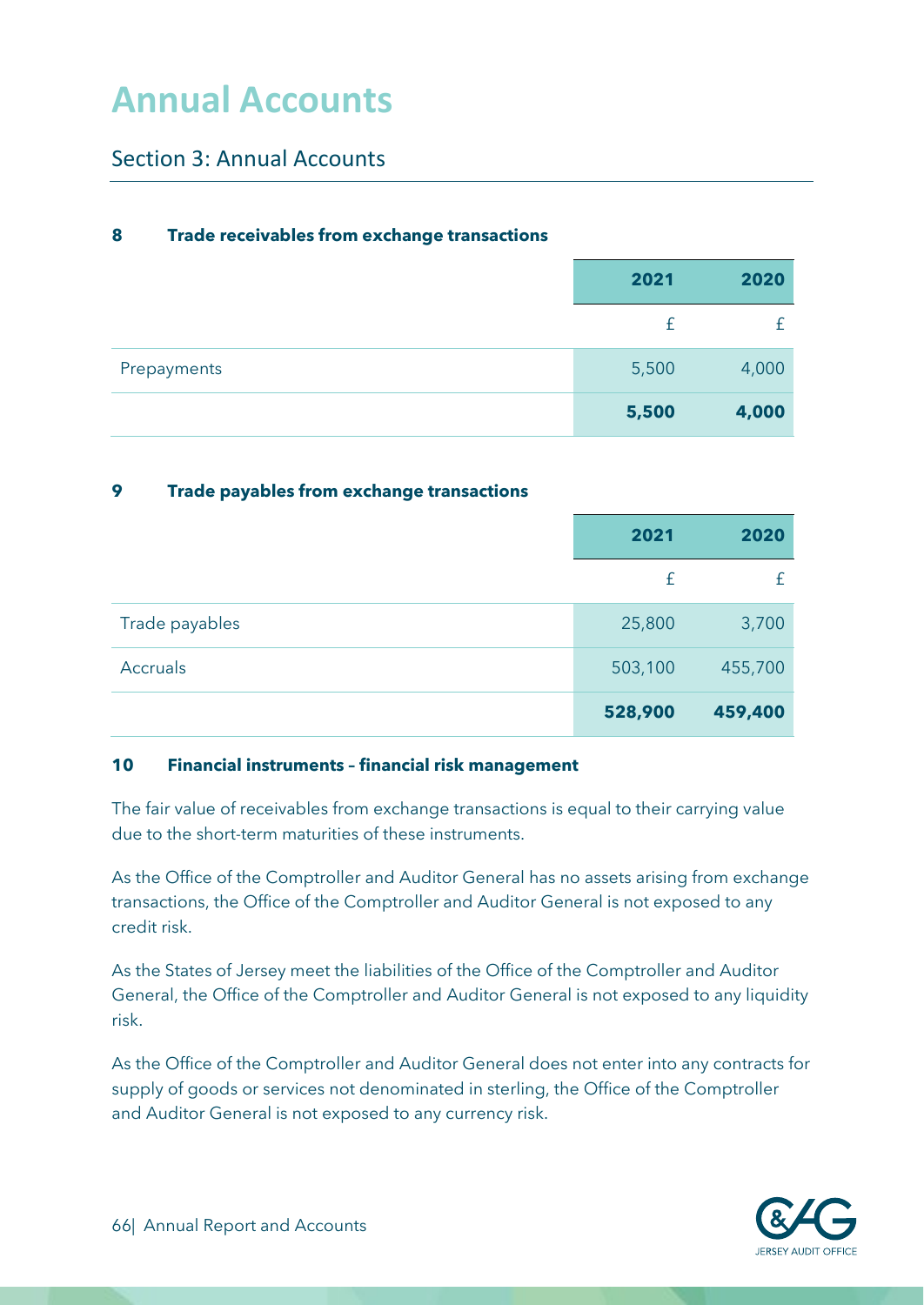### Section 3: Annual Accounts

#### **8 Trade receivables from exchange transactions**

|             | 2021  | 2020  |
|-------------|-------|-------|
|             |       |       |
| Prepayments | 5,500 | 4,000 |
|             | 5,500 | 4,000 |

#### **9 Trade payables from exchange transactions**

|                 | 2021    | 2020    |
|-----------------|---------|---------|
|                 | f       |         |
| Trade payables  | 25,800  | 3,700   |
| <b>Accruals</b> | 503,100 | 455,700 |
|                 | 528,900 | 459,400 |

#### **10 Financial instruments – financial risk management**

The fair value of receivables from exchange transactions is equal to their carrying value due to the short-term maturities of these instruments.

As the Office of the Comptroller and Auditor General has no assets arising from exchange transactions, the Office of the Comptroller and Auditor General is not exposed to any credit risk.

As the States of Jersey meet the liabilities of the Office of the Comptroller and Auditor General, the Office of the Comptroller and Auditor General is not exposed to any liquidity risk.

As the Office of the Comptroller and Auditor General does not enter into any contracts for supply of goods or services not denominated in sterling, the Office of the Comptroller and Auditor General is not exposed to any currency risk.

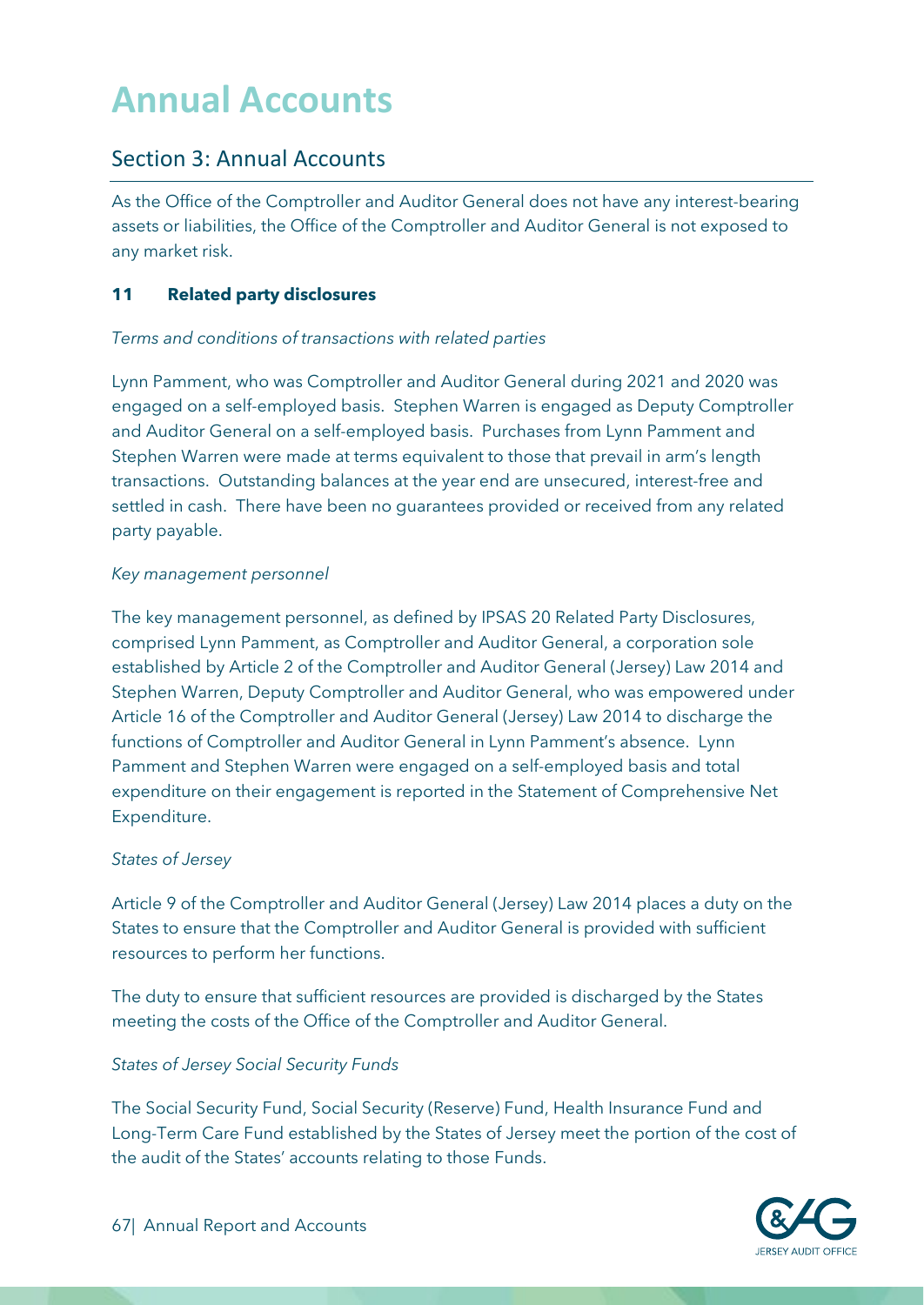### Section 3: Annual Accounts

As the Office of the Comptroller and Auditor General does not have any interest-bearing assets or liabilities, the Office of the Comptroller and Auditor General is not exposed to any market risk.

### **11 Related party disclosures**

#### *Terms and conditions of transactions with related parties*

Lynn Pamment, who was Comptroller and Auditor General during 2021 and 2020 was engaged on a self-employed basis. Stephen Warren is engaged as Deputy Comptroller and Auditor General on a self-employed basis. Purchases from Lynn Pamment and Stephen Warren were made at terms equivalent to those that prevail in arm's length transactions. Outstanding balances at the year end are unsecured, interest-free and settled in cash. There have been no guarantees provided or received from any related party payable.

#### *Key management personnel*

The key management personnel, as defined by IPSAS 20 Related Party Disclosures, comprised Lynn Pamment, as Comptroller and Auditor General, a corporation sole established by Article 2 of the Comptroller and Auditor General (Jersey) Law 2014 and Stephen Warren, Deputy Comptroller and Auditor General, who was empowered under Article 16 of the Comptroller and Auditor General (Jersey) Law 2014 to discharge the functions of Comptroller and Auditor General in Lynn Pamment's absence. Lynn Pamment and Stephen Warren were engaged on a self-employed basis and total expenditure on their engagement is reported in the Statement of Comprehensive Net Expenditure.

#### *States of Jersey*

Article 9 of the Comptroller and Auditor General (Jersey) Law 2014 places a duty on the States to ensure that the Comptroller and Auditor General is provided with sufficient resources to perform her functions.

The duty to ensure that sufficient resources are provided is discharged by the States meeting the costs of the Office of the Comptroller and Auditor General.

#### *States of Jersey Social Security Funds*

The Social Security Fund, Social Security (Reserve) Fund, Health Insurance Fund and Long-Term Care Fund established by the States of Jersey meet the portion of the cost of the audit of the States' accounts relating to those Funds.

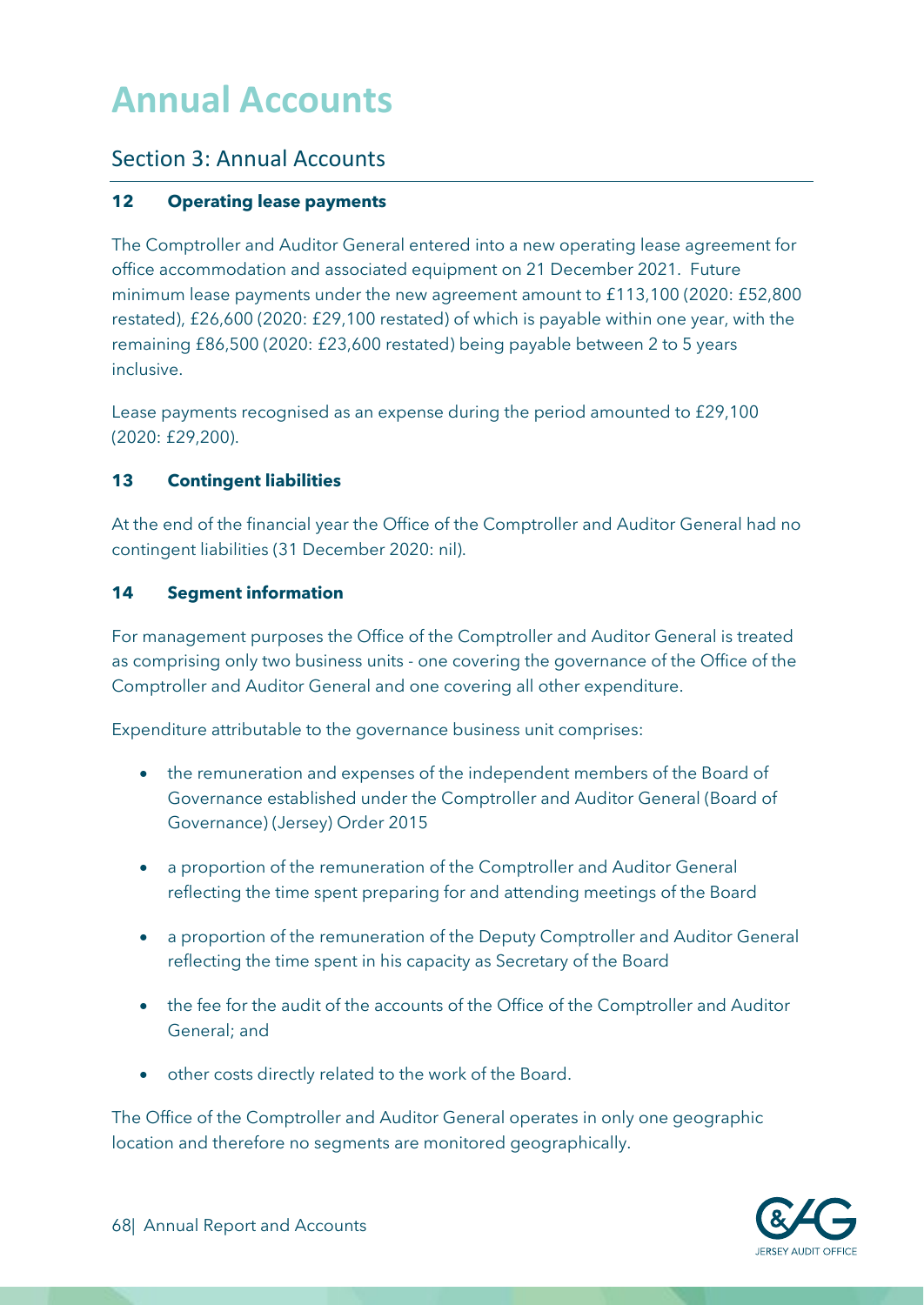### Section 3: Annual Accounts

### **12 Operating lease payments**

The Comptroller and Auditor General entered into a new operating lease agreement for office accommodation and associated equipment on 21 December 2021. Future minimum lease payments under the new agreement amount to £113,100 (2020: £52,800 restated), £26,600 (2020: £29,100 restated) of which is payable within one year, with the remaining £86,500 (2020: £23,600 restated) being payable between 2 to 5 years inclusive.

Lease payments recognised as an expense during the period amounted to £29,100 (2020: £29,200).

#### **13 Contingent liabilities**

At the end of the financial year the Office of the Comptroller and Auditor General had no contingent liabilities (31 December 2020: nil).

#### **14 Segment information**

For management purposes the Office of the Comptroller and Auditor General is treated as comprising only two business units - one covering the governance of the Office of the Comptroller and Auditor General and one covering all other expenditure.

Expenditure attributable to the governance business unit comprises:

- the remuneration and expenses of the independent members of the Board of Governance established under the Comptroller and Auditor General (Board of Governance) (Jersey) Order 2015
- a proportion of the remuneration of the Comptroller and Auditor General reflecting the time spent preparing for and attending meetings of the Board
- a proportion of the remuneration of the Deputy Comptroller and Auditor General reflecting the time spent in his capacity as Secretary of the Board
- the fee for the audit of the accounts of the Office of the Comptroller and Auditor General; and
- other costs directly related to the work of the Board.

The Office of the Comptroller and Auditor General operates in only one geographic location and therefore no segments are monitored geographically.

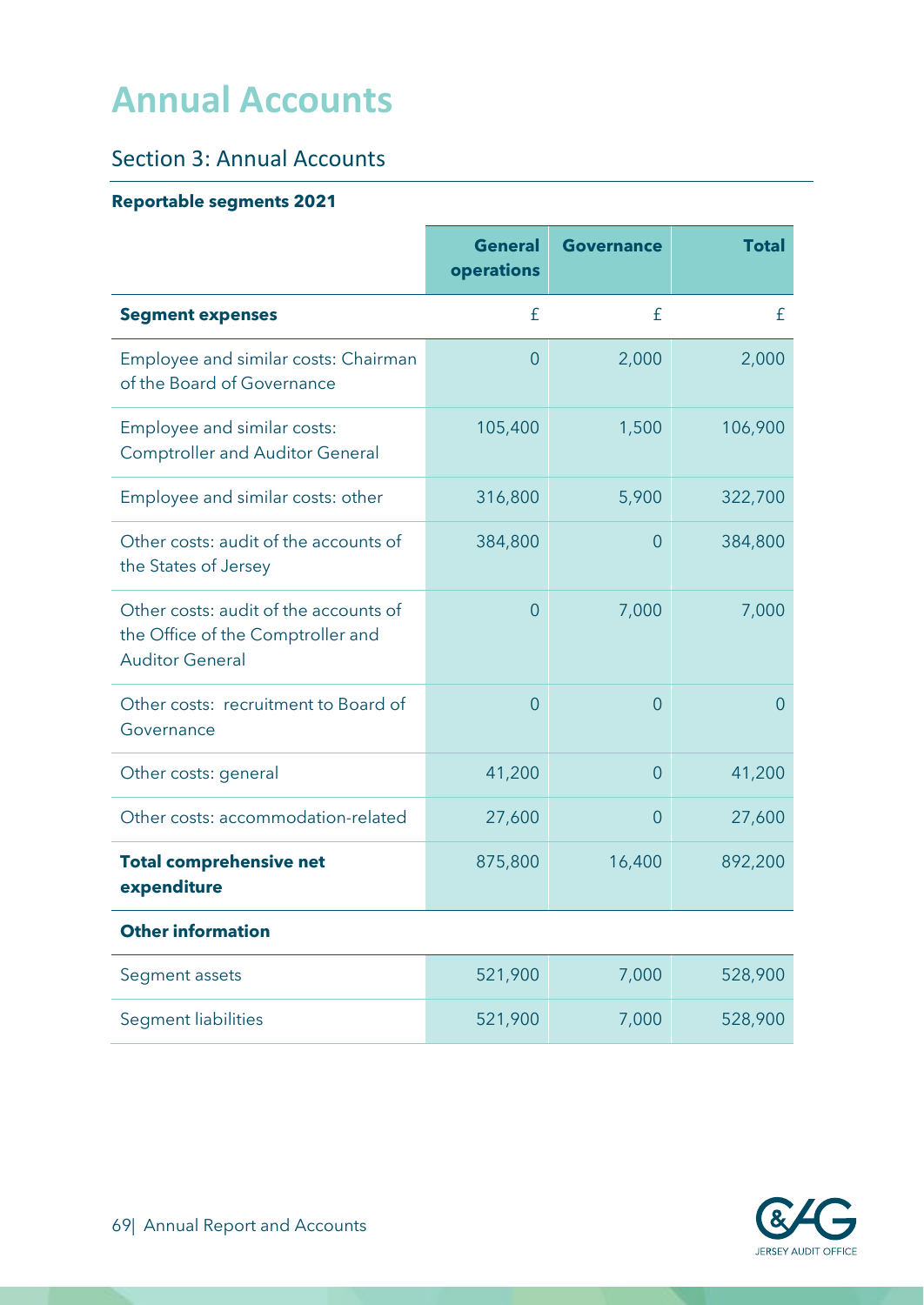### Section 3: Annual Accounts

### **Reportable segments 2021**

|                                                                                                      | <b>General</b><br>operations | <b>Governance</b> | <b>Total</b>     |  |
|------------------------------------------------------------------------------------------------------|------------------------------|-------------------|------------------|--|
| <b>Segment expenses</b>                                                                              | £                            | £                 | £                |  |
| Employee and similar costs: Chairman<br>of the Board of Governance                                   | $\overline{0}$               | 2,000             | 2,000            |  |
| Employee and similar costs:<br><b>Comptroller and Auditor General</b>                                | 105,400                      | 1,500             | 106,900          |  |
| Employee and similar costs: other                                                                    | 316,800                      | 5,900             | 322,700          |  |
| Other costs: audit of the accounts of<br>the States of Jersey                                        | 384,800                      | $\Omega$          | 384,800          |  |
| Other costs: audit of the accounts of<br>the Office of the Comptroller and<br><b>Auditor General</b> | $\overline{0}$               | 7,000             | 7,000            |  |
| Other costs: recruitment to Board of<br>Governance                                                   | $\Omega$                     | $\Omega$          | $\left( \right)$ |  |
| Other costs: general                                                                                 | 41,200                       | $\overline{0}$    | 41,200           |  |
| Other costs: accommodation-related                                                                   | 27,600                       | $\overline{0}$    | 27,600           |  |
| <b>Total comprehensive net</b><br>expenditure                                                        | 875,800                      | 16,400            | 892,200          |  |
| <b>Other information</b>                                                                             |                              |                   |                  |  |
| Segment assets                                                                                       | 521,900                      | 7,000             | 528,900          |  |
| <b>Segment liabilities</b>                                                                           | 521,900                      | 7,000             | 528,900          |  |

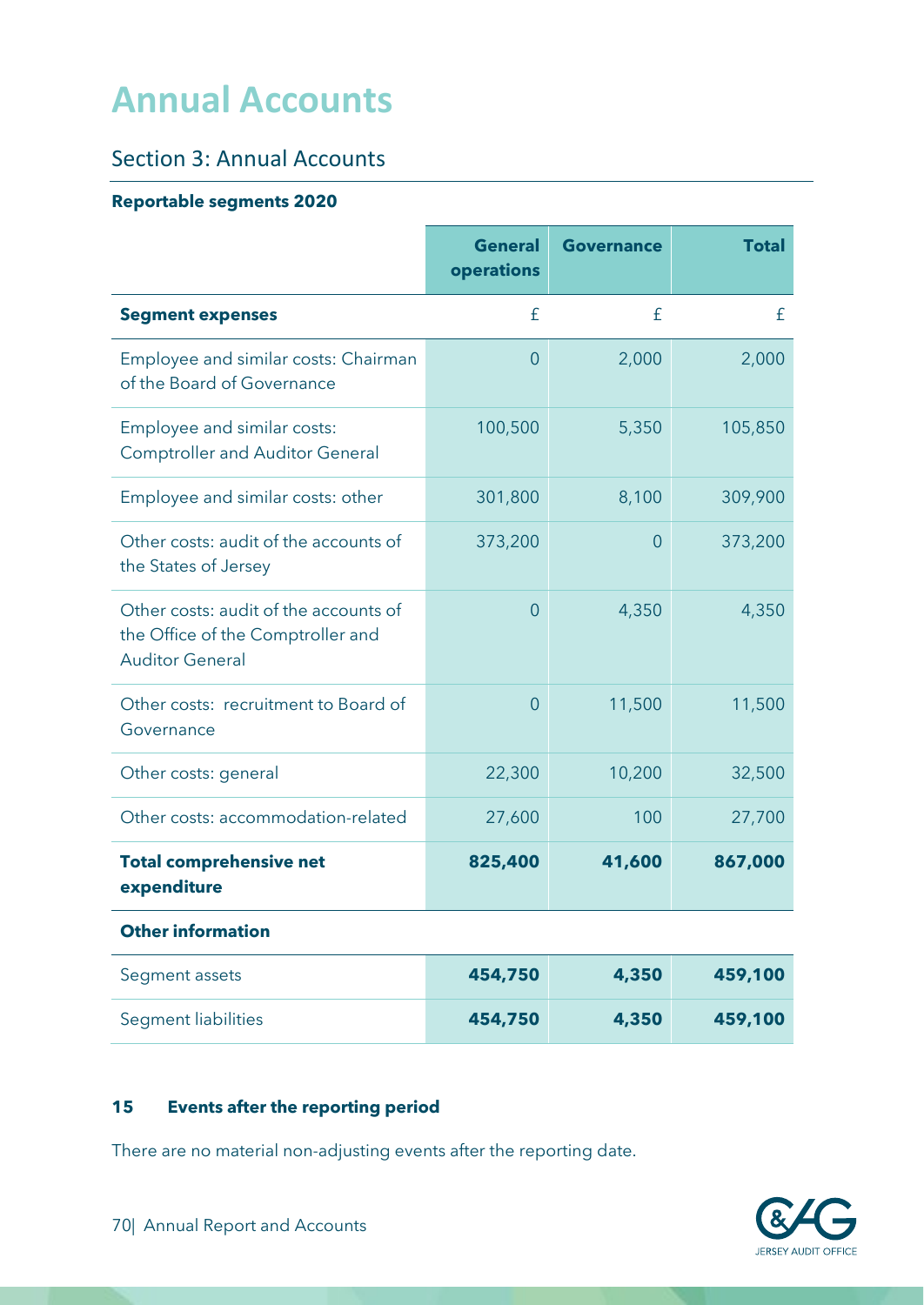### Section 3: Annual Accounts

### **Reportable segments 2020**

|                                                                                                      | <b>General</b><br>operations | <b>Governance</b> | <b>Total</b> |  |
|------------------------------------------------------------------------------------------------------|------------------------------|-------------------|--------------|--|
| <b>Segment expenses</b>                                                                              | £                            | £                 | £            |  |
| Employee and similar costs: Chairman<br>of the Board of Governance                                   | $\overline{0}$               | 2,000             | 2,000        |  |
| Employee and similar costs:<br><b>Comptroller and Auditor General</b>                                | 100,500                      | 5,350             | 105,850      |  |
| Employee and similar costs: other                                                                    | 301,800                      | 8,100             | 309,900      |  |
| Other costs: audit of the accounts of<br>the States of Jersey                                        | 373,200                      | $\Omega$          | 373,200      |  |
| Other costs: audit of the accounts of<br>the Office of the Comptroller and<br><b>Auditor General</b> | $\Omega$                     | 4,350             | 4,350        |  |
| Other costs: recruitment to Board of<br>Governance                                                   | $\Omega$                     | 11,500            | 11,500       |  |
| Other costs: general                                                                                 | 22,300                       | 10,200            | 32,500       |  |
| Other costs: accommodation-related                                                                   | 27,600                       | 100               | 27,700       |  |
| <b>Total comprehensive net</b><br>expenditure                                                        | 825,400                      | 41,600            | 867,000      |  |
| <b>Other information</b>                                                                             |                              |                   |              |  |
| Segment assets                                                                                       | 454,750                      | 4,350             | 459,100      |  |
| <b>Segment liabilities</b>                                                                           | 454,750                      | 4,350             | 459,100      |  |

### **15 Events after the reporting period**

There are no material non-adjusting events after the reporting date.

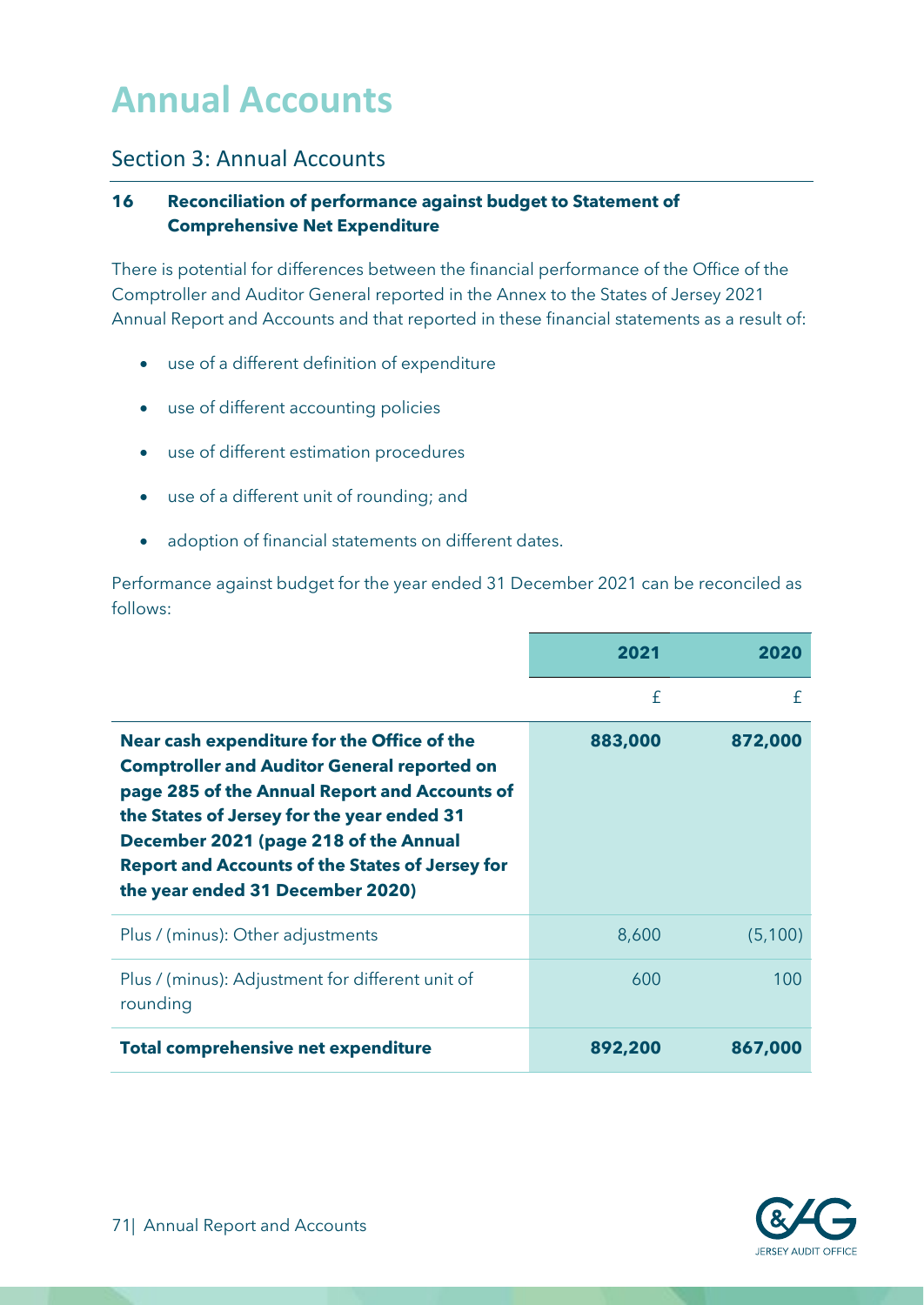### Section 3: Annual Accounts

### **16 Reconciliation of performance against budget to Statement of Comprehensive Net Expenditure**

There is potential for differences between the financial performance of the Office of the Comptroller and Auditor General reported in the Annex to the States of Jersey 2021 Annual Report and Accounts and that reported in these financial statements as a result of:

- use of a different definition of expenditure
- use of different accounting policies
- use of different estimation procedures
- use of a different unit of rounding; and
- adoption of financial statements on different dates.

Performance against budget for the year ended 31 December 2021 can be reconciled as follows:

|                                                                                                                                                                                                                                                                                                                                         | 2021    | 2020    |
|-----------------------------------------------------------------------------------------------------------------------------------------------------------------------------------------------------------------------------------------------------------------------------------------------------------------------------------------|---------|---------|
|                                                                                                                                                                                                                                                                                                                                         | £       | f       |
| Near cash expenditure for the Office of the<br><b>Comptroller and Auditor General reported on</b><br>page 285 of the Annual Report and Accounts of<br>the States of Jersey for the year ended 31<br>December 2021 (page 218 of the Annual<br><b>Report and Accounts of the States of Jersey for</b><br>the year ended 31 December 2020) | 883,000 | 872,000 |
| Plus / (minus): Other adjustments                                                                                                                                                                                                                                                                                                       | 8,600   | (5,100) |
| Plus / (minus): Adjustment for different unit of<br>rounding                                                                                                                                                                                                                                                                            | 600     | 100     |
| <b>Total comprehensive net expenditure</b>                                                                                                                                                                                                                                                                                              | 892,200 | 867,000 |

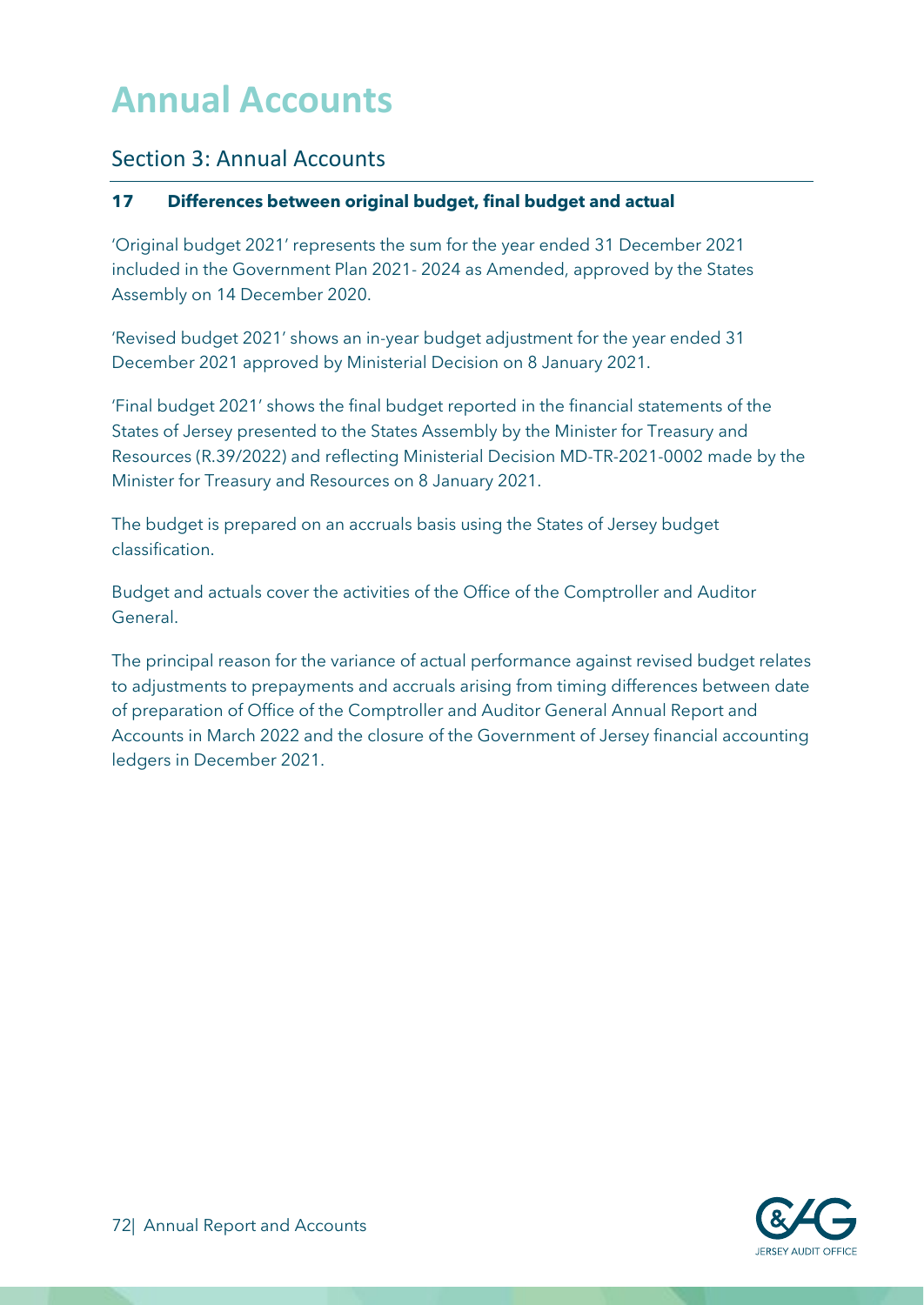### Section 3: Annual Accounts

### **17 Differences between original budget, final budget and actual**

'Original budget 2021' represents the sum for the year ended 31 December 2021 included in the Government Plan 2021- 2024 as Amended, approved by the States Assembly on 14 December 2020.

'Revised budget 2021' shows an in-year budget adjustment for the year ended 31 December 2021 approved by Ministerial Decision on 8 January 2021.

'Final budget 2021' shows the final budget reported in the financial statements of the States of Jersey presented to the States Assembly by the Minister for Treasury and Resources (R.39/2022) and reflecting Ministerial Decision MD-TR-2021-0002 made by the Minister for Treasury and Resources on 8 January 2021.

The budget is prepared on an accruals basis using the States of Jersey budget classification.

Budget and actuals cover the activities of the Office of the Comptroller and Auditor General.

The principal reason for the variance of actual performance against revised budget relates to adjustments to prepayments and accruals arising from timing differences between date of preparation of Office of the Comptroller and Auditor General Annual Report and Accounts in March 2022 and the closure of the Government of Jersey financial accounting ledgers in December 2021.